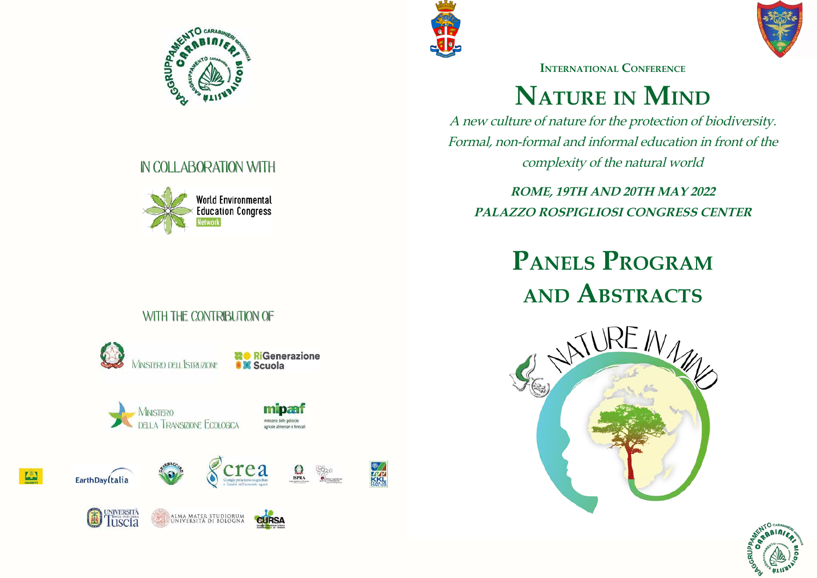**Panels Program** WITH THE CONTRIBUTION OF



# **IN COLLABORATION WITH**























KKL















# **Nature in Mind**

A new culture of nature for the protection of biodiversity. Formal, non-formal and informal education in front of the complexity of the natural world

**ROME, 19TH AND 20TH MAY 2022 PALAZZO ROSPIGLIOSI CONGRESS CENTER**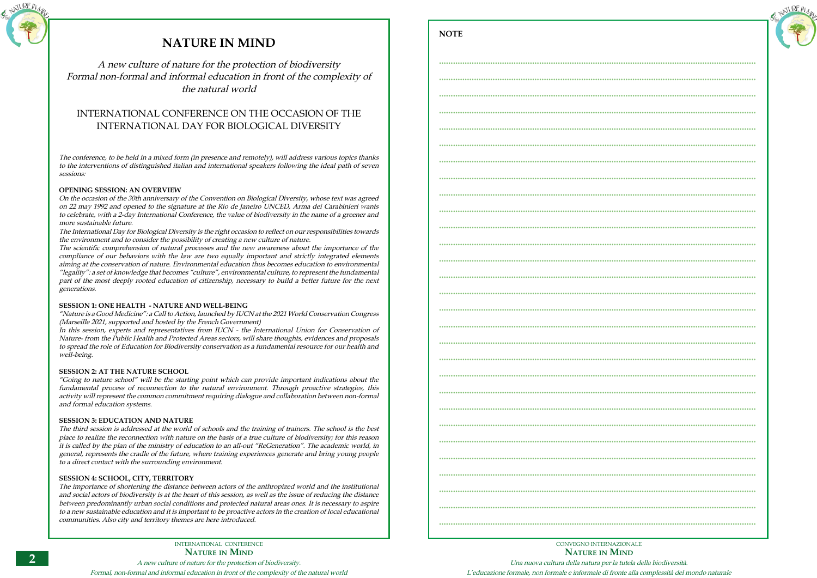A new culture of nature for the protection of biodiversity. Formal, non-formal and informal education in front of the complexity of the natural world



# **NATURE IN MIND**

A new culture of nature for the protection of biodiversity Formal non-formal and informal education in front of the complexity of the natural world

## INTERNATIONAL CONFERENCE ON THE OCCASION OF THE INTERNATIONAL DAY FOR BIOLOGICAL DIVERSITY

The conference, to be held in a mixed form (in presence and remotely), will address various topics thanks to the interventions of distinguished italian and international speakers following the ideal path of seven sessions:

## **OPENING SESSION: AN OVERVIEW**

On the occasion of the 30th anniversary of the Convention on Biological Diversity, whose text was agreed on 22 may 1992 and opened to the signature at the Rio de Janeiro UNCED, Arma dei Carabinieri wants to celebrate, with a 2-day International Conference, the value of biodiversity in the name of a greener and more sustainable future.

The International Day for Biological Diversity is the right occasion to reflect on our responsibilities towards the environment and to consider the possibility of creating a new culture of nature.

The scientific comprehension of natural processes and the new awareness about the importance of the compliance of our behaviors with the law are two equally important and strictly integrated elements aiming at the conservation of nature. Environmental education thus becomes education to environmental "legality": a set of knowledge that becomes "culture", environmental culture, to represent the fundamental part of the most deeply rooted education of citizenship, necessary to build a better future for the next generations.

## **SESSION 1: ONE HEALTH - NATURE AND WELL-BEING**

"Nature is a Good Medicine": a Call to Action, launched by IUCN at the 2021 World Conservation Congress (Marseille 2021, supported and hosted by the French Government)

In this session, experts and representatives from IUCN - the International Union for Conservation of Nature- from the Public Health and Protected Areas sectors, will share thoughts, evidences and proposals to spread the role of Education for Biodiversity conservation as a fundamental resource for our health and well-being.

## **SESSION 2: AT THE NATURE SCHOOL**

"Going to nature school" will be the starting point which can provide important indications about the fundamental process of reconnection to the natural environment. Through proactive strategies, this activity will represent the common commitment requiring dialogue and collaboration between non-formal and formal education systems.

## **SESSION 3: EDUCATION AND NATURE**

The third session is addressed at the world of schools and the training of trainers. The school is the best place to realize the reconnection with nature on the basis of a true culture of biodiversity; for this reason it is called by the plan of the ministry of education to an all-out "ReGeneration". The academic world, in general, represents the cradle of the future, where training experiences generate and bring young people to a direct contact with the surrounding environment.

## **SESSION 4: SCHOOL, CITY, TERRITORY**

The importance of shortening the distance between actors of the anthropized world and the institutional and social actors of biodiversity is at the heart of this session, as well as the issue of reducing the distance between predominantly urban social conditions and protected natural areas ones. It is necessary to aspire to a new sustainable education and it is important to be proactive actors in the creation of local educational communities. Also city and territory themes are here introduced.

| RE IV $_{\mathcal{U}_{\mathcal{U}}}$ |
|--------------------------------------|
|                                      |
|                                      |

CONVEGNO INTERNAZIONALE **Nature in Mind** Una nuova cultura della natura per la tutela della biodiversità. L'educazione formale, non formale e informale di fronte alla complessità del mondo naturale

**NOTE**

| CONVECNO INTERNAZIONALE |
|-------------------------|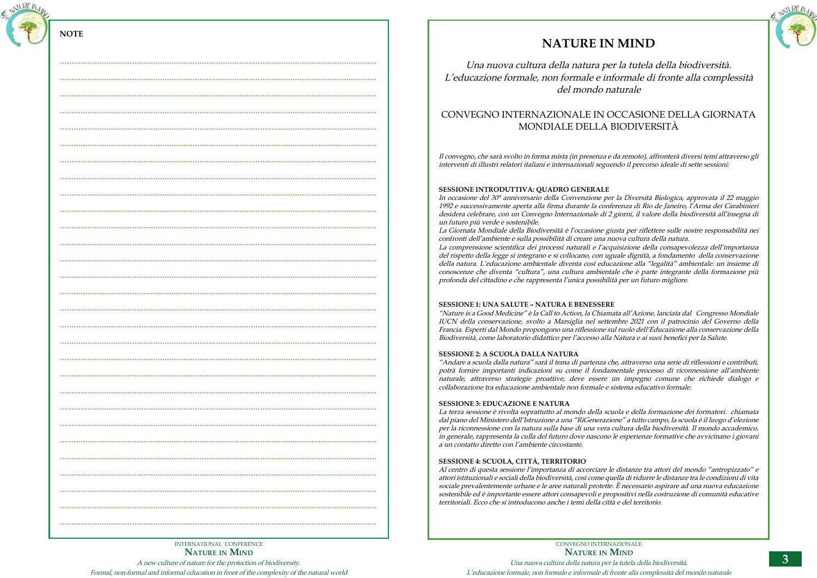A new culture of nature for the protection of biodiversity.

Formal, non-formal and informal education in front of the complexity of the natural world



| $-0.00000$                                                                                                           |
|----------------------------------------------------------------------------------------------------------------------|
|                                                                                                                      |
|                                                                                                                      |
|                                                                                                                      |
|                                                                                                                      |
|                                                                                                                      |
| $\cdots \cdots$                                                                                                      |
|                                                                                                                      |
|                                                                                                                      |
|                                                                                                                      |
|                                                                                                                      |
|                                                                                                                      |
|                                                                                                                      |
|                                                                                                                      |
| $\begin{array}{cccccccccccccc} \bullet & \bullet & \bullet & \bullet & \bullet & \bullet & \bullet \end{array}$<br>. |
| $\bullet$                                                                                                            |
| $\bullet$ $\bullet$                                                                                                  |
| $.$<br>                                                                                                              |
|                                                                                                                      |
|                                                                                                                      |
| $.$                                                                                                                  |
|                                                                                                                      |
|                                                                                                                      |
|                                                                                                                      |
| $\begin{array}{cccccccccccccc} 0 & 0 & 0 & 0 & 0 & 0 & 0 \\ \end{array}$                                             |
| $- - - -$                                                                                                            |
|                                                                                                                      |

CONVEGNO INTERNAZIONALE **Nature in Mind** Una nuova cultura della natura per la tutela della biodiversità. L'educazione formale, non formale e informale di fronte alla complessità del mondo naturale



# **NATURE IN MIND**

Una nuova cultura della natura per la tutela della biodiversità. L'educazione formale, non formale e informale di fronte alla complessità del mondo naturale

## CONVEGNO INTERNAZIONALE IN OCCASIONE DELLA GIORNATA MONDIALE DELLA BIODIVERSITÀ

Il convegno, che sarà svolto in forma mista (in presenza e da remoto), affronterà diversi temi attraverso gli interventi di illustri relatori italiani e internazionali seguendo il percorso ideale di sette sessioni:

## **SESSIONE INTRODUTTIVA: QUADRO GENERALE**

In occasione del 30° anniversario della Convenzione per la Diversità Biologica, approvata il 22 maggio 1992 e successivamente aperta alla firma durante la conferenza di Rio de Janeiro, l'Arma dei Carabinieri desidera celebrare, con un Convegno Internazionale di 2 giorni, il valore della biodiversità all'insegna di un futuro più verde e sostenibile.

La Giornata Mondiale della Biodiversità è l'occasione giusta per riflettere sulle nostre responsabilità nei confronti dell'ambiente e sulla possibilità di creare una nuova cultura della natura. La comprensione scientifica dei processi naturali e l'acquisizione della consapevolezza dell'importanza del rispetto della legge si integrano e si collocano, con uguale dignità, a fondamento della conservazione della natura. L'educazione ambientale diventa così educazione alla "legalità" ambientale: un insieme di conoscenze che diventa "cultura", una cultura ambientale che è parte integrante della formazione più profonda del cittadino e che rappresenta l'unica possibilità per un futuro migliore.

## **SESSIONE 1: UNA SALUTE – NATURA E BENESSERE**

"Nature is a Good Medicine" è la Call to Action, la Chiamata all'Azione, lanciata dal Congresso Mondiale IUCN della conservazione, svolto a Marsiglia nel settembre 2021 con il patrocinio del Governo della Francia. Esperti dal Mondo propongono una riflessione sul ruolo dell'Educazione alla conservazione della Biodiversità, come laboratorio didattico per l'accesso alla Natura e ai suoi benefici per la Salute.

## **SESSIONE 2: A SCUOLA DALLA NATURA**

"Andare a scuola dalla natura" sarà il tema di partenza che, attraverso una serie di riflessioni e contributi, potrà fornire importanti indicazioni su come il fondamentale processo di riconnessione all'ambiente naturale, attraverso strategie proattive, deve essere un impegno comune che richiede dialogo e collaborazione tra educazione ambientale non formale e sistema educativo formale.

## **SESSIONE 3: EDUCAZIONE E NATURA**

La terza sessione è rivolta soprattutto al mondo della scuola e della formazione dei formatori. chiamata dal piano del Ministero dell'Istruzione a una "RiGenerazione" a tutto campo, la scuola è il luogo d'elezione per la riconnessione con la natura sulla base di una vera cultura della biodiversità. Il mondo accademico, in generale, rappresenta la culla del futuro dove nascono le esperienze formative che avvicinano i giovani a un contatto diretto con l'ambiente circostante.

## **SESSIONE 4: SCUOLA, CITTÀ, TERRITORIO**

Al centro di questa sessione l'importanza di accorciare le distanze tra attori del mondo "antropizzato" e attori istituzionali e sociali della biodiversità, così come quella di ridurre le distanze tra le condizioni di vita sociale prevalentemente urbane e le aree naturali protette. È necessario aspirare ad una nuova educazione sostenibile ed è importante essere attori consapevoli e propositivi nella costruzione di comunità educative territoriali. Ecco che si introducono anche i temi della città e del territorio.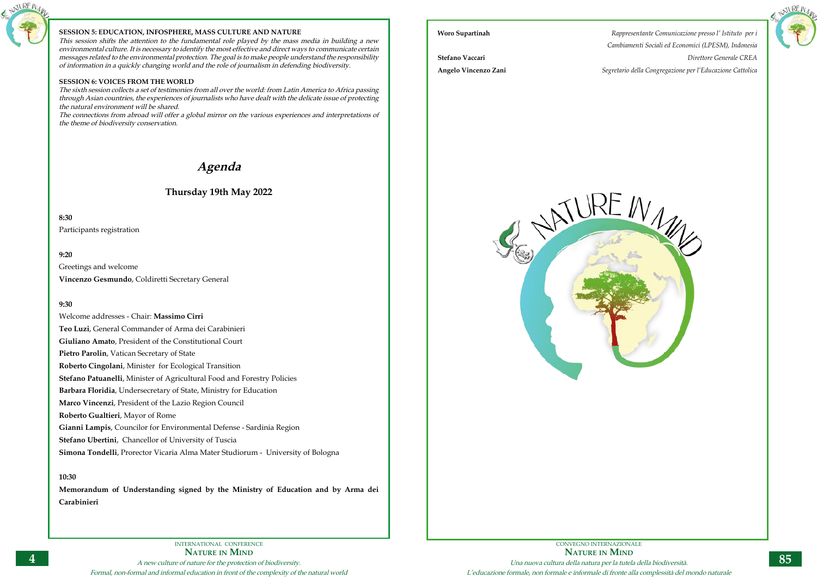

## **SESSION 5: EDUCATION, INFOSPHERE, MASS CULTURE AND NATURE**

This session shifts the attention to the fundamental role played by the mass media in building a new environmental culture. It is necessary to identify the most effective and direct ways to communicate certain messages related to the environmental protection. The goal is to make people understand the responsibility of information in a quickly changing world and the role of journalism in defending biodiversity.

## **SESSION 6: VOICES FROM THE WORLD**

The sixth session collects a set of testimonies from all over the world: from Latin America to Africa passing through Asian countries, the experiences of journalists who have dealt with the delicate issue of protecting the natural environment will be shared.

The connections from abroad will offer a global mirror on the various experiences and interpretations of the theme of biodiversity conservation.

# **Agenda**

## **Thursday 19th May 2022**

**8:30**

Participants registration

## **9:20**

Greetings and welcome

**Vincenzo Gesmundo**, Coldiretti Secretary General

## **9:30**

Welcome addresses - Chair: **Massimo Cirri Teo Luzi**, General Commander of Arma dei Carabinieri **Giuliano Amato**, President of the Constitutional Court **Pietro Parolin**, Vatican Secretary of State **Roberto Cingolani**, Minister for Ecological Transition **Stefano Patuanelli**, Minister of Agricultural Food and Forestry Policies **Barbara Floridia**, Undersecretary of State, Ministry for Education **Marco Vincenzi**, President of the Lazio Region Council **Roberto Gualtieri**, Mayor of Rome **Gianni Lampis**, Councilor for Environmental Defense - Sardinia Region **Stefano Ubertini**, Chancellor of University of Tuscia **Simona Tondelli**, Prorector Vicaria Alma Mater Studiorum - University of Bologna

## **10:30**

**Memorandum of Understanding signed by the Ministry of Education and by Arma dei Carabinieri**





**Woro Supartinah** *Rappresentante Comunicazione presso l' Istituto per i Cambiamenti Sociali ed Economici (LPESM), Indonesia* **Stefano Vaccari** *Direttore Generale CREA* **Angelo Vincenzo Zani** *Segretario della Congregazione per l'Educazione Cattolica*

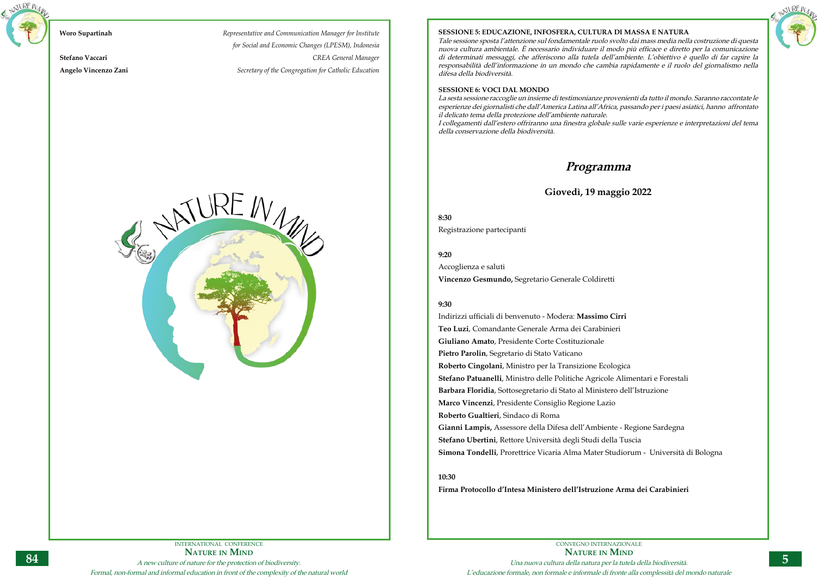## INTERNATIONAL CONFERENCE **Nature in Mind** A new culture of nature for the protection of biodiversity. Formal, non-formal and informal education in front of the complexity of the natural world



# **Woro Supartinah** *Representative and Communication Manager for Institute*

*for Social and Economic Changes (LPESM), Indonesia* **Stefano Vaccari** *CREA General Manager* **Angelo Vincenzo Zani** *Secretary of the Congregation for Catholic Education*

# ATUREIN



CONVEGNO INTERNAZIONALE **Nature in Mind** Una nuova cultura della natura per la tutela della biodiversità. L'educazione formale, non formale e informale di fronte alla complessità del mondo naturale

## **SESSIONE 5: EDUCAZIONE, INFOSFERA, CULTURA DI MASSA E NATURA**

Tale sessione sposta l'attenzione sul fondamentale ruolo svolto dai mass media nella costruzione di questa nuova cultura ambientale. È necessario individuare il modo più efficace e diretto per la comunicazione di determinati messaggi, che afferiscono alla tutela dell'ambiente. L'obiettivo è quello di far capire la responsabilità dell'informazione in un mondo che cambia rapidamente e il ruolo del giornalismo nella difesa della biodiversità.

## **SESSIONE 6: VOCI DAL MONDO**

La sesta sessione raccoglie un insieme di testimonianze provenienti da tutto il mondo. Saranno raccontate le esperienze dei giornalisti che dall'America Latina all'Africa, passando per i paesi asiatici, hanno affrontato il delicato tema della protezione dell'ambiente naturale. I collegamenti dall'estero offriranno una finestra globale sulle varie esperienze e interpretazioni del tema della conservazione della biodiversità.

## **Programma**

## **Giovedì, 19 maggio 2022**

**8:30** Registrazione partecipanti

**9:20**

Accoglienza e saluti

**Vincenzo Gesmundo,** Segretario Generale Coldiretti

## **9:30**

Indirizzi ufficiali di benvenuto - Modera: **Massimo Cirri Teo Luzi**, Comandante Generale Arma dei Carabinieri **Giuliano Amato**, Presidente Corte Costituzionale **Pietro Parolin**, Segretario di Stato Vaticano **Roberto Cingolani**, Ministro per la Transizione Ecologica **Stefano Patuanelli**, Ministro delle Politiche Agricole Alimentari e Forestali **Barbara Floridia**, Sottosegretario di Stato al Ministero dell'Istruzione **Marco Vincenzi**, Presidente Consiglio Regione Lazio **Roberto Gualtieri**, Sindaco di Roma

**Gianni Lampis,** Assessore della Difesa dell'Ambiente - Regione Sardegna **Stefano Ubertini**, Rettore Università degli Studi della Tuscia **Simona Tondelli**, Prorettrice Vicaria Alma Mater Studiorum - Università di Bologna

**10:30** 

**Firma Protocollo d'Intesa Ministero dell'Istruzione Arma dei Carabinieri**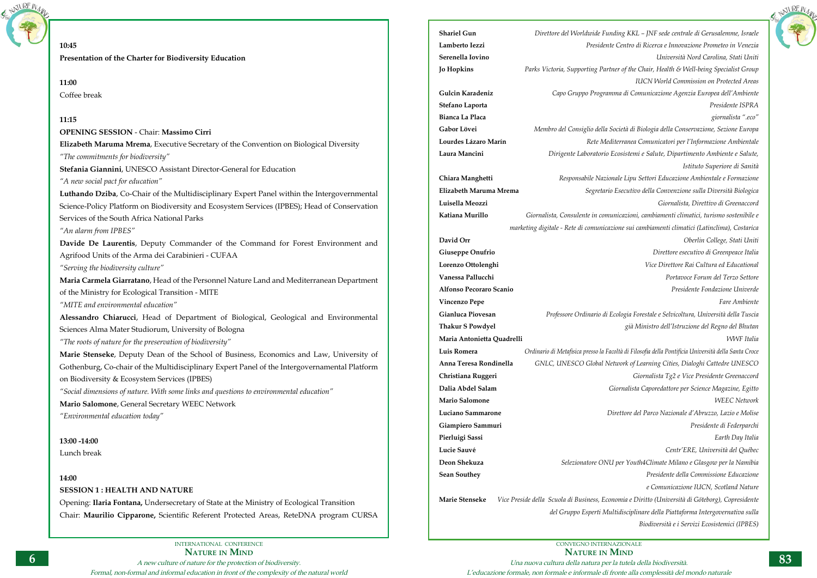

CONVEGNO INTERNAZIONALE **Nature in Mind** Una nuova cultura della natura per la tutela della biodiversità. L'educazione formale, non formale e informale di fronte alla complessità del mondo naturale



**10:45 Presentation of the Charter for Biodiversity Education 11:00** Coffee break **11:15 OPENING SESSION** - Chair: **Massimo Cirri Elizabeth Maruma Mrema**, Executive Secretary of the Convention on Biological Diversity *"The commitments for biodiversity"* **Stefania Giannini**, UNESCO Assistant Director-General for Education *"A new social pact for education"* **Luthando Dziba**, Co-Chair of the Multidisciplinary Expert Panel within the Intergovernmental Science-Policy Platform on Biodiversity and Ecosystem Services (IPBES); Head of Conservation Services of the South Africa National Parks *"An alarm from IPBES"* **Davide De Laurentis**, Deputy Commander of the Command for Forest Environment and Agrifood Units of the Arma dei Carabinieri - CUFAA *"Serving the biodiversity culture"* **Maria Carmela Giarratano**, Head of the Personnel Nature Land and Mediterranean Department of the Ministry for Ecological Transition - MITE *"MITE and environmental education"* **Alessandro Chiarucci**, Head of Department of Biological, Geological and Environmental Sciences Alma Mater Studiorum, University of Bologna *"The roots of nature for the preservation of biodiversity"* **Marie Stenseke**, Deputy Dean of the School of Business, Economics and Law, University of Gothenburg, Co-chair of the Multidisciplinary Expert Panel of the Intergovernamental Platform on Biodiversity & Ecosystem Services (IPBES) *"Social dimensions of nature. With some links and questions to environmental education"* **Mario Salomone**, General Secretary WEEC Network *"Environmental education today"* **13:00 -14:00** Lunch break **14:00 SESSION 1 : HEALTH AND NATURE** Opening: **Ilaria Fontana,** Undersecretary of State at the Ministry of Ecological Transition Chair: **Maurilio Cipparone,** Scientific Referent Protected Areas, ReteDNA program CURSA **Shariel Gun** *Direttore del Worldwide Funding KKL – JNF sede centrale di Gerusalemme, Israele* **Lamberto Iezzi** *Presidente Centro di Ricerca e Innovazione Prometeo in Venezia* **Serenella Iovino** *Università Nord Carolina, Stati Uniti* **Jo Hopkins** *Parks Victoria, Supporting Partner of the Chair, Health & Well-being Specialist Group*  **Gulcin Karadeniz** *Capo Gruppo Programma di Comunicazione Agenzia Europea dell'Ambiente* **Stefano Laporta** *Presidente ISPRA* **Bianca La Placa** *giornalista ".eco"* **Gabor Lövei** *Membro del Consiglio della Società di Biologia della Conservazione, Sezione Europa* **Lourdes Lázaro Marín** *Rete Mediterranea Comunicatori per l'Informazione Ambientale* **Laura Mancini** *Dirigente Laboratorio Ecosistemi e Salute, Dipartimento Ambiente e Salute,*  **Chiara Manghetti** *Responsabile Nazionale Lipu Settori Educazione Ambientale e Formazione*  **Elizabeth Maruma Mrema** *Segretario Esecutivo della Convenzione sulla Diversità Biologica* **Luisella Meozzi** *Giornalista, Direttivo di Greenaccord* **Katiana Murillo** *Giornalista, Consulente in comunicazioni, cambiamenti climatici, turismo sostenibile e*  **David Orr** *Oberlin College, Stati Uniti* **Giuseppe Onufrio** *Direttore esecutivo di Greenpeace Italia* **Lorenzo Ottolenghi** *Vice Direttore Rai Cultura ed Educational* **Vanessa Pallucchi** *Portavoce Forum del Terzo Settore* **Alfonso Pecoraro Scanio** *Presidente Fondazione Univerde* **Vincenzo Pepe** *Fare Ambiente* **Gianluca Piovesan** *Professore Ordinario di Ecologia Forestale e Selvicoltura, Università della Tuscia* **Thakur S Powdyel** *già Ministro dell'Istruzione del Regno del Bhutan* **Maria Antonietta Quadrelli** *WWF Italia* **Luis Romera** *Ordinario di Metafisica presso la Facoltà di Filosofia della Pontificia Università della Santa Croce* **Anna Teresa Rondinella** *GNLC, UNESCO Global Network of Learning Cities, Dialoghi Cattedre UNESCO* **Christiana Ruggeri** *Giornalista Tg2 e Vice Presidente Greenaccord* **Dalia Abdel Salam** *Giornalista Caporedattore per Science Magazine, Egitto* **Mario Salomone** *WEEC Network* **Luciano Sammarone** *Direttore del Parco Nazionale d'Abruzzo, Lazio e Molise* **Giampiero Sammuri** *Presidente di Federparchi* **Pierluigi Sassi** *Earth Day Italia* **Lucie Sauvé** *Centr'ERE, Università del Québec* **Deon Shekuza** *Selezionatore ONU per Youth4Climate Milano e Glasgow per la Namibia* **Sean Southey** *Presidente della Commissione Educazione* **Marie Stenseke** *Vice Preside della Scuola di Business, Economia e Diritto (Università di Göteborg), Copresidente* 

*IUCN World Commission on Protected Areas*

*Istituto Superiore di Sanità*

*marketing digitale - Rete di comunicazione sui cambiamenti climatici (Latinclima), Costarica*

*e Comunicazione IUCN, Scotland Nature del Gruppo Esperti Multidisciplinare della Piattaforma Intergovernativa sulla Biodiversità e i Servizi Ecosistemici (IPBES)*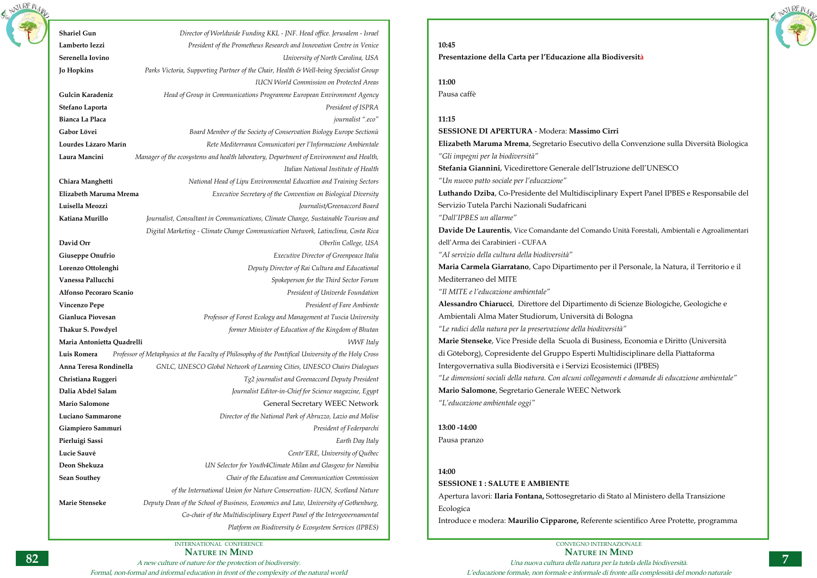Formal, non-formal and informal education in front of the complexity of the natural world



| <b>Shariel Gun</b>         | Director of Worldwide Funding KKL - JNF. Head office. Jerusalem - Israel                             |
|----------------------------|------------------------------------------------------------------------------------------------------|
| Lamberto Iezzi             | President of the Prometheus Research and Innovation Centre in Venice                                 |
| Serenella Iovino           | University of North Carolina, USA                                                                    |
| <b>Jo Hopkins</b>          | Parks Victoria, Supporting Partner of the Chair, Health & Well-being Specialist Group                |
|                            | <b>IUCN World Commission on Protected Areas</b>                                                      |
| Gulcin Karadeniz           | Head of Group in Communications Programme European Environment Agency                                |
| Stefano Laporta            | President of ISPRA                                                                                   |
| Bianca La Placa            | journalist ".eco"                                                                                    |
| Gabor Lövei                | Board Member of the Society of Conservation Biology Europe Sectionù                                  |
| Lourdes Lázaro Marín       | Rete Mediterranea Comunicatori per l'Informazione Ambientale                                         |
| Laura Mancini              | Manager of the ecosystems and health laboratory, Department of Environment and Health,               |
|                            | Italian National Institute of Health                                                                 |
| Chiara Manghetti           | National Head of Lipu Environmental Education and Training Sectors                                   |
| Elizabeth Maruma Mrema     | Executive Secretary of the Convention on Biological Diversity                                        |
| Luisella Meozzi            | Journalist/Greenaccord Board                                                                         |
| Katiana Murillo            | Journalist, Consultant in Communications, Climate Change, Sustainable Tourism and                    |
|                            | Digital Marketing - Climate Change Communication Network, Latinclima, Costa Rica                     |
| David Orr                  | Oberlin College, USA                                                                                 |
| Giuseppe Onufrio           | Executive Director of Greenpeace Italia                                                              |
| Lorenzo Ottolenghi         | Deputy Director of Rai Cultura and Educational                                                       |
| Vanessa Pallucchi          | Spokeperson for the Third Sector Forum                                                               |
| Alfonso Pecoraro Scanio    | President of Univerde Foundation                                                                     |
| <b>Vincenzo Pepe</b>       | President of Fare Ambiente                                                                           |
| Gianluca Piovesan          | Professor of Forest Ecology and Management at Tuscia University                                      |
| <b>Thakur S. Powdyel</b>   | former Minister of Education of the Kingdom of Bhutan                                                |
| Maria Antonietta Quadrelli | <b>WWF</b> Italy                                                                                     |
| Luis Romera                | Professor of Metaphysics at the Faculty of Philosophy of the Pontifical University of the Holy Cross |
| Anna Teresa Rondinella     | GNLC, UNESCO Global Network of Learning Cities, UNESCO Chairs Dialogues                              |
| Christiana Ruggeri         | Tg2 journalist and Greenaccord Deputy President                                                      |
| Dalia Abdel Salam          | Journalist Editor-in-Chief for Science magazine, Egypt                                               |
| <b>Mario Salomone</b>      | <b>General Secretary WEEC Network</b>                                                                |
| Luciano Sammarone          | Director of the National Park of Abruzzo, Lazio and Molise                                           |
| Giampiero Sammuri          | President of Federparchi                                                                             |
| Pierluigi Sassi            | Earth Day Italy                                                                                      |
| Lucie Sauvé                | Centr'ERE, University of Québec                                                                      |
| Deon Shekuza               | UN Selector for Youth4Climate Milan and Glasgow for Namibia                                          |
| <b>Sean Southey</b>        | Chair of the Education and Communication Commission                                                  |
|                            | of the International Union for Nature Conservation- IUCN, Scotland Nature                            |
| Marie Stenseke             | Deputy Dean of the School of Business, Economics and Law, University of Gothenburg,                  |
|                            | Co-chair of the Multidisciplinary Expert Panel of the Intergovernamental                             |
|                            | Platform on Biodiversity & Ecosystem Services (IPBES)                                                |

CONVEGNO INTERNAZIONALE **Nature in Mind** Una nuova cultura della natura per la tutela della biodiversità. L'educazione formale, non formale e informale di fronte alla complessità del mondo naturale

**10:45**

**Presentazione della Carta per l'Educazione alla Biodiversità**

**11:00**

Pausa caffè

## **11:15**

**SESSIONE DI APERTURA** - Modera: **Massimo Cirri Elizabeth Maruma Mrema**, Segretario Esecutivo della Convenzione sulla Diversità Biologica *"Gli impegni per la biodiversità"* **Stefania Giannini**, Vicedirettore Generale dell'Istruzione dell'UNESCO *"Un nuovo patto sociale per l'educazione"* **Luthando Dziba**, Co-Presidente del Multidisciplinary Expert Panel IPBES e Responsabile del Servizio Tutela Parchi Nazionali Sudafricani *"Dall'IPBES un allarme"* **Davide De Laurentis**, Vice Comandante del Comando Unità Forestali, Ambientali e Agroalimentari dell'Arma dei Carabinieri - CUFAA *"Al servizio della cultura della biodiversità"* **Maria Carmela Giarratano**, Capo Dipartimento per il Personale, la Natura, il Territorio e il Mediterraneo del MITE *"Il MITE e l'educazione ambientale"* **Alessandro Chiarucci**, Direttore del Dipartimento di Scienze Biologiche, Geologiche e Ambientali Alma Mater Studiorum, Università di Bologna *"Le radici della natura per la preservazione della biodiversità"* **Marie Stenseke**, Vice Preside della Scuola di Business, Economia e Diritto (Università di Göteborg), Copresidente del Gruppo Esperti Multidisciplinare della Piattaforma Intergovernativa sulla Biodiversità e i Servizi Ecosistemici (IPBES) *"Le dimensioni sociali della natura. Con alcuni collegamenti e domande di educazione ambientale"* **Mario Salomone**, Segretario Generale WEEC Network *"L'educazione ambientale oggi"*

**13:00 -14:00** Pausa pranzo

## **14:00**

**SESSIONE 1 : SALUTE E AMBIENTE** Apertura lavori: **Ilaria Fontana,** Sottosegretario di Stato al Ministero della Transizione Ecologica

Introduce e modera: **Maurilio Cipparone,** Referente scientifico Aree Protette, programma



NATURE N<sub>14</sub>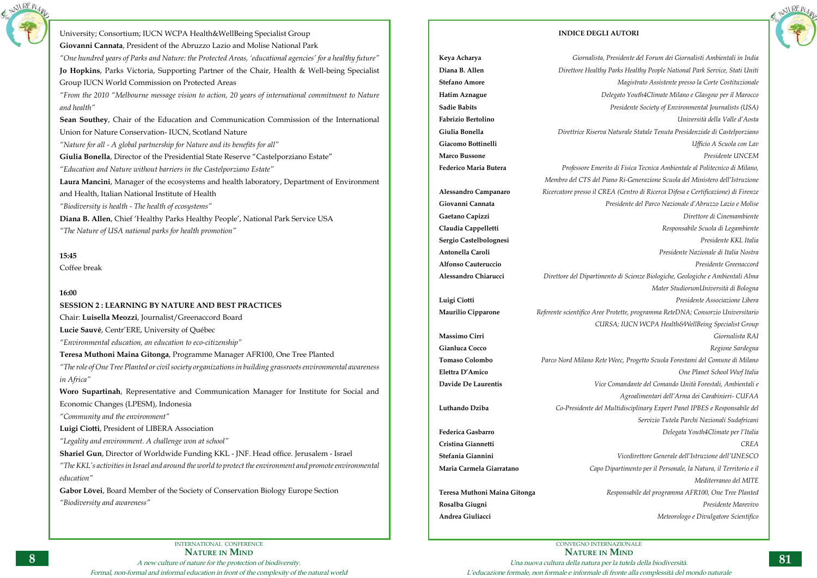

University; Consortium; IUCN WCPA Health&WellBeing Specialist Group **Giovanni Cannata**, President of the Abruzzo Lazio and Molise National Park *"One hundred years of Parks and Nature: the Protected Areas, 'educational agencies' for a healthy future"* **Jo Hopkins**, Parks Victoria, Supporting Partner of the Chair, Health & Well-being Specialist Group IUCN World Commission on Protected Areas *"From the 2010 "Melbourne message vision to action, 20 years of international commitment to Nature and health"* **Sean Southey**, Chair of the Education and Communication Commission of the International Union for Nature Conservation- IUCN, Scotland Nature *"Nature for all - A global partnership for Nature and its benefits for all"* **Giulia Bonella**, Director of the Presidential State Reserve "Castelporziano Estate" *"Education and Nature without barriers in the Castelporziano Estate"*  **Laura Mancini**, Manager of the ecosystems and health laboratory, Department of Environment and Health, Italian National Institute of Health *"Biodiversity is health - The health of ecosystems"* **Diana B. Allen**, Chief 'Healthy Parks Healthy People', National Park Service USA *"The Nature of USA national parks for health promotion"* **15:45** Coffee break **16:00 SESSION 2 : LEARNING BY NATURE AND BEST PRACTICES** Chair: **Luisella Meozzi**, Journalist/Greenaccord Board **Lucie Sauvé**, Centr'ERE, University of Québec *"Environmental education, an education to eco-citizenship"* **Teresa Muthoni Maina Gitonga**, Programme Manager AFR100, One Tree Planted *"The role of One Tree Planted or civil society organizations in building grassroots environmental awareness in Africa"* **Woro Supartinah**, Representative and Communication Manager for Institute for Social and Economic Changes (LPESM), Indonesia *"Community and the environment"* **Luigi Ciotti**, President of LIBERA Association *"Legality and environment. A challenge won at school"* **Shariel Gun**, Director of Worldwide Funding KKL - JNF. Head office. Jerusalem - Israel *"The KKL's activities in Israel and around the world to protect the environment and promote environmental education"* **Gabor Lövei**, Board Member of the Society of Conservation Biology Europe Section *"Biodiversity and awareness"*

CONVEGNO INTERNAZIONALE **Nature in Mind** Una nuova cultura della natura per la tutela della biodiversità. L'educazione formale, non formale e informale di fronte alla complessità del mondo naturale

## **INDICE DEGLI AUTORI**



NATURE N<sub>12</sub>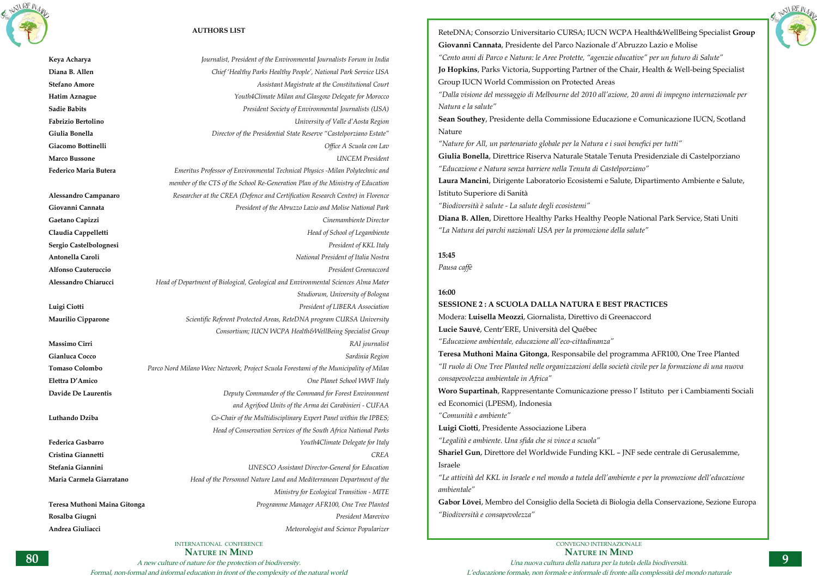INTERNATIONAL CONFERENCE **Nature in Mind**

A new culture of nature for the protection of biodiversity.

Formal, non-formal and informal education in front of the complexity of the natural world





## **AUTHORS LIST**

**Keya Acharya** *Journalist, President of the Environmental Journalists Forum in India* **Diana B. Allen** *Chief 'Healthy Parks Healthy People', National Park Service USA* **Stefano Amore** *Assistant Magistrate at the Constitutional Court* **Hatim Aznague** *Youth4Climate Milan and Glasgow Delegate for Morocco* **Sadie Babits** *President Society of Environmental Journalists (USA)* **Fabrizio Bertolino** *University of Valle d'Aosta Region* **Giulia Bonella** *Director of the Presidential State Reserve "Castelporziano Estate"* **Giacomo Bottinelli** *Office A Scuola con Lav* **Marco Bussone** *UNCEM President* **Federico Maria Butera** *Emeritus Professor of Environmental Technical Physics -Milan Polytechnic and member of the CTS of the School Re-Generation Plan of the Ministry of Education* **Alessandro Campanaro** *Researcher at the CREA (Defence and Certification Research Centre) in Florence* **Giovanni Cannata** *President of the Abruzzo Lazio and Molise National Park* **Gaetano Capizzi** *Cinemambiente Director* **Claudia Cappelletti** *Head of School of Legambiente* **Sergio Castelbolognesi** *President of KKL Italy* **Antonella Caroli** *National President of Italia Nostra* **Alfonso Cauteruccio** *President Greenaccord* **Alessandro Chiarucci** *Head of Department of Biological, Geological and Environmental Sciences Alma Mater Studiorum, University of Bologna* **Luigi Ciotti** *President of LIBERA Association* **Maurilio Cipparone** *Scientific Referent Protected Areas, ReteDNA program CURSA University Consortium; IUCN WCPA Health&WellBeing Specialist Group* **Massimo Cirri** *RAI journalist* **Gianluca Cocco** *Sardinia Region* **Tomaso Colombo** *Parco Nord Milano Weec Network, Project Scuola Forestami of the Municipality of Milan* **Elettra D'Amico** *One Planet School WWF Italy* **Davide De Laurentis** *Deputy Commander of the Command for Forest Environment and Agrifood Units of the Arma dei Carabinieri - CUFAA*  **Luthando Dziba** *Co-Chair of the Multidisciplinary Expert Panel within the IPBES; Head of Conservation Services of the South Africa National Parks* **Federica Gasbarro** *Youth4Climate Delegate for Italy* **Cristina Giannetti** *CREA* **Stefania Giannini** *UNESCO Assistant Director-General for Education* **Maria Carmela Giarratano** *Head of the Personnel Nature Land and Mediterranean Department of the Ministry for Ecological Transition - MITE* **Teresa Muthoni Maina Gitonga** *Programme Manager AFR100, One Tree Planted* **Rosalba Giugni** *President Marevivo* **Andrea Giuliacci** *Meteorologist and Science Popularizer*

> CONVEGNO INTERNAZIONALE **Nature in Mind** Una nuova cultura della natura per la tutela della biodiversità. L'educazione formale, non formale e informale di fronte alla complessità del mondo naturale

ReteDNA; Consorzio Universitario CURSA; IUCN WCPA Health&WellBeing Specialist **Group Giovanni Cannata**, Presidente del Parco Nazionale d'Abruzzo Lazio e Molise *"Cento anni di Parco e Natura: le Aree Protette, "agenzie educative" per un futuro di Salute"*  **Jo Hopkins**, Parks Victoria, Supporting Partner of the Chair, Health & Well-being Specialist Group IUCN World Commission on Protected Areas *"Dalla visione del messaggio di Melbourne del 2010 all'azione, 20 anni di impegno internazionale per Natura e la salute"*

**Sean Southey**, Presidente della Commissione Educazione e Comunicazione IUCN, Scotland Nature

*"Nature for All, un partenariato globale per la Natura e i suoi benefici per tutti"* **Giulia Bonella**, Direttrice Riserva Naturale Statale Tenuta Presidenziale di Castelporziano *"Educazione e Natura senza barriere nella Tenuta di Castelporziano"*  **Laura Mancini**, Dirigente Laboratorio Ecosistemi e Salute, Dipartimento Ambiente e Salute, Istituto Superiore di Sanità

*"Biodiversità è salute - La salute degli ecosistemi"*

**Diana B. Allen**, Direttore Healthy Parks Healthy People National Park Service, Stati Uniti *"La Natura dei parchi nazionali USA per la promozione della salute"*

## **15:45**

*Pausa caffè*

## **16:00**

**SESSIONE 2 : A SCUOLA DALLA NATURA E BEST PRACTICES** Modera: **Luisella Meozzi**, Giornalista, Direttivo di Greenaccord **Lucie Sauvé**, Centr'ERE, Università del Québec *"Educazione ambientale, educazione all'eco-cittadinanza"* **Teresa Muthoni Maina Gitonga**, Responsabile del programma AFR100, One Tree Planted *"Il ruolo di One Tree Planted nelle organizzazioni della società civile per la formazione di una nuova consapevolezza ambientale in Africa"* **Woro Supartinah**, Rappresentante Comunicazione presso l' Istituto per i Cambiamenti Sociali ed Economici (LPESM), Indonesia *"Comunità e ambiente"* **Luigi Ciotti**, Presidente Associazione Libera *"Legalità e ambiente. Una sfida che si vince a scuola"* **Shariel Gun**, Direttore del Worldwide Funding KKL – JNF sede centrale di Gerusalemme, Israele *"Le attività del KKL in Israele e nel mondo a tutela dell'ambiente e per la promozione dell'educazione ambientale"* **Gabor Lövei**, Membro del Consiglio della Società di Biologia della Conservazione, Sezione Europa *"Biodiversità e consapevolezza"*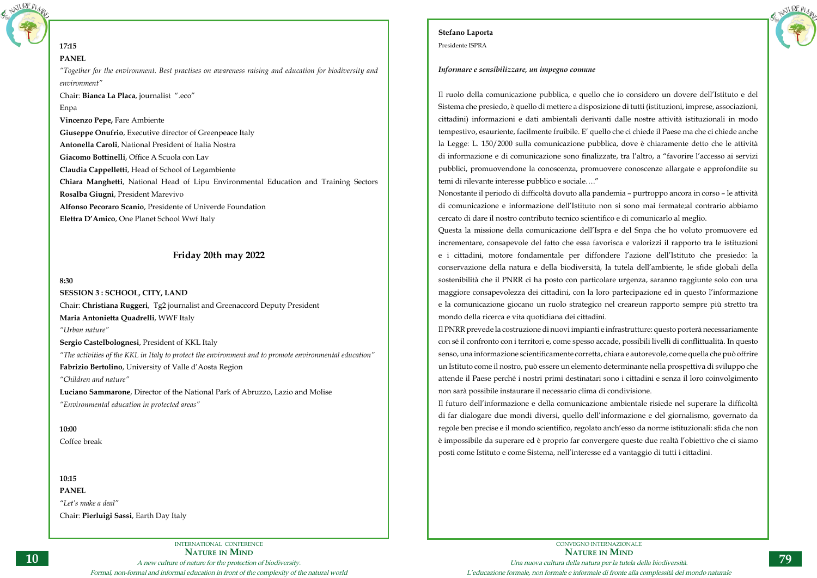

## **17:15 PANEL**

*"Together for the environment. Best practises on awareness raising and education for biodiversity and environment"*

Chair: **Bianca La Placa**, journalist ".eco"

## Enpa

**Vincenzo Pepe,** Fare Ambiente

**Giuseppe Onufrio**, Executive director of Greenpeace Italy

**Antonella Caroli**, National President of Italia Nostra

**Giacomo Bottinelli**, Office A Scuola con Lav

**Claudia Cappelletti**, Head of School of Legambiente

**Chiara Manghetti**, National Head of Lipu Environmental Education and Training Sectors

**Rosalba Giugni**, President Marevivo

**Alfonso Pecoraro Scanio**, Presidente of Univerde Foundation

**Elettra D'Amico**, One Planet School Wwf Italy

## **Friday 20th may 2022**

## **8:30**

**SESSION 3 : SCHOOL, CITY, LAND** Chair: **Christiana Ruggeri**, Tg2 journalist and Greenaccord Deputy President **Maria Antonietta Quadrelli**, WWF Italy

*"Urban nature"*

**Sergio Castelbolognesi**, President of KKL Italy

*"The activities of the KKL in Italy to protect the environment and to promote environmental education"* **Fabrizio Bertolino**, University of Valle d'Aosta Region

*"Children and nature"*

**Luciano Sammarone**, Director of the National Park of Abruzzo, Lazio and Molise *"Environmental education in protected areas"*

**10:00** Coffee break

**10:15 PANEL** *"Let's make a deal"* Chair: **Pierluigi Sassi**, Earth Day Italy



## **Stefano Laporta**

Presidente ISPRA

## *Informare e sensibilizzare, un impegno comune*

Il ruolo della comunicazione pubblica, e quello che io considero un dovere dell'Istituto e del Sistema che presiedo, è quello di mettere a disposizione di tutti (istituzioni, imprese, associazioni, cittadini) informazioni e dati ambientali derivanti dalle nostre attività istituzionali in modo tempestivo, esauriente, facilmente fruibile. E' quello che ci chiede il Paese ma che ci chiede anche la Legge: L. 150/2000 sulla comunicazione pubblica, dove è chiaramente detto che le attività di informazione e di comunicazione sono finalizzate, tra l'altro, a "favorire l'accesso ai servizi pubblici, promuovendone la conoscenza, promuovere conoscenze allargate e approfondite su temi di rilevante interesse pubblico e sociale…."

Nonostante il periodo di difficoltà dovuto alla pandemia – purtroppo ancora in corso – le attività di comunicazione e informazione dell'Istituto non si sono mai fermate;al contrario abbiamo cercato di dare il nostro contributo tecnico scientifico e di comunicarlo al meglio. Questa la missione della comunicazione dell'Ispra e del Snpa che ho voluto promuovere ed incrementare, consapevole del fatto che essa favorisca e valorizzi il rapporto tra le istituzioni e i cittadini, motore fondamentale per diffondere l'azione dell'Istituto che presiedo: la conservazione della natura e della biodiversità, la tutela dell'ambiente, le sfide globali della sostenibilità che il PNRR ci ha posto con particolare urgenza, saranno raggiunte solo con una maggiore consapevolezza dei cittadini, con la loro partecipazione ed in questo l'informazione e la comunicazione giocano un ruolo strategico nel creareun rapporto sempre più stretto tra mondo della ricerca e vita quotidiana dei cittadini.

Il PNRR prevede la costruzione di nuovi impianti e infrastrutture: questo porterà necessariamente con sé il confronto con i territori e, come spesso accade, possibili livelli di conflittualità. In questo senso, una informazione scientificamente corretta, chiara e autorevole, come quella che può offrire un Istituto come il nostro, può essere un elemento determinante nella prospettiva di sviluppo che attende il Paese perché i nostri primi destinatari sono i cittadini e senza il loro coinvolgimento non sarà possibile instaurare il necessario clima di condivisione. Il futuro dell'informazione e della comunicazione ambientale risiede nel superare la difficoltà di far dialogare due mondi diversi, quello dell'informazione e del giornalismo, governato da regole ben precise e il mondo scientifico, regolato anch'esso da norme istituzionali: sfida che non è impossibile da superare ed è proprio far convergere queste due realtà l'obiettivo che ci siamo posti come Istituto e come Sistema, nell'interesse ed a vantaggio di tutti i cittadini.

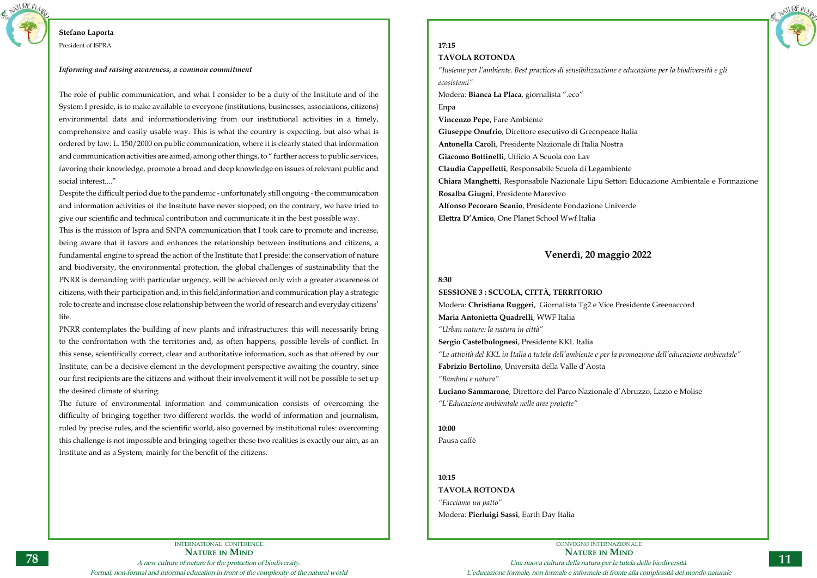INTERNATIONAL CONFERENCE **Nature in Mind** A new culture of nature for the protection of biodiversity. Formal, non-formal and informal education in front of the complexity of the natural world



## **Stefano Laporta**

President of ISPRA

## *Informing and raising awareness, a common commitment*

The role of public communication, and what I consider to be a duty of the Institute and of the System I preside, is to make available to everyone (institutions, businesses, associations, citizens) environmental data and informationderiving from our institutional activities in a timely, comprehensive and easily usable way. This is what the country is expecting, but also what is ordered by law: L. 150/2000 on public communication, where it is clearly stated that information and communication activities are aimed, among other things, to " further access to public services, favoring their knowledge, promote a broad and deep knowledge on issues of relevant public and social interest...."

Despite the difficult period due to the pandemic - unfortunately still ongoing - the communication and information activities of the Institute have never stopped; on the contrary, we have tried to give our scientific and technical contribution and communicate it in the best possible way.

This is the mission of Ispra and SNPA communication that I took care to promote and increase, being aware that it favors and enhances the relationship between institutions and citizens, a fundamental engine to spread the action of the Institute that I preside: the conservation of nature and biodiversity, the environmental protection, the global challenges of sustainability that the PNRR is demanding with particular urgency, will be achieved only with a greater awareness of citizens, with their participation and, in this field,information and communication play a strategic role to create and increase close relationship between the world of research and everyday citizens' life.

PNRR contemplates the building of new plants and infrastructures: this will necessarily bring to the confrontation with the territories and, as often happens, possible levels of conflict. In this sense, scientifically correct, clear and authoritative information, such as that offered by our Institute, can be a decisive element in the development perspective awaiting the country, since our first recipients are the citizens and without their involvement it will not be possible to set up the desired climate of sharing.

The future of environmental information and communication consists of overcoming the difficulty of bringing together two different worlds, the world of information and journalism, ruled by precise rules, and the scientific world, also governed by institutional rules: overcoming this challenge is not impossible and bringing together these two realities is exactly our aim, as an Institute and as a System, mainly for the benefit of the citizens.

# **17:15**

## **TAVOLA ROTONDA**

*"Insieme per l'ambiente. Best practices di sensibilizzazione e educazione per la biodiversità e gli ecosistemi"*

Modera: **Bianca La Placa**, giornalista ".eco" Enpa

**Vincenzo Pepe,** Fare Ambiente

**Giuseppe Onufrio**, Direttore esecutivo di Greenpeace Italia **Antonella Caroli**, Presidente Nazionale di Italia Nostra **Giacomo Bottinelli**, Ufficio A Scuola con Lav **Claudia Cappelletti**, Responsabile Scuola di Legambiente **Chiara Manghetti**, Responsabile Nazionale Lipu Settori Educazione Ambientale e Formazione **Rosalba Giugni**, Presidente Marevivo **Alfonso Pecoraro Scanio**, Presidente Fondazione Univerde **Elettra D'Amico**, One Planet School Wwf Italia

## **Venerdì, 20 maggio 2022**

## **8:30**

**SESSIONE 3 : SCUOLA, CITTÀ, TERRITORIO** Modera: **Christiana Ruggeri**, Giornalista Tg2 e Vice Presidente Greenaccord **Maria Antonietta Quadrelli**, WWF Italia *"Urban nature: la natura in città"* **Sergio Castelbolognesi**, Presidente KKL Italia *"Le attività del KKL in Italia a tutela dell'ambiente e per la promozione dell'educazione ambientale"* **Fabrizio Bertolino**, Università della Valle d'Aosta *"Bambini e natura"* **Luciano Sammarone**, Direttore del Parco Nazionale d'Abruzzo, Lazio e Molise

*"L'Educazione ambientale nelle aree protette"*

**10:00** Pausa caffè

**10:15**

**TAVOLA ROTONDA**

*"Facciamo un patto"* Modera: **Pierluigi Sassi**, Earth Day Italia NATURE N<sub>A</sub>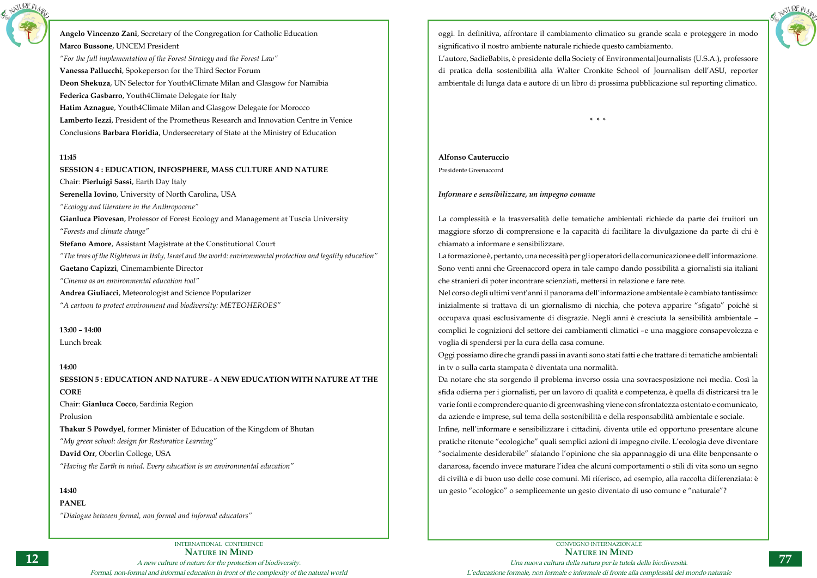

**Angelo Vincenzo Zani**, Secretary of the Congregation for Catholic Education **Marco Bussone**, UNCEM President *"For the full implementation of the Forest Strategy and the Forest Law"* **Vanessa Pallucchi**, Spokeperson for the Third Sector Forum **Deon Shekuza**, UN Selector for Youth4Climate Milan and Glasgow for Namibia **Federica Gasbarro**, Youth4Climate Delegate for Italy **Hatim Aznague**, Youth4Climate Milan and Glasgow Delegate for Morocco **Lamberto Iezzi**, President of the Prometheus Research and Innovation Centre in Venice Conclusions **Barbara Floridia**, Undersecretary of State at the Ministry of Education

## **11:45**

## **SESSION 4 : EDUCATION, INFOSPHERE, MASS CULTURE AND NATURE**

Chair: **Pierluigi Sassi**, Earth Day Italy

**Serenella Iovino**, University of North Carolina, USA

*"Ecology and literature in the Anthropocene"*

**Gianluca Piovesan**, Professor of Forest Ecology and Management at Tuscia University

*"Forests and climate change"*

**Stefano Amore**, Assistant Magistrate at the Constitutional Court

*"The trees of the Righteous in Italy, Israel and the world: environmental protection and legality education"*

**Gaetano Capizzi**, Cinemambiente Director

*"Cinema as an environmental education tool"*

**Andrea Giuliacci**, Meteorologist and Science Popularizer

*"A cartoon to protect environment and biodiversity: METEOHEROES"*

## **13:00 – 14:00**

Lunch break

## **14:00**

**SESSION 5 : EDUCATION AND NATURE - A NEW EDUCATION WITH NATURE AT THE CORE**

Chair: **Gianluca Cocco**, Sardinia Region

Prolusion

**Thakur S Powdyel**, former Minister of Education of the Kingdom of Bhutan *"My green school: design for Restorative Learning"*

**David Orr**, Oberlin College, USA

*"Having the Earth in mind. Every education is an environmental education"*

## **14:40**

**PANEL**

*"Dialogue between formal, non formal and informal educators"*



CONVEGNO INTERNAZIONALE **Nature in Mind** Una nuova cultura della natura per la tutela della biodiversità. L'educazione formale, non formale e informale di fronte alla complessità del mondo naturale

oggi. In definitiva, affrontare il cambiamento climatico su grande scala e proteggere in modo significativo il nostro ambiente naturale richiede questo cambiamento. L'autore, SadieBabits, è presidente della Society of EnvironmentalJournalists (U.S.A.), professore di pratica della sostenibilità alla Walter Cronkite School of Journalism dell'ASU, reporter ambientale di lunga data e autore di un libro di prossima pubblicazione sul reporting climatico.

**\* \* \***

## **Alfonso Cauteruccio**

Presidente Greenaccord

## *Informare e sensibilizzare, un impegno comune*

La complessità e la trasversalità delle tematiche ambientali richiede da parte dei fruitori un maggiore sforzo di comprensione e la capacità di facilitare la divulgazione da parte di chi è chiamato a informare e sensibilizzare.

La formazione è, pertanto, una necessità per gli operatori della comunicazione e dell'informazione. Sono venti anni che Greenaccord opera in tale campo dando possibilità a giornalisti sia italiani che stranieri di poter incontrare scienziati, mettersi in relazione e fare rete. Nel corso degli ultimi vent'anni il panorama dell'informazione ambientale è cambiato tantissimo: inizialmente si trattava di un giornalismo di nicchia, che poteva apparire "sfigato" poiché si occupava quasi esclusivamente di disgrazie. Negli anni è cresciuta la sensibilità ambientale – complici le cognizioni del settore dei cambiamenti climatici –e una maggiore consapevolezza e voglia di spendersi per la cura della casa comune. Oggi possiamo dire che grandi passi in avanti sono stati fatti e che trattare di tematiche ambientali in tv o sulla carta stampata è diventata una normalità. Da notare che sta sorgendo il problema inverso ossia una sovraesposizione nei media. Così la sfida odierna per i giornalisti, per un lavoro di qualità e competenza, è quella di districarsi tra le varie fonti e comprendere quanto di greenwashing viene con sfrontatezza ostentato e comunicato, da aziende e imprese, sul tema della sostenibilità e della responsabilità ambientale e sociale. Infine, nell'informare e sensibilizzare i cittadini, diventa utile ed opportuno presentare alcune pratiche ritenute "ecologiche" quali semplici azioni di impegno civile. L'ecologia deve diventare "socialmente desiderabile" sfatando l'opinione che sia appannaggio di una élite benpensante o danarosa, facendo invece maturare l'idea che alcuni comportamenti o stili di vita sono un segno di civiltà e di buon uso delle cose comuni. Mi riferisco, ad esempio, alla raccolta differenziata: è un gesto "ecologico" o semplicemente un gesto diventato di uso comune e "naturale"?

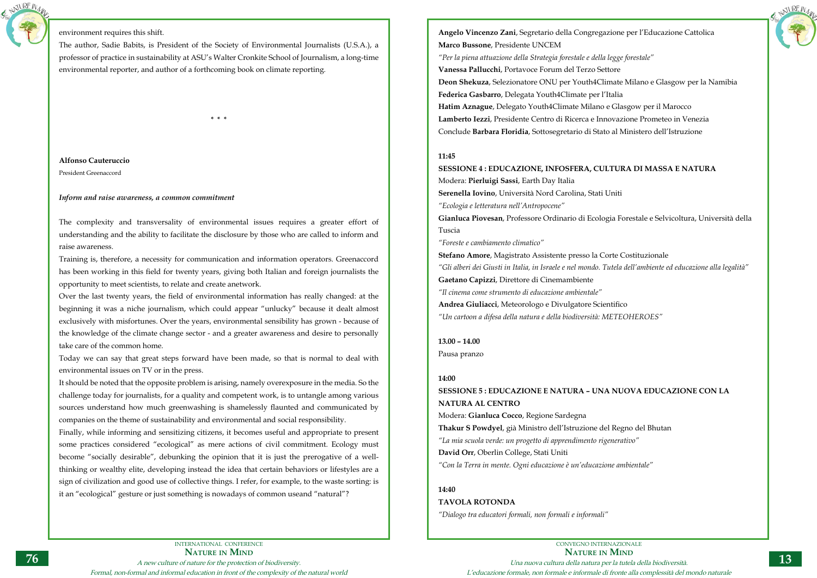

## environment requires this shift.

The author, Sadie Babits, is President of the Society of Environmental Journalists (U.S.A.), a professor of practice in sustainability at ASU's Walter Cronkite School of Journalism, a long-time environmental reporter, and author of a forthcoming book on climate reporting.

**\* \* \***

## **Alfonso Cauteruccio**

President Greenaccord

## *Inform and raise awareness, a common commitment*

The complexity and transversality of environmental issues requires a greater effort of understanding and the ability to facilitate the disclosure by those who are called to inform and raise awareness.

Training is, therefore, a necessity for communication and information operators. Greenaccord has been working in this field for twenty years, giving both Italian and foreign journalists the opportunity to meet scientists, to relate and create anetwork.

Over the last twenty years, the field of environmental information has really changed: at the beginning it was a niche journalism, which could appear "unlucky" because it dealt almost exclusively with misfortunes. Over the years, environmental sensibility has grown - because of the knowledge of the climate change sector - and a greater awareness and desire to personally take care of the common home.

Today we can say that great steps forward have been made, so that is normal to deal with environmental issues on TV or in the press.

It should be noted that the opposite problem is arising, namely overexposure in the media. So the challenge today for journalists, for a quality and competent work, is to untangle among various sources understand how much greenwashing is shamelessly flaunted and communicated by companies on the theme of sustainability and environmental and social responsibility.

Finally, while informing and sensitizing citizens, it becomes useful and appropriate to present some practices considered "ecological" as mere actions of civil commitment. Ecology must become "socially desirable", debunking the opinion that it is just the prerogative of a wellthinking or wealthy elite, developing instead the idea that certain behaviors or lifestyles are a sign of civilization and good use of collective things. I refer, for example, to the waste sorting: is it an "ecological" gesture or just something is nowadays of common useand "natural"?



**Angelo Vincenzo Zani**, Segretario della Congregazione per l'Educazione Cattolica **Marco Bussone**, Presidente UNCEM

*"Per la piena attuazione della Strategia forestale e della legge forestale"* **Vanessa Pallucchi**, Portavoce Forum del Terzo Settore **Deon Shekuza**, Selezionatore ONU per Youth4Climate Milano e Glasgow per la Namibia **Federica Gasbarro**, Delegata Youth4Climate per l'Italia **Hatim Aznague**, Delegato Youth4Climate Milano e Glasgow per il Marocco **Lamberto Iezzi**, Presidente Centro di Ricerca e Innovazione Prometeo in Venezia Conclude **Barbara Floridia**, Sottosegretario di Stato al Ministero dell'Istruzione

## **11:45**

**SESSIONE 4 : EDUCAZIONE, INFOSFERA, CULTURA DI MASSA E NATURA** Modera: **Pierluigi Sassi**, Earth Day Italia **Serenella Iovino**, Università Nord Carolina, Stati Uniti *"Ecologia e letteratura nell'Antropocene"* **Gianluca Piovesan**, Professore Ordinario di Ecologia Forestale e Selvicoltura, Università della Tuscia *"Foreste e cambiamento climatico"*

**Stefano Amore**, Magistrato Assistente presso la Corte Costituzionale *"Gli alberi dei Giusti in Italia, in Israele e nel mondo. Tutela dell'ambiente ed educazione alla legalità"* **Gaetano Capizzi**, Direttore di Cinemambiente *"Il cinema come strumento di educazione ambientale"* **Andrea Giuliacci**, Meteorologo e Divulgatore Scientifico *"Un cartoon a difesa della natura e della biodiversità: METEOHEROES"*

**13.00 – 14.00** Pausa pranzo

## **14:00**

**SESSIONE 5 : EDUCAZIONE E NATURA – UNA NUOVA EDUCAZIONE CON LA NATURA AL CENTRO**

Modera: **Gianluca Cocco**, Regione Sardegna **Thakur S Powdyel**, già Ministro dell'Istruzione del Regno del Bhutan *"La mia scuola verde: un progetto di apprendimento rigenerativo"*  **David Orr**, Oberlin College, Stati Uniti *"Con la Terra in mente. Ogni educazione è un'educazione ambientale"*

## **14:40**

## **TAVOLA ROTONDA**

*"Dialogo tra educatori formali, non formali e informali"*

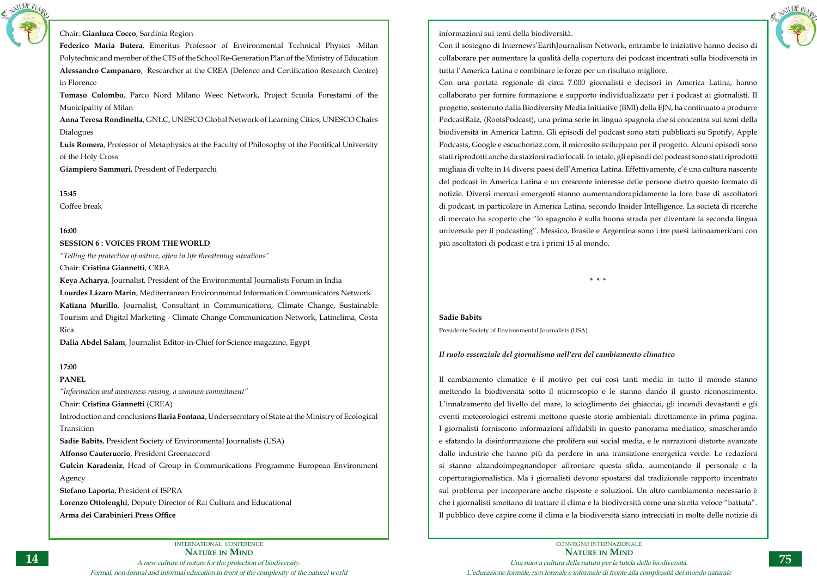INTERNATIONAL CONFERENCE



Chair: **Gianluca Cocco**, Sardinia Region

**Federico Maria Butera**, Emeritus Professor of Environmental Technical Physics -Milan Polytechnic and member of the CTS of the School Re-Generation Plan of the Ministry of Education **Alessandro Campanaro**, Researcher at the CREA (Defence and Certification Research Centre) in Florence

**Tomaso Colombo**, Parco Nord Milano Weec Network, Project Scuola Forestami of the Municipality of Milan

**Anna Teresa Rondinella**, GNLC, UNESCO Global Network of Learning Cities, UNESCO Chairs Dialogues

**Luis Romera**, Professor of Metaphysics at the Faculty of Philosophy of the Pontifical University of the Holy Cross

**Giampiero Sammuri**, President of Federparchi

**15:45**

Coffee break

## **16:00**

## **SESSION 6 : VOICES FROM THE WORLD**

*"Telling the protection of nature, often in life threatening situations"*

Chair: **Cristina Giannetti**, CREA

**Keya Acharya**, Journalist, President of the Environmental Journalists Forum in India **Lourdes Lázaro Marín**, Mediterranean Environmental Information Communicators Network **Katiana Murillo**, Journalist, Consultant in Communications, Climate Change, Sustainable Tourism and Digital Marketing - Climate Change Communication Network, Latinclima, Costa Rica

**Dalia Abdel Salam**, Journalist Editor-in-Chief for Science magazine, Egypt

## **17:00**

## **PANEL**

*"Information and awareness raising, a common commitment"*

Chair: **Cristina Giannetti** (CREA)

Introduction and conclusions **Ilaria Fontana**, Undersecretary of State at the Ministry of Ecological Transition

**Sadie Babits**, President Society of Environmental Journalists (USA)

**Alfonso Cauteruccio**, President Greenaccord

**Gulcin Karadeniz**, Head of Group in Communications Programme European Environment Agency

**Stefano Laporta**, President of ISPRA

**Lorenzo Ottolenghi**, Deputy Director of Rai Cultura and Educational

**Arma dei Carabinieri Press Office**



informazioni sui temi della biodiversità.

Con il sostegno di Internews'EarthJournalism Network, entrambe le iniziative hanno deciso di collaborare per aumentare la qualità della copertura dei podcast incentrati sulla biodiversità in tutta l'America Latina e combinare le forze per un risultato migliore. Con una portata regionale di circa 7.000 giornalisti e decisori in America Latina, hanno collaborato per fornire formazione e supporto individualizzato per i podcast ai giornalisti. Il progetto, sostenuto dalla Biodiversity Media Initiative (BMI) della EJN, ha continuato a produrre PodcastRaiz, (RootsPodcast), una prima serie in lingua spagnola che si concentra sui temi della biodiversità in America Latina. Gli episodi del podcast sono stati pubblicati su Spotify, Apple Podcasts, Google e escuchoriaz.com, il microsito sviluppato per il progetto. Alcuni episodi sono stati riprodotti anche da stazioni radio locali. In totale, gli episodi del podcast sono stati riprodotti migliaia di volte in 14 diversi paesi dell'America Latina. Effettivamente, c'è una cultura nascente del podcast in America Latina e un crescente interesse delle persone dietro questo formato di notizie. Diversi mercati emergenti stanno aumentandorapidamente la loro base di ascoltatori di podcast, in particolare in America Latina, secondo Insider Intelligence. La società di ricerche di mercato ha scoperto che "lo spagnolo è sulla buona strada per diventare la seconda lingua universale per il podcasting". Messico, Brasile e Argentina sono i tre paesi latinoamericani con più ascoltatori di podcast e tra i primi 15 al mondo.

**\* \* \***

**Sadie Babits** Presidente Society of Environmental Journalists (USA)

## *Il ruolo essenziale del giornalismo nell'era del cambiamento climatico*

Il cambiamento climatico è il motivo per cui così tanti media in tutto il mondo stanno mettendo la biodiversità sotto il microscopio e le stanno dando il giusto riconoscimento. L'innalzamento del livello del mare, lo scioglimento dei ghiacciai, gli incendi devastanti e gli eventi meteorologici estremi mettono queste storie ambientali direttamente in prima pagina. I giornalisti forniscono informazioni affidabili in questo panorama mediatico, smascherando e sfatando la disinformazione che prolifera sui social media, e le narrazioni distorte avanzate dalle industrie che hanno più da perdere in una transizione energetica verde. Le redazioni si stanno alzandoimpegnandoper affrontare questa sfida, aumentando il personale e la coperturagiornalistica. Ma i giornalisti devono spostarsi dal tradizionale rapporto incentrato sul problema per incorporare anche risposte e soluzioni. Un altro cambiamento necessario è che i giornalisti smettano di trattare il clima e la biodiversità come una stretta veloce "battuta". Il pubblico deve capire come il clima e la biodiversità siano intrecciati in molte delle notizie di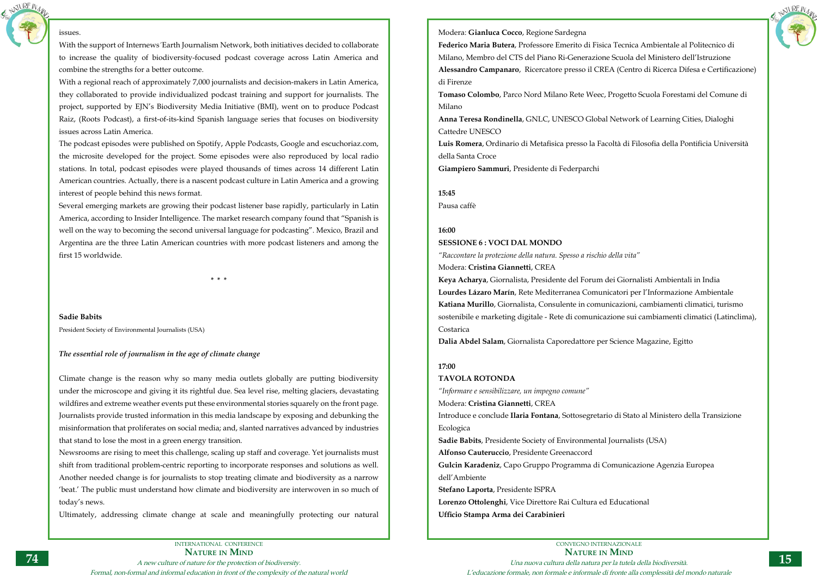INTERNATIONAL CONFERENCE **Nature in Mind** A new culture of nature for the protection of biodiversity. Formal, non-formal and informal education in front of the complexity of the natural world





## issues.

With the support of Internews 'Earth Journalism Network, both initiatives decided to collaborate to increase the quality of biodiversity-focused podcast coverage across Latin America and combine the strengths for a better outcome.

With a regional reach of approximately 7,000 journalists and decision-makers in Latin America, they collaborated to provide individualized podcast training and support for journalists. The project, supported by EJN's Biodiversity Media Initiative (BMI), went on to produce Podcast Raiz, (Roots Podcast), a first-of-its-kind Spanish language series that focuses on biodiversity issues across Latin America.

The podcast episodes were published on Spotify, Apple Podcasts, Google and escuchoriaz.com, the microsite developed for the project. Some episodes were also reproduced by local radio stations. In total, podcast episodes were played thousands of times across 14 different Latin American countries. Actually, there is a nascent podcast culture in Latin America and a growing interest of people behind this news format.

Several emerging markets are growing their podcast listener base rapidly, particularly in Latin America, according to Insider Intelligence. The market research company found that "Spanish is well on the way to becoming the second universal language for podcasting". Mexico, Brazil and Argentina are the three Latin American countries with more podcast listeners and among the first 15 worldwide.

**\* \* \***

**Sadie Babits** President Society of Environmental Journalists (USA)

## *The essential role of journalism in the age of climate change*

Climate change is the reason why so many media outlets globally are putting biodiversity under the microscope and giving it its rightful due. Sea level rise, melting glaciers, devastating wildfires and extreme weather events put these environmental stories squarely on the front page. Journalists provide trusted information in this media landscape by exposing and debunking the misinformation that proliferates on social media; and, slanted narratives advanced by industries that stand to lose the most in a green energy transition.

Newsrooms are rising to meet this challenge, scaling up staff and coverage. Yet journalists must shift from traditional problem-centric reporting to incorporate responses and solutions as well. Another needed change is for journalists to stop treating climate and biodiversity as a narrow 'beat.' The public must understand how climate and biodiversity are interwoven in so much of today's news.

Ultimately, addressing climate change at scale and meaningfully protecting our natural

Modera: **Gianluca Cocco**, Regione Sardegna **Federico Maria Butera**, Professore Emerito di Fisica Tecnica Ambientale al Politecnico di Milano, Membro del CTS del Piano Ri-Generazione Scuola del Ministero dell'Istruzione **Alessandro Campanaro**, Ricercatore presso il CREA (Centro di Ricerca Difesa e Certificazione) di Firenze **Tomaso Colombo**, Parco Nord Milano Rete Weec, Progetto Scuola Forestami del Comune di

Milano

**Anna Teresa Rondinella**, GNLC, UNESCO Global Network of Learning Cities, Dialoghi Cattedre UNESCO

**Luis Romera**, Ordinario di Metafisica presso la Facoltà di Filosofia della Pontificia Università della Santa Croce

**Giampiero Sammuri**, Presidente di Federparchi

**15:45** Pausa caffè

## **16:00 SESSIONE 6 : VOCI DAL MONDO**

*"Raccontare la protezione della natura. Spesso a rischio della vita"* Modera: **Cristina Giannetti**, CREA

**Keya Acharya**, Giornalista, Presidente del Forum dei Giornalisti Ambientali in India **Lourdes Lázaro Marín**, Rete Mediterranea Comunicatori per l'Informazione Ambientale **Katiana Murillo**, Giornalista, Consulente in comunicazioni, cambiamenti climatici, turismo sostenibile e marketing digitale - Rete di comunicazione sui cambiamenti climatici (Latinclima), Costarica

**Dalia Abdel Salam**, Giornalista Caporedattore per Science Magazine, Egitto

## **17:00**

## **TAVOLA ROTONDA**

*"Informare e sensibilizzare, un impegno comune"* Modera: **Cristina Giannetti**, CREA Introduce e conclude **Ilaria Fontana**, Sottosegretario di Stato al Ministero della Transizione Ecologica **Sadie Babits**, Presidente Society of Environmental Journalists (USA) **Alfonso Cauteruccio**, Presidente Greenaccord

**Gulcin Karadeniz**, Capo Gruppo Programma di Comunicazione Agenzia Europea dell'Ambiente

**Stefano Laporta**, Presidente ISPRA

**Lorenzo Ottolenghi**, Vice Direttore Rai Cultura ed Educational **Ufficio Stampa Arma dei Carabinieri**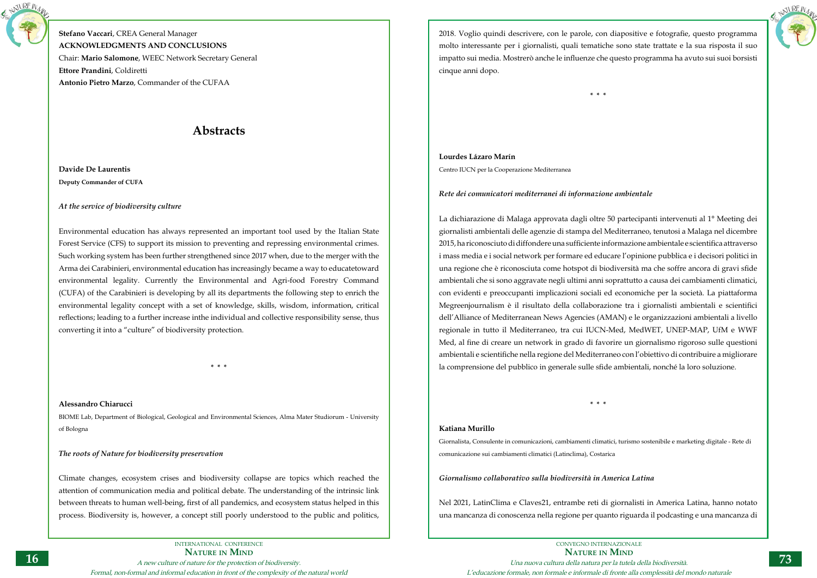

**Stefano Vaccari**, CREA General Manager **ACKNOWLEDGMENTS AND CONCLUSIONS** Chair: **Mario Salomone**, WEEC Network Secretary General **Ettore Prandini**, Coldiretti **Antonio Pietro Marzo**, Commander of the CUFAA

# **Abstracts**

**Davide De Laurentis Deputy Commander of CUFA**

## *At the service of biodiversity culture*

Environmental education has always represented an important tool used by the Italian State Forest Service (CFS) to support its mission to preventing and repressing environmental crimes. Such working system has been further strengthened since 2017 when, due to the merger with the Arma dei Carabinieri, environmental education has increasingly became a way to educatetoward environmental legality. Currently the Environmental and Agri-food Forestry Command (CUFA) of the Carabinieri is developing by all its departments the following step to enrich the environmental legality concept with a set of knowledge, skills, wisdom, information, critical reflections; leading to a further increase inthe individual and collective responsibility sense, thus converting it into a "culture" of biodiversity protection.

**\* \* \***

## **Alessandro Chiarucci**

BIOME Lab, Department of Biological, Geological and Environmental Sciences, Alma Mater Studiorum - University of Bologna

## *The roots of Nature for biodiversity preservation*

Climate changes, ecosystem crises and biodiversity collapse are topics which reached the attention of communication media and political debate. The understanding of the intrinsic link between threats to human well-being, first of all pandemics, and ecosystem status helped in this process. Biodiversity is, however, a concept still poorly understood to the public and politics,





2018. Voglio quindi descrivere, con le parole, con diapositive e fotografie, questo programma molto interessante per i giornalisti, quali tematiche sono state trattate e la sua risposta il suo impatto sui media. Mostrerò anche le influenze che questo programma ha avuto sui suoi borsisti cinque anni dopo.

**\* \* \***

## **Lourdes Lázaro Marín**

Centro IUCN per la Cooperazione Mediterranea

## *Rete dei comunicatori mediterranei di informazione ambientale*

La dichiarazione di Malaga approvata dagli oltre 50 partecipanti intervenuti al 1° Meeting dei giornalisti ambientali delle agenzie di stampa del Mediterraneo, tenutosi a Malaga nel dicembre 2015, ha riconosciuto di diffondere una sufficiente informazione ambientale e scientifica attraverso i mass media e i social network per formare ed educare l'opinione pubblica e i decisori politici in una regione che è riconosciuta come hotspot di biodiversità ma che soffre ancora di gravi sfide ambientali che si sono aggravate negli ultimi anni soprattutto a causa dei cambiamenti climatici, con evidenti e preoccupanti implicazioni sociali ed economiche per la società. La piattaforma Megreenjournalism è il risultato della collaborazione tra i giornalisti ambientali e scientifici dell'Alliance of Mediterranean News Agencies (AMAN) e le organizzazioni ambientali a livello regionale in tutto il Mediterraneo, tra cui IUCN-Med, MedWET, UNEP-MAP, UfM e WWF Med, al fine di creare un network in grado di favorire un giornalismo rigoroso sulle questioni ambientali e scientifiche nella regione del Mediterraneo con l'obiettivo di contribuire a migliorare la comprensione del pubblico in generale sulle sfide ambientali, nonché la loro soluzione.

**\* \* \***

## **Katiana Murillo**

Giornalista, Consulente in comunicazioni, cambiamenti climatici, turismo sostenibile e marketing digitale - Rete di comunicazione sui cambiamenti climatici (Latinclima), Costarica

*Giornalismo collaborativo sulla biodiversità in America Latina*

Nel 2021, LatinClima e Claves21, entrambe reti di giornalisti in America Latina, hanno notato una mancanza di conoscenza nella regione per quanto riguarda il podcasting e una mancanza di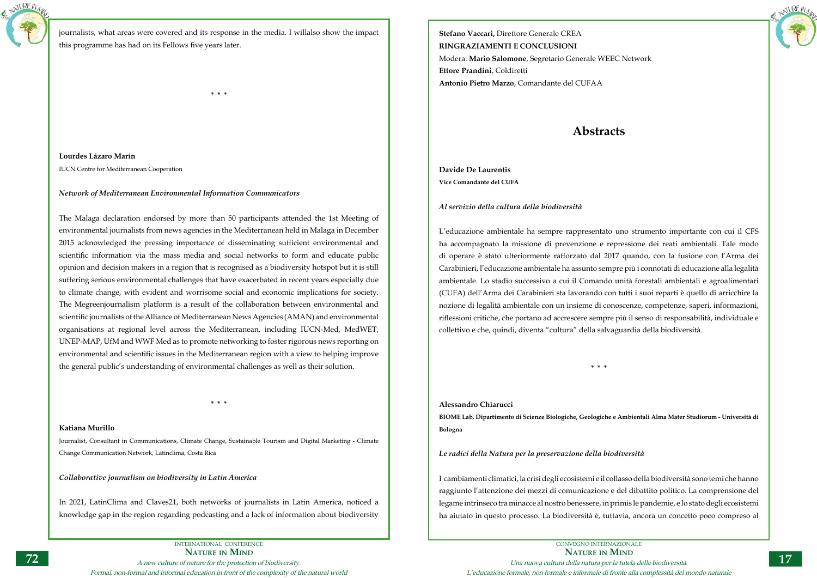

journalists, what areas were covered and its response in the media. I willalso show the impact this programme has had on its Fellows five years later.

**\* \* \***

**Lourdes Lázaro Marín** IUCN Centre for Mediterranean Cooperation

## *Network of Mediterranean Environmental Information Communicators*

The Malaga declaration endorsed by more than 50 participants attended the 1st Meeting of environmental journalists from news agencies in the Mediterranean held in Malaga in December 2015 acknowledged the pressing importance of disseminating sufficient environmental and scientific information via the mass media and social networks to form and educate public opinion and decision makers in a region that is recognised as a biodiversity hotspot but it is still suffering serious environmental challenges that have exacerbated in recent years especially due to climate change, with evident and worrisome social and economic implications for society. The Megreenjournalism platform is a result of the collaboration between environmental and scientific journalists of the Alliance of Mediterranean News Agencies (AMAN) and environmental organisations at regional level across the Mediterranean, including IUCN-Med, MedWET, UNEP-MAP, UfM and WWF Med as to promote networking to foster rigorous news reporting on environmental and scientific issues in the Mediterranean region with a view to helping improve the general public's understanding of environmental challenges as well as their solution.

**\* \* \***

**Katiana Murillo**

Journalist, Consultant in Communications, Climate Change, Sustainable Tourism and Digital Marketing - Climate Change Communication Network, Latinclima, Costa Rica

*Collaborative journalism on biodiversity in Latin America*

In 2021, LatinClima and Claves21, both networks of journalists in Latin America, noticed a knowledge gap in the region regarding podcasting and a lack of information about biodiversity **Stefano Vaccari,** Direttore Generale CREA **RINGRAZIAMENTI E CONCLUSIONI** Modera: **Mario Salomone**, Segretario Generale WEEC Network **Ettore Prandini**, Coldiretti **Antonio Pietro Marzo**, Comandante del CUFAA

## **Abstracts**

**Davide De Laurentis Vice Comandante del CUFA**

*Al servizio della cultura della biodiversità*

L'educazione ambientale ha sempre rappresentato uno strumento importante con cui il CFS ha accompagnato la missione di prevenzione e repressione dei reati ambientali. Tale modo di operare è stato ulteriormente rafforzato dal 2017 quando, con la fusione con l'Arma dei Carabinieri, l'educazione ambientale ha assunto sempre più i connotati di educazione alla legalità ambientale. Lo stadio successivo a cui il Comando unità forestali ambientali e agroalimentari (CUFA) dell'Arma dei Carabinieri sta lavorando con tutti i suoi reparti è quello di arricchire la nozione di legalità ambientale con un insieme di conoscenze, competenze, saperi, informazioni, riflessioni critiche, che portano ad accrescere sempre più il senso di responsabilità, individuale e collettivo e che, quindi, diventa "cultura" della salvaguardia della biodiversità.

**\* \* \***

**Alessandro Chiarucci BIOME Lab, Dipartimento di Scienze Biologiche, Geologiche e Ambientali Alma Mater Studiorum - Università di Bologna**

*Le radici della Natura per la preservazione della biodiversità*

I cambiamenti climatici, la crisi degli ecosistemi e il collasso della biodiversità sono temi che hanno raggiunto l'attenzione dei mezzi di comunicazione e del dibattito politico. La comprensione del legame intrinseco tra minacce al nostro benessere, in primis le pandemie, e lo stato degli ecosistemi ha aiutato in questo processo. La biodiversità è, tuttavia, ancora un concetto poco compreso al

NATURE N<sub>A</sub>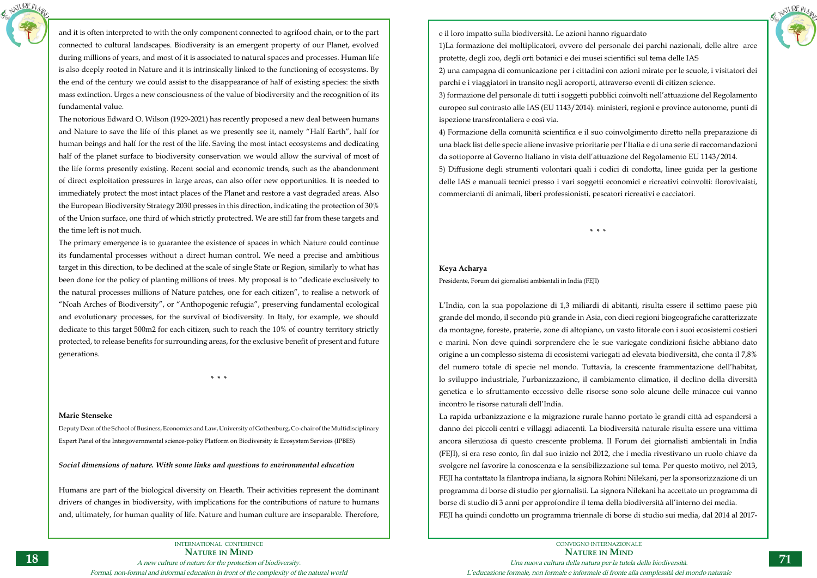

and it is often interpreted to with the only component connected to agrifood chain, or to the part connected to cultural landscapes. Biodiversity is an emergent property of our Planet, evolved during millions of years, and most of it is associated to natural spaces and processes. Human life is also deeply rooted in Nature and it is intrinsically linked to the functioning of ecosystems. By the end of the century we could assist to the disappearance of half of existing species: the sixth mass extinction. Urges a new consciousness of the value of biodiversity and the recognition of its fundamental value.

The notorious Edward O. Wilson (1929-2021) has recently proposed a new deal between humans and Nature to save the life of this planet as we presently see it, namely "Half Earth", half for human beings and half for the rest of the life. Saving the most intact ecosystems and dedicating half of the planet surface to biodiversity conservation we would allow the survival of most of the life forms presently existing. Recent social and economic trends, such as the abandonment of direct exploitation pressures in large areas, can also offer new opportunities. It is needed to immediately protect the most intact places of the Planet and restore a vast degraded areas. Also the European Biodiversity Strategy 2030 presses in this direction, indicating the protection of 30% of the Union surface, one third of which strictly protectred. We are still far from these targets and the time left is not much.

The primary emergence is to guarantee the existence of spaces in which Nature could continue its fundamental processes without a direct human control. We need a precise and ambitious target in this direction, to be declined at the scale of single State or Region, similarly to what has been done for the policy of planting millions of trees. My proposal is to "dedicate exclusively to the natural processes millions of Nature patches, one for each citizen", to realise a network of "Noah Arches of Biodiversity", or "Anthopogenic refugia", preserving fundamental ecological and evolutionary processes, for the survival of biodiversity. In Italy, for example, we should dedicate to this target 500m2 for each citizen, such to reach the 10% of country territory strictly protected, to release benefits for surrounding areas, for the exclusive benefit of present and future generations.

**\* \* \***

## **Marie Stenseke**

Deputy Dean of the School of Business, Economics and Law, University of Gothenburg, Co-chair of the Multidisciplinary Expert Panel of the Intergovernmental science-policy Platform on Biodiversity & Ecosystem Services (IPBES)

## *Social dimensions of nature. With some links and questions to environmental education*

Humans are part of the biological diversity on Hearth. Their activities represent the dominant drivers of changes in biodiversity, with implications for the contributions of nature to humans and, ultimately, for human quality of life. Nature and human culture are inseparable. Therefore,



e il loro impatto sulla biodiversità. Le azioni hanno riguardato 1)La formazione dei moltiplicatori, ovvero del personale dei parchi nazionali, delle altre aree protette, degli zoo, degli orti botanici e dei musei scientifici sul tema delle IAS 2) una campagna di comunicazione per i cittadini con azioni mirate per le scuole, i visitatori dei parchi e i viaggiatori in transito negli aeroporti, attraverso eventi di citizen science. 3) formazione del personale di tutti i soggetti pubblici coinvolti nell'attuazione del Regolamento europeo sul contrasto alle IAS (EU 1143/2014): ministeri, regioni e province autonome, punti di ispezione transfrontaliera e così via.

4) Formazione della comunità scientifica e il suo coinvolgimento diretto nella preparazione di una black list delle specie aliene invasive prioritarie per l'Italia e di una serie di raccomandazioni da sottoporre al Governo Italiano in vista dell'attuazione del Regolamento EU 1143/2014. 5) Diffusione degli strumenti volontari quali i codici di condotta, linee guida per la gestione delle IAS e manuali tecnici presso i vari soggetti economici e ricreativi coinvolti: florovivaisti, commercianti di animali, liberi professionisti, pescatori ricreativi e cacciatori.

**\* \* \***

## **Keya Acharya**

Presidente, Forum dei giornalisti ambientali in India (FEJI)

L'India, con la sua popolazione di 1,3 miliardi di abitanti, risulta essere il settimo paese più grande del mondo, il secondo più grande in Asia, con dieci regioni biogeografiche caratterizzate da montagne, foreste, praterie, zone di altopiano, un vasto litorale con i suoi ecosistemi costieri e marini. Non deve quindi sorprendere che le sue variegate condizioni fisiche abbiano dato origine a un complesso sistema di ecosistemi variegati ad elevata biodiversità, che conta il 7,8% del numero totale di specie nel mondo. Tuttavia, la crescente frammentazione dell'habitat, lo sviluppo industriale, l'urbanizzazione, il cambiamento climatico, il declino della diversità genetica e lo sfruttamento eccessivo delle risorse sono solo alcune delle minacce cui vanno incontro le risorse naturali dell'India.

La rapida urbanizzazione e la migrazione rurale hanno portato le grandi città ad espandersi a danno dei piccoli centri e villaggi adiacenti. La biodiversità naturale risulta essere una vittima ancora silenziosa di questo crescente problema. Il Forum dei giornalisti ambientali in India (FEJI), si era reso conto, fin dal suo inizio nel 2012, che i media rivestivano un ruolo chiave da svolgere nel favorire la conoscenza e la sensibilizzazione sul tema. Per questo motivo, nel 2013, FEJI ha contattato la filantropa indiana, la signora Rohini Nilekani, per la sponsorizzazione di un programma di borse di studio per giornalisti. La signora Nilekani ha accettato un programma di borse di studio di 3 anni per approfondire il tema della biodiversità all'interno dei media. FEJI ha quindi condotto un programma triennale di borse di studio sui media, dal 2014 al 2017-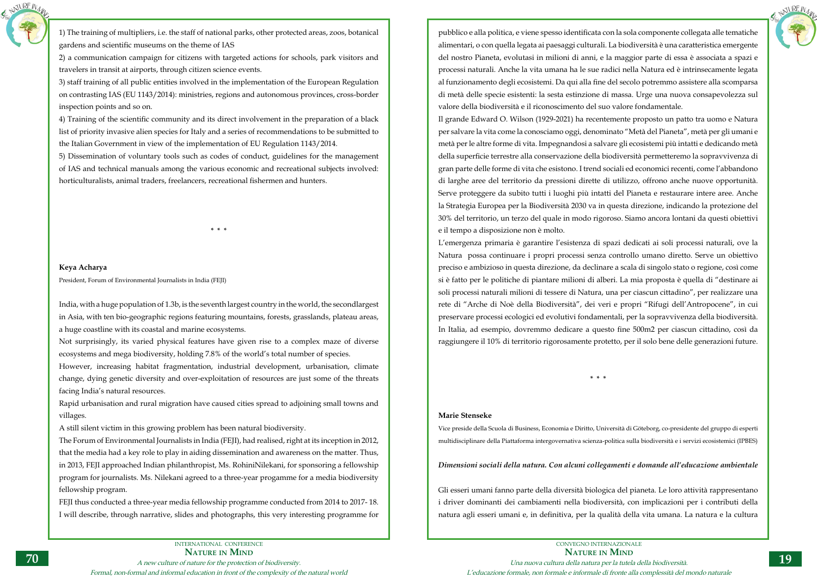INTERNATIONAL CONFERENCE **Nature in Mind** A new culture of nature for the protection of biodiversity. Formal, non-formal and informal education in front of the complexity of the natural world



1) The training of multipliers, i.e. the staff of national parks, other protected areas, zoos, botanical gardens and scientific museums on the theme of IAS

2) a communication campaign for citizens with targeted actions for schools, park visitors and travelers in transit at airports, through citizen science events.

3) staff training of all public entities involved in the implementation of the European Regulation on contrasting IAS (EU 1143/2014): ministries, regions and autonomous provinces, cross-border inspection points and so on.

4) Training of the scientific community and its direct involvement in the preparation of a black list of priority invasive alien species for Italy and a series of recommendations to be submitted to the Italian Government in view of the implementation of EU Regulation 1143/2014.

5) Dissemination of voluntary tools such as codes of conduct, guidelines for the management of IAS and technical manuals among the various economic and recreational subjects involved: horticulturalists, animal traders, freelancers, recreational fishermen and hunters.

**\* \* \***

## **Keya Acharya**

President, Forum of Environmental Journalists in India (FEJI)

India, with a huge population of 1.3b, is the seventh largest country in the world, the secondlargest in Asia, with ten bio-geographic regions featuring mountains, forests, grasslands, plateau areas, a huge coastline with its coastal and marine ecosystems.

Not surprisingly, its varied physical features have given rise to a complex maze of diverse ecosystems and mega biodiversity, holding 7.8% of the world's total number of species.

However, increasing habitat fragmentation, industrial development, urbanisation, climate change, dying genetic diversity and over-exploitation of resources are just some of the threats facing India's natural resources.

Rapid urbanisation and rural migration have caused cities spread to adjoining small towns and villages.

A still silent victim in this growing problem has been natural biodiversity.

The Forum of Environmental Journalists in India (FEJI), had realised, right at its inception in 2012, that the media had a key role to play in aiding dissemination and awareness on the matter. Thus, in 2013, FEJI approached Indian philanthropist, Ms. RohiniNilekani, for sponsoring a fellowship program for journalists. Ms. Nilekani agreed to a three-year progamme for a media biodiversity fellowship program.

FEJI thus conducted a three-year media fellowship programme conducted from 2014 to 2017- 18. I will describe, through narrative, slides and photographs, this very interesting programme for

pubblico e alla politica, e viene spesso identificata con la sola componente collegata alle tematiche alimentari, o con quella legata ai paesaggi culturali. La biodiversità è una caratteristica emergente del nostro Pianeta, evolutasi in milioni di anni, e la maggior parte di essa è associata a spazi e processi naturali. Anche la vita umana ha le sue radici nella Natura ed è intrinsecamente legata al funzionamento degli ecosistemi. Da qui alla fine del secolo potremmo assistere alla scomparsa di metà delle specie esistenti: la sesta estinzione di massa. Urge una nuova consapevolezza sul valore della biodiversità e il riconoscimento del suo valore fondamentale. Il grande Edward O. Wilson (1929-2021) ha recentemente proposto un patto tra uomo e Natura per salvare la vita come la conosciamo oggi, denominato "Metà del Pianeta", metà per gli umani e metà per le altre forme di vita. Impegnandosi a salvare gli ecosistemi più intatti e dedicando metà della superficie terrestre alla conservazione della biodiversità permetteremo la sopravvivenza di gran parte delle forme di vita che esistono. I trend sociali ed economici recenti, come l'abbandono di larghe aree del territorio da pressioni dirette di utilizzo, offrono anche nuove opportunità. Serve proteggere da subito tutti i luoghi più intatti del Pianeta e restaurare intere aree. Anche la Strategia Europea per la Biodiversità 2030 va in questa direzione, indicando la protezione del 30% del territorio, un terzo del quale in modo rigoroso. Siamo ancora lontani da questi obiettivi e il tempo a disposizione non è molto.

L'emergenza primaria è garantire l'esistenza di spazi dedicati ai soli processi naturali, ove la Natura possa continuare i propri processi senza controllo umano diretto. Serve un obiettivo preciso e ambizioso in questa direzione, da declinare a scala di singolo stato o regione, così come si è fatto per le politiche di piantare milioni di alberi. La mia proposta è quella di "destinare ai soli processi naturali milioni di tessere di Natura, una per ciascun cittadino", per realizzare una rete di "Arche di Noè della Biodiversità", dei veri e propri "Rifugi dell'Antropocene", in cui preservare processi ecologici ed evolutivi fondamentali, per la sopravvivenza della biodiversità. In Italia, ad esempio, dovremmo dedicare a questo fine 500m2 per ciascun cittadino, così da raggiungere il 10% di territorio rigorosamente protetto, per il solo bene delle generazioni future.

**\* \* \***

## **Marie Stenseke**

Vice preside della Scuola di Business, Economia e Diritto, Università di Göteborg, co-presidente del gruppo di esperti multidisciplinare della Piattaforma intergovernativa scienza-politica sulla biodiversità e i servizi ecosistemici (IPBES)

## *Dimensioni sociali della natura. Con alcuni collegamenti e domande all'educazione ambientale*

Gli esseri umani fanno parte della diversità biologica del pianeta. Le loro attività rappresentano i driver dominanti dei cambiamenti nella biodiversità, con implicazioni per i contributi della natura agli esseri umani e, in definitiva, per la qualità della vita umana. La natura e la cultura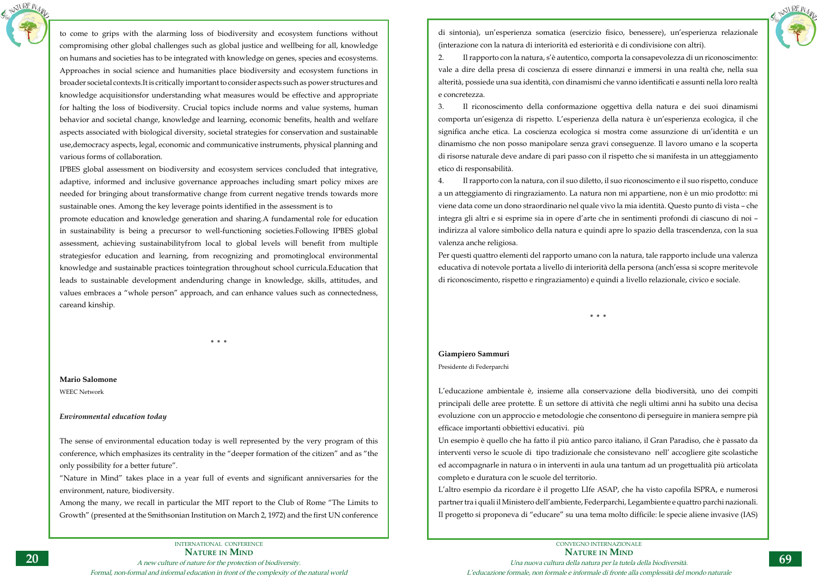

to come to grips with the alarming loss of biodiversity and ecosystem functions without compromising other global challenges such as global justice and wellbeing for all, knowledge on humans and societies has to be integrated with knowledge on genes, species and ecosystems. Approaches in social science and humanities place biodiversity and ecosystem functions in broader societal contexts.It is critically important to consider aspects such as power structures and knowledge acquisitionsfor understanding what measures would be effective and appropriate for halting the loss of biodiversity. Crucial topics include norms and value systems, human behavior and societal change, knowledge and learning, economic benefits, health and welfare aspects associated with biological diversity, societal strategies for conservation and sustainable use,democracy aspects, legal, economic and communicative instruments, physical planning and various forms of collaboration.

IPBES global assessment on biodiversity and ecosystem services concluded that integrative, adaptive, informed and inclusive governance approaches including smart policy mixes are needed for bringing about transformative change from current negative trends towards more sustainable ones. Among the key leverage points identified in the assessment is to

promote education and knowledge generation and sharing.A fundamental role for education in sustainability is being a precursor to well-functioning societies.Following IPBES global assessment, achieving sustainabilityfrom local to global levels will benefit from multiple strategiesfor education and learning, from recognizing and promotinglocal environmental knowledge and sustainable practices tointegration throughout school curricula.Education that leads to sustainable development andenduring change in knowledge, skills, attitudes, and values embraces a "whole person" approach, and can enhance values such as connectedness, careand kinship.

**\* \* \***

## **Mario Salomone**

WEEC Network

## *Environmental education today*

The sense of environmental education today is well represented by the very program of this conference, which emphasizes its centrality in the "deeper formation of the citizen" and as "the only possibility for a better future".

"Nature in Mind" takes place in a year full of events and significant anniversaries for the environment, nature, biodiversity.

Among the many, we recall in particular the MIT report to the Club of Rome "The Limits to Growth" (presented at the Smithsonian Institution on March 2, 1972) and the first UN conference



CONVEGNO INTERNAZIONALE **Nature in Mind** Una nuova cultura della natura per la tutela della biodiversità. L'educazione formale, non formale e informale di fronte alla complessità del mondo naturale

di sintonia), un'esperienza somatica (esercizio fisico, benessere), un'esperienza relazionale (interazione con la natura di interiorità ed esteriorità e di condivisione con altri). 2. Il rapporto con la natura, s'è autentico, comporta la consapevolezza di un riconoscimento: vale a dire della presa di coscienza di essere dinnanzi e immersi in una realtà che, nella sua alterità, possiede una sua identità, con dinamismi che vanno identificati e assunti nella loro realtà

e concretezza.

3. Il riconoscimento della conformazione oggettiva della natura e dei suoi dinamismi comporta un'esigenza di rispetto. L'esperienza della natura è un'esperienza ecologica, il che significa anche etica. La coscienza ecologica si mostra come assunzione di un'identità e un dinamismo che non posso manipolare senza gravi conseguenze. Il lavoro umano e la scoperta di risorse naturale deve andare di pari passo con il rispetto che si manifesta in un atteggiamento etico di responsabilità.

4. Il rapporto con la natura, con il suo diletto, il suo riconoscimento e il suo rispetto, conduce a un atteggiamento di ringraziamento. La natura non mi appartiene, non è un mio prodotto: mi viene data come un dono straordinario nel quale vivo la mia identità. Questo punto di vista – che integra gli altri e si esprime sia in opere d'arte che in sentimenti profondi di ciascuno di noi – indirizza al valore simbolico della natura e quindi apre lo spazio della trascendenza, con la sua valenza anche religiosa.

Per questi quattro elementi del rapporto umano con la natura, tale rapporto include una valenza educativa di notevole portata a livello di interiorità della persona (anch'essa si scopre meritevole di riconoscimento, rispetto e ringraziamento) e quindi a livello relazionale, civico e sociale.

**\* \* \***

## **Giampiero Sammuri**

Presidente di Federparchi

L'educazione ambientale è, insieme alla conservazione della biodiversità, uno dei compiti principali delle aree protette. È un settore di attività che negli ultimi anni ha subito una decisa evoluzione con un approccio e metodologie che consentono di perseguire in maniera sempre pià efficace importanti obbiettivi educativi. più Un esempio è quello che ha fatto il più antico parco italiano, il Gran Paradiso, che è passato da interventi verso le scuole di tipo tradizionale che consistevano nell' accogliere gite scolastiche ed accompagnarle in natura o in interventi in aula una tantum ad un progettualità più articolata completo e duratura con le scuole del territorio. L'altro esempio da ricordare è il progetto LIfe ASAP, che ha visto capofila ISPRA, e numerosi partner tra i quali il Ministero dell'ambiente, Federparchi, Legambiente e quattro parchi nazionali. Il progetto si proponeva di "educare" su una tema molto difficile: le specie aliene invasive (IAS)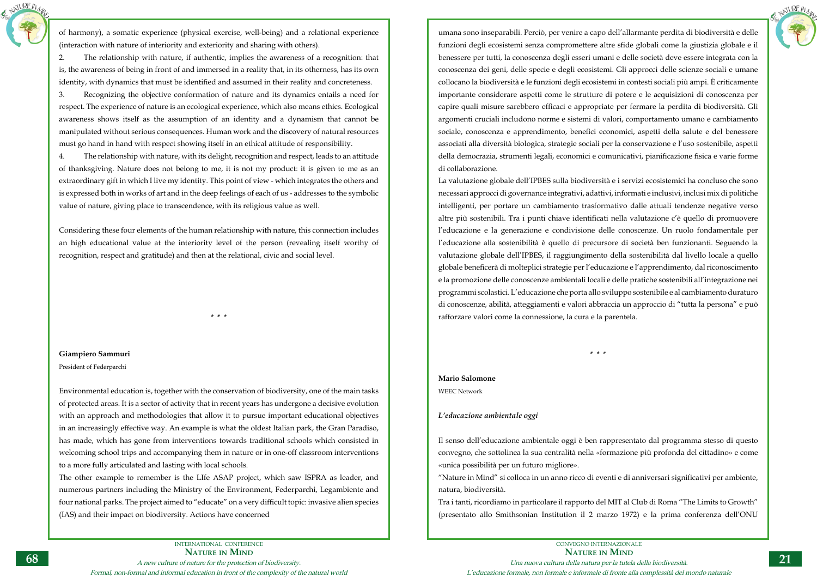



of harmony), a somatic experience (physical exercise, well-being) and a relational experience (interaction with nature of interiority and exteriority and sharing with others).

2. The relationship with nature, if authentic, implies the awareness of a recognition: that is, the awareness of being in front of and immersed in a reality that, in its otherness, has its own identity, with dynamics that must be identified and assumed in their reality and concreteness.

3. Recognizing the objective conformation of nature and its dynamics entails a need for respect. The experience of nature is an ecological experience, which also means ethics. Ecological awareness shows itself as the assumption of an identity and a dynamism that cannot be manipulated without serious consequences. Human work and the discovery of natural resources must go hand in hand with respect showing itself in an ethical attitude of responsibility.

4. The relationship with nature, with its delight, recognition and respect, leads to an attitude of thanksgiving. Nature does not belong to me, it is not my product: it is given to me as an extraordinary gift in which I live my identity. This point of view - which integrates the others and is expressed both in works of art and in the deep feelings of each of us - addresses to the symbolic value of nature, giving place to transcendence, with its religious value as well.

Considering these four elements of the human relationship with nature, this connection includes an high educational value at the interiority level of the person (revealing itself worthy of recognition, respect and gratitude) and then at the relational, civic and social level.

**\* \* \***

**Giampiero Sammuri**

## President of Federparchi

Environmental education is, together with the conservation of biodiversity, one of the main tasks of protected areas. It is a sector of activity that in recent years has undergone a decisive evolution with an approach and methodologies that allow it to pursue important educational objectives in an increasingly effective way. An example is what the oldest Italian park, the Gran Paradiso, has made, which has gone from interventions towards traditional schools which consisted in welcoming school trips and accompanying them in nature or in one-off classroom interventions to a more fully articulated and lasting with local schools.

The other example to remember is the LIfe ASAP project, which saw ISPRA as leader, and numerous partners including the Ministry of the Environment, Federparchi, Legambiente and four national parks. The project aimed to "educate" on a very difficult topic: invasive alien species (IAS) and their impact on biodiversity. Actions have concerned

umana sono inseparabili. Perciò, per venire a capo dell'allarmante perdita di biodiversità e delle funzioni degli ecosistemi senza compromettere altre sfide globali come la giustizia globale e il benessere per tutti, la conoscenza degli esseri umani e delle società deve essere integrata con la conoscenza dei geni, delle specie e degli ecosistemi. Gli approcci delle scienze sociali e umane collocano la biodiversità e le funzioni degli ecosistemi in contesti sociali più ampi. È criticamente importante considerare aspetti come le strutture di potere e le acquisizioni di conoscenza per capire quali misure sarebbero efficaci e appropriate per fermare la perdita di biodiversità. Gli argomenti cruciali includono norme e sistemi di valori, comportamento umano e cambiamento sociale, conoscenza e apprendimento, benefici economici, aspetti della salute e del benessere associati alla diversità biologica, strategie sociali per la conservazione e l'uso sostenibile, aspetti della democrazia, strumenti legali, economici e comunicativi, pianificazione fisica e varie forme di collaborazione.

La valutazione globale dell'IPBES sulla biodiversità e i servizi ecosistemici ha concluso che sono necessari approcci di governance integrativi, adattivi, informati e inclusivi, inclusi mix di politiche intelligenti, per portare un cambiamento trasformativo dalle attuali tendenze negative verso altre più sostenibili. Tra i punti chiave identificati nella valutazione c'è quello di promuovere l'educazione e la generazione e condivisione delle conoscenze. Un ruolo fondamentale per l'educazione alla sostenibilità è quello di precursore di società ben funzionanti. Seguendo la valutazione globale dell'IPBES, il raggiungimento della sostenibilità dal livello locale a quello globale beneficerà di molteplici strategie per l'educazione e l'apprendimento, dal riconoscimento e la promozione delle conoscenze ambientali locali e delle pratiche sostenibili all'integrazione nei programmi scolastici. L'educazione che porta allo sviluppo sostenibile e al cambiamento duraturo di conoscenze, abilità, atteggiamenti e valori abbraccia un approccio di "tutta la persona" e può rafforzare valori come la connessione, la cura e la parentela.

**\* \* \***

**Mario Salomone** WEEC Network

## *L'educazione ambientale oggi*

Il senso dell'educazione ambientale oggi è ben rappresentato dal programma stesso di questo convegno, che sottolinea la sua centralità nella «formazione più profonda del cittadino» e come «unica possibilità per un futuro migliore».

"Nature in Mind" si colloca in un anno ricco di eventi e di anniversari significativi per ambiente, natura, biodiversità.

Tra i tanti, ricordiamo in particolare il rapporto del MIT al Club di Roma "The Limits to Growth" (presentato allo Smithsonian Institution il 2 marzo 1972) e la prima conferenza dell'ONU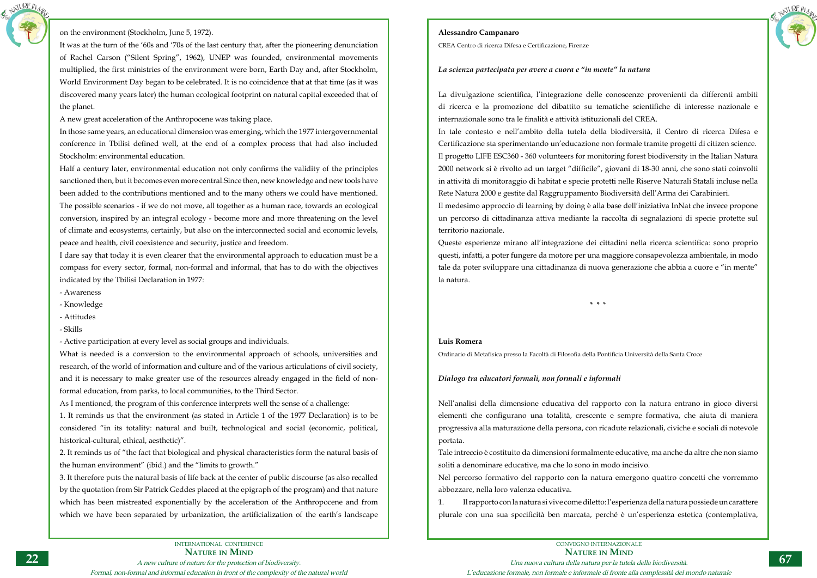Formal, non-formal and informal education in front of the complexity of the natural world



## on the environment (Stockholm, June 5, 1972).

It was at the turn of the '60s and '70s of the last century that, after the pioneering denunciation of Rachel Carson ("Silent Spring", 1962), UNEP was founded, environmental movements multiplied, the first ministries of the environment were born, Earth Day and, after Stockholm, World Environment Day began to be celebrated. It is no coincidence that at that time (as it was discovered many years later) the human ecological footprint on natural capital exceeded that of the planet.

A new great acceleration of the Anthropocene was taking place.

In those same years, an educational dimension was emerging, which the 1977 intergovernmental conference in Tbilisi defined well, at the end of a complex process that had also included Stockholm: environmental education.

Half a century later, environmental education not only confirms the validity of the principles sanctioned then, but it becomes even more central.Since then, new knowledge and new tools have been added to the contributions mentioned and to the many others we could have mentioned. The possible scenarios - if we do not move, all together as a human race, towards an ecological conversion, inspired by an integral ecology - become more and more threatening on the level of climate and ecosystems, certainly, but also on the interconnected social and economic levels, peace and health, civil coexistence and security, justice and freedom.

I dare say that today it is even clearer that the environmental approach to education must be a compass for every sector, formal, non-formal and informal, that has to do with the objectives indicated by the Tbilisi Declaration in 1977:

- Awareness
- Knowledge
- Attitudes
- Skills

- Active participation at every level as social groups and individuals.

What is needed is a conversion to the environmental approach of schools, universities and research, of the world of information and culture and of the various articulations of civil society, and it is necessary to make greater use of the resources already engaged in the field of nonformal education, from parks, to local communities, to the Third Sector.

As I mentioned, the program of this conference interprets well the sense of a challenge:

1. It reminds us that the environment (as stated in Article 1 of the 1977 Declaration) is to be considered "in its totality: natural and built, technological and social (economic, political, historical-cultural, ethical, aesthetic)".

2. It reminds us of "the fact that biological and physical characteristics form the natural basis of the human environment" (ibid.) and the "limits to growth."

3. It therefore puts the natural basis of life back at the center of public discourse (as also recalled by the quotation from Sir Patrick Geddes placed at the epigraph of the program) and that nature which has been mistreated exponentially by the acceleration of the Anthropocene and from which we have been separated by urbanization, the artificialization of the earth's landscape



- 
- 



## **Alessandro Campanaro**

CREA Centro di ricerca Difesa e Certificazione, Firenze

## *La scienza partecipata per avere a cuora e "in mente" la natura*

La divulgazione scientifica, l'integrazione delle conoscenze provenienti da differenti ambiti di ricerca e la promozione del dibattito su tematiche scientifiche di interesse nazionale e internazionale sono tra le finalità e attività istituzionali del CREA. In tale contesto e nell'ambito della tutela della biodiversità, il Centro di ricerca Difesa e Certificazione sta sperimentando un'educazione non formale tramite progetti di citizen science. Il progetto LIFE ESC360 - 360 volunteers for monitoring forest biodiversity in the Italian Natura 2000 network si è rivolto ad un target "difficile", giovani di 18-30 anni, che sono stati coinvolti in attività di monitoraggio di habitat e specie protetti nelle Riserve Naturali Statali incluse nella Rete Natura 2000 e gestite dal Raggruppamento Biodiversità dell'Arma dei Carabinieri. Il medesimo approccio di learning by doing è alla base dell'iniziativa InNat che invece propone un percorso di cittadinanza attiva mediante la raccolta di segnalazioni di specie protette sul territorio nazionale.

Queste esperienze mirano all'integrazione dei cittadini nella ricerca scientifica: sono proprio questi, infatti, a poter fungere da motore per una maggiore consapevolezza ambientale, in modo tale da poter sviluppare una cittadinanza di nuova generazione che abbia a cuore e "in mente" la natura.

**\* \* \***

## **Luis Romera**

Ordinario di Metafisica presso la Facoltà di Filosofia della Pontificia Università della Santa Croce

## *Dialogo tra educatori formali, non formali e informali*

Nell'analisi della dimensione educativa del rapporto con la natura entrano in gioco diversi elementi che configurano una totalità, crescente e sempre formativa, che aiuta di maniera progressiva alla maturazione della persona, con ricadute relazionali, civiche e sociali di notevole portata.

Tale intreccio è costituito da dimensioni formalmente educative, ma anche da altre che non siamo soliti a denominare educative, ma che lo sono in modo incisivo. Nel percorso formativo del rapporto con la natura emergono quattro concetti che vorremmo abbozzare, nella loro valenza educativa.

1. Il rapporto con la natura si vive come diletto: l'esperienza della natura possiede un carattere plurale con una sua specificità ben marcata, perché è un'esperienza estetica (contemplativa,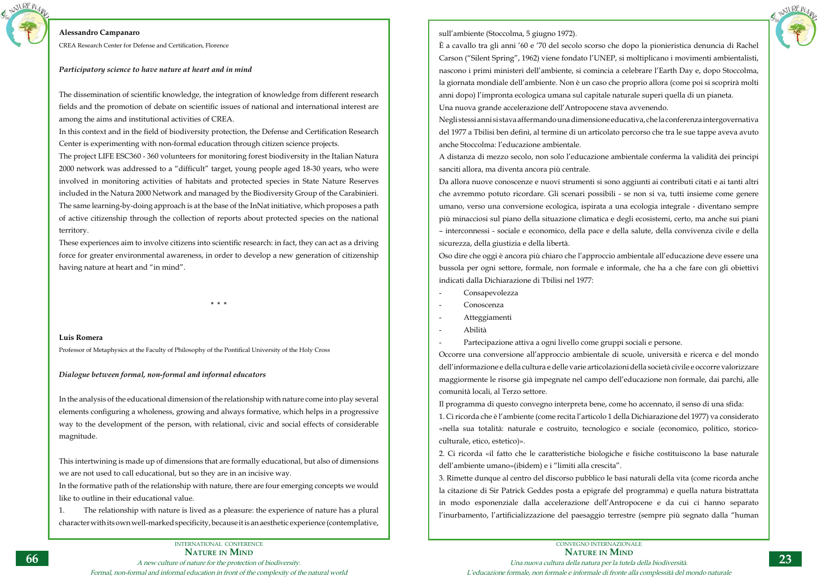Formal, non-formal and informal education in front of the complexity of the natural world





## **Alessandro Campanaro**

CREA Research Center for Defense and Certification, Florence

## *Participatory science to have nature at heart and in mind*

The dissemination of scientific knowledge, the integration of knowledge from different research fields and the promotion of debate on scientific issues of national and international interest are among the aims and institutional activities of CREA.

In this context and in the field of biodiversity protection, the Defense and Certification Research Center is experimenting with non-formal education through citizen science projects.

The project LIFE ESC360 - 360 volunteers for monitoring forest biodiversity in the Italian Natura 2000 network was addressed to a "difficult" target, young people aged 18-30 years, who were involved in monitoring activities of habitats and protected species in State Nature Reserves included in the Natura 2000 Network and managed by the Biodiversity Group of the Carabinieri. The same learning-by-doing approach is at the base of the InNat initiative, which proposes a path of active citizenship through the collection of reports about protected species on the national territory.

These experiences aim to involve citizens into scientific research: in fact, they can act as a driving force for greater environmental awareness, in order to develop a new generation of citizenship having nature at heart and "in mind".

**\* \* \***

## **Luis Romera**

Professor of Metaphysics at the Faculty of Philosophy of the Pontifical University of the Holy Cross

## *Dialogue between formal, non-formal and informal educators*

In the analysis of the educational dimension of the relationship with nature come into play several elements configuring a wholeness, growing and always formative, which helps in a progressive way to the development of the person, with relational, civic and social effects of considerable magnitude.

This intertwining is made up of dimensions that are formally educational, but also of dimensions we are not used to call educational, but so they are in an incisive way.

In the formative path of the relationship with nature, there are four emerging concepts we would like to outline in their educational value.

1. The relationship with nature is lived as a pleasure: the experience of nature has a plural character with its own well-marked specificity, because it is an aesthetic experience (contemplative,

## sull'ambiente (Stoccolma, 5 giugno 1972).

È a cavallo tra gli anni '60 e '70 del secolo scorso che dopo la pionieristica denuncia di Rachel Carson ("Silent Spring", 1962) viene fondato l'UNEP, si moltiplicano i movimenti ambientalisti, nascono i primi ministeri dell'ambiente, si comincia a celebrare l'Earth Day e, dopo Stoccolma, la giornata mondiale dell'ambiente. Non è un caso che proprio allora (come poi si scoprirà molti anni dopo) l'impronta ecologica umana sul capitale naturale superi quella di un pianeta. Una nuova grande accelerazione dell'Antropocene stava avvenendo. Negli stessi anni si stava affermando una dimensione educativa, che la conferenza intergovernativa del 1977 a Tbilisi ben definì, al termine di un articolato percorso che tra le sue tappe aveva avuto anche Stoccolma: l'educazione ambientale.

A distanza di mezzo secolo, non solo l'educazione ambientale conferma la validità dei principi sanciti allora, ma diventa ancora più centrale.

Da allora nuove conoscenze e nuovi strumenti si sono aggiunti ai contributi citati e ai tanti altri che avremmo potuto ricordare. Gli scenari possibili - se non si va, tutti insieme come genere umano, verso una conversione ecologica, ispirata a una ecologia integrale - diventano sempre più minacciosi sul piano della situazione climatica e degli ecosistemi, certo, ma anche sui piani – interconnessi - sociale e economico, della pace e della salute, della convivenza civile e della sicurezza, della giustizia e della libertà.

Oso dire che oggi è ancora più chiaro che l'approccio ambientale all'educazione deve essere una bussola per ogni settore, formale, non formale e informale, che ha a che fare con gli obiettivi indicati dalla Dichiarazione di Tbilisi nel 1977:

- Consapevolezza
- Conoscenza
- Atteggiamenti
- Abilità

- Partecipazione attiva a ogni livello come gruppi sociali e persone. Occorre una conversione all'approccio ambientale di scuole, università e ricerca e del mondo dell'informazione e della cultura e delle varie articolazioni della società civile e occorre valorizzare maggiormente le risorse già impegnate nel campo dell'educazione non formale, dai parchi, alle comunità locali, al Terzo settore.

Il programma di questo convegno interpreta bene, come ho accennato, il senso di una sfida: 1. Ci ricorda che è l'ambiente (come recita l'articolo 1 della Dichiarazione del 1977) va considerato «nella sua totalità: naturale e costruito, tecnologico e sociale (economico, politico, storicoculturale, etico, estetico)».

2. Ci ricorda «il fatto che le caratteristiche biologiche e fisiche costituiscono la base naturale dell'ambiente umano»(ibidem) e i "limiti alla crescita". 3. Rimette dunque al centro del discorso pubblico le basi naturali della vita (come ricorda anche la citazione di Sir Patrick Geddes posta a epigrafe del programma) e quella natura bistrattata in modo esponenziale dalla accelerazione dell'Antropocene e da cui ci hanno separato l'inurbamento, l'artificializzazione del paesaggio terrestre (sempre più segnato dalla "human

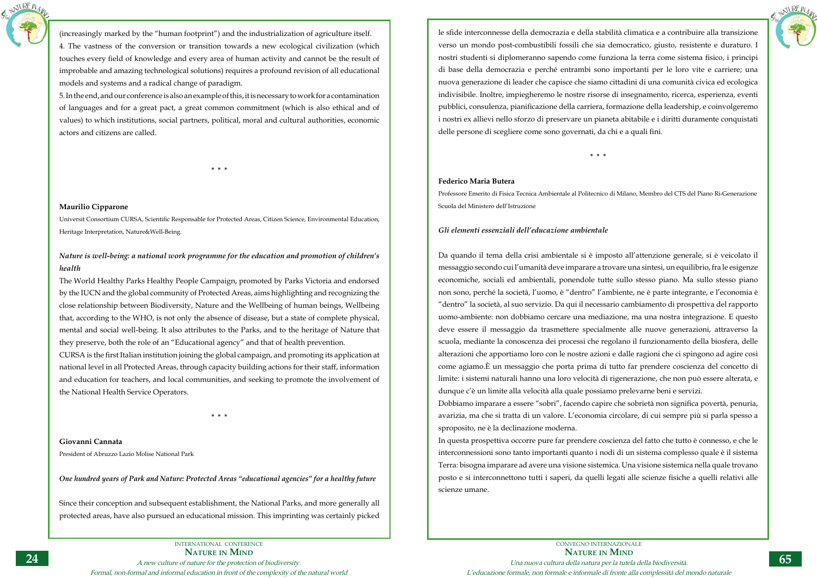

(increasingly marked by the "human footprint") and the industrialization of agriculture itself. 4. The vastness of the conversion or transition towards a new ecological civilization (which touches every field of knowledge and every area of human activity and cannot be the result of improbable and amazing technological solutions) requires a profound revision of all educational models and systems and a radical change of paradigm.

5. In the end, and our conference is also an example of this, it is necessary to work for a contamination of languages and for a great pact, a great common commitment (which is also ethical and of values) to which institutions, social partners, political, moral and cultural authorities, economic actors and citizens are called.

**\* \* \***

## **Maurilio Cipparone**

Universit Consortium CURSA, Scientific Responsable for Protected Areas, Citizen Science, Environmental Education, Heritage Interpretation, Nature&Well-Being.

## *Nature is well-being: a national work programme for the education and promotion of children's health*

The World Healthy Parks Healthy People Campaign, promoted by Parks Victoria and endorsed by the IUCN and the global community of Protected Areas, aims highlighting and recognizing the close relationship between Biodiversity, Nature and the Wellbeing of human beings, Wellbeing that, according to the WHO, is not only the absence of disease, but a state of complete physical, mental and social well-being. It also attributes to the Parks, and to the heritage of Nature that they preserve, both the role of an "Educational agency" and that of health prevention.

CURSA is the first Italian institution joining the global campaign, and promoting its application at national level in all Protected Areas, through capacity building actions for their staff, information and education for teachers, and local communities, and seeking to promote the involvement of the National Health Service Operators.

**\* \* \***

## **Giovanni Cannata**

President of Abruzzo Lazio Molise National Park

*One hundred years of Park and Nature: Protected Areas "educational agencies" for a healthy future*

Since their conception and subsequent establishment, the National Parks, and more generally all protected areas, have also pursued an educational mission. This imprinting was certainly picked



CONVEGNO INTERNAZIONALE **Nature in Mind** Una nuova cultura della natura per la tutela della biodiversità. L'educazione formale, non formale e informale di fronte alla complessità del mondo naturale

le sfide interconnesse della democrazia e della stabilità climatica e a contribuire alla transizione verso un mondo post-combustibili fossili che sia democratico, giusto, resistente e duraturo. I nostri studenti si diplomeranno sapendo come funziona la terra come sistema fisico, i principi di base della democrazia e perché entrambi sono importanti per le loro vite e carriere; una nuova generazione di leader che capisce che siamo cittadini di una comunità civica ed ecologica indivisibile. Inoltre, impiegheremo le nostre risorse di insegnamento, ricerca, esperienza, eventi pubblici, consulenza, pianificazione della carriera, formazione della leadership, e coinvolgeremo i nostri ex allievi nello sforzo di preservare un pianeta abitabile e i diritti duramente conquistati delle persone di scegliere come sono governati, da chi e a quali fini.

**\* \* \***

## **Federico Maria Butera**

Professore Emerito di Fisica Tecnica Ambientale al Politecnico di Milano, Membro del CTS del Piano Ri-Generazione Scuola del Ministero dell'Istruzione

## *Gli elementi essenziali dell'educazione ambientale*

Da quando il tema della crisi ambientale si è imposto all'attenzione generale, si è veicolato il messaggio secondo cui l'umanità deve imparare a trovare una sintesi, un equilibrio, fra le esigenze economiche, sociali ed ambientali, ponendole tutte sullo stesso piano. Ma sullo stesso piano non sono, perché la società, l'uomo, è "dentro" l'ambiente, ne è parte integrante, e l'economia è "dentro" la società, al suo servizio. Da qui il necessario cambiamento di prospettiva del rapporto uomo-ambiente: non dobbiamo cercare una mediazione, ma una nostra integrazione. E questo deve essere il messaggio da trasmettere specialmente alle nuove generazioni, attraverso la scuola, mediante la conoscenza dei processi che regolano il funzionamento della biosfera, delle alterazioni che apportiamo loro con le nostre azioni e dalle ragioni che ci spingono ad agire così come agiamo.È un messaggio che porta prima di tutto far prendere coscienza del concetto di limite: i sistemi naturali hanno una loro velocità di rigenerazione, che non può essere alterata, e dunque c'è un limite alla velocità alla quale possiamo prelevarne beni e servizi. Dobbiamo imparare a essere "sobri", facendo capire che sobrietà non significa povertà, penuria, avarizia, ma che si tratta di un valore. L'economia circolare, di cui sempre più si parla spesso a sproposito, ne è la declinazione moderna.

In questa prospettiva occorre pure far prendere coscienza del fatto che tutto è connesso, e che le interconnessioni sono tanto importanti quanto i nodi di un sistema complesso quale è il sistema Terra: bisogna imparare ad avere una visione sistemica. Una visione sistemica nella quale trovano posto e si interconnettono tutti i saperi, da quelli legati alle scienze fisiche a quelli relativi alle scienze umane.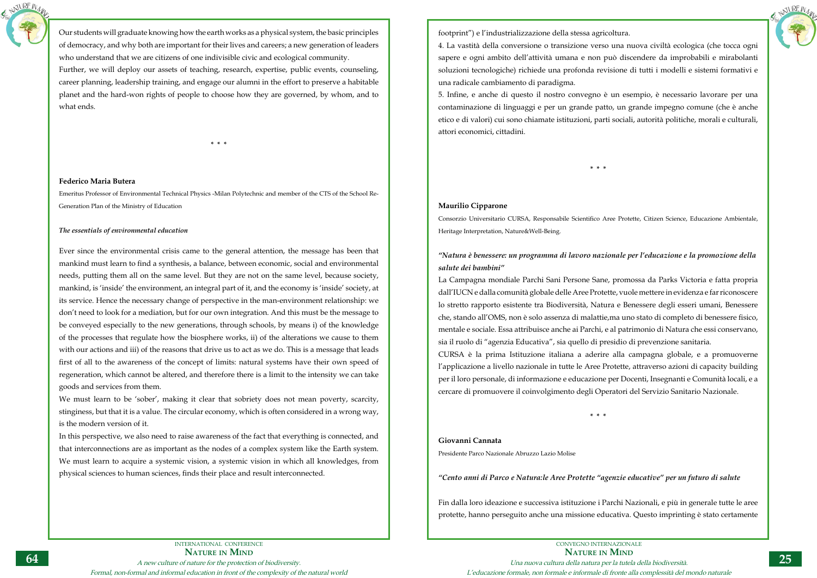



Our students will graduate knowing how the earth works as a physical system, the basic principles of democracy, and why both are important for their lives and careers; a new generation of leaders who understand that we are citizens of one indivisible civic and ecological community. Further, we will deploy our assets of teaching, research, expertise, public events, counseling, career planning, leadership training, and engage our alumni in the effort to preserve a habitable planet and the hard-won rights of people to choose how they are governed, by whom, and to what ends.

**\* \* \***

## **Federico Maria Butera**

Emeritus Professor of Environmental Technical Physics -Milan Polytechnic and member of the CTS of the School Re-Generation Plan of the Ministry of Education

## *The essentials of environmental education*

Ever since the environmental crisis came to the general attention, the message has been that mankind must learn to find a synthesis, a balance, between economic, social and environmental needs, putting them all on the same level. But they are not on the same level, because society, mankind, is 'inside' the environment, an integral part of it, and the economy is 'inside' society, at its service. Hence the necessary change of perspective in the man-environment relationship: we don't need to look for a mediation, but for our own integration. And this must be the message to be conveyed especially to the new generations, through schools, by means i) of the knowledge of the processes that regulate how the biosphere works, ii) of the alterations we cause to them with our actions and iii) of the reasons that drive us to act as we do. This is a message that leads first of all to the awareness of the concept of limits: natural systems have their own speed of regeneration, which cannot be altered, and therefore there is a limit to the intensity we can take goods and services from them.

We must learn to be 'sober', making it clear that sobriety does not mean poverty, scarcity, stinginess, but that it is a value. The circular economy, which is often considered in a wrong way, is the modern version of it.

In this perspective, we also need to raise awareness of the fact that everything is connected, and that interconnections are as important as the nodes of a complex system like the Earth system. We must learn to acquire a systemic vision, a systemic vision in which all knowledges, from physical sciences to human sciences, finds their place and result interconnected.

footprint") e l'industrializzazione della stessa agricoltura. 4. La vastità della conversione o transizione verso una nuova civiltà ecologica (che tocca ogni sapere e ogni ambito dell'attività umana e non può discendere da improbabili e mirabolanti soluzioni tecnologiche) richiede una profonda revisione di tutti i modelli e sistemi formativi e una radicale cambiamento di paradigma.

5. Infine, e anche di questo il nostro convegno è un esempio, è necessario lavorare per una contaminazione di linguaggi e per un grande patto, un grande impegno comune (che è anche etico e di valori) cui sono chiamate istituzioni, parti sociali, autorità politiche, morali e culturali, attori economici, cittadini.

**\* \* \***

## **Maurilio Cipparone**

Consorzio Universitario CURSA, Responsabile Scientifico Aree Protette, Citizen Science, Educazione Ambientale, Heritage Interpretation, Nature&Well-Being.

## *"Natura è benessere: un programma di lavoro nazionale per l'educazione e la promozione della salute dei bambini"*

La Campagna mondiale Parchi Sani Persone Sane, promossa da Parks Victoria e fatta propria dall'IUCN e dalla comunità globale delle Aree Protette, vuole mettere in evidenza e far riconoscere lo stretto rapporto esistente tra Biodiversità, Natura e Benessere degli esseri umani, Benessere che, stando all'OMS, non è solo assenza di malattie,ma uno stato di completo di benessere fisico, mentale e sociale. Essa attribuisce anche ai Parchi, e al patrimonio di Natura che essi conservano, sia il ruolo di "agenzia Educativa", sia quello di presidio di prevenzione sanitaria. CURSA è la prima Istituzione italiana a aderire alla campagna globale, e a promuoverne l'applicazione a livello nazionale in tutte le Aree Protette, attraverso azioni di capacity building per il loro personale, di informazione e educazione per Docenti, Insegnanti e Comunità locali, e a cercare di promuovere il coinvolgimento degli Operatori del Servizio Sanitario Nazionale.

**\* \* \***

## **Giovanni Cannata**

Presidente Parco Nazionale Abruzzo Lazio Molise

## *"Cento anni di Parco e Natura:le Aree Protette "agenzie educative" per un futuro di salute*

Fin dalla loro ideazione e successiva istituzione i Parchi Nazionali, e più in generale tutte le aree protette, hanno perseguito anche una missione educativa. Questo imprinting è stato certamente

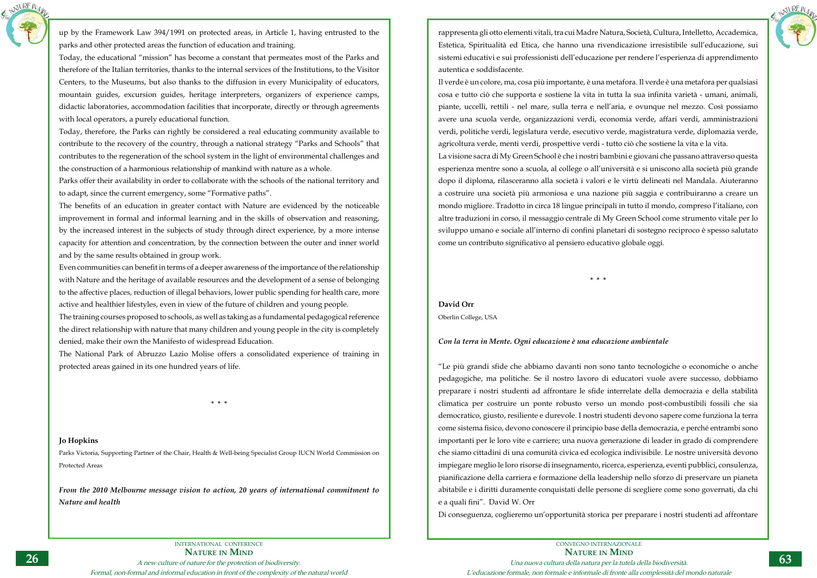

up by the Framework Law 394/1991 on protected areas, in Article 1, having entrusted to the parks and other protected areas the function of education and training.

Today, the educational "mission" has become a constant that permeates most of the Parks and therefore of the Italian territories, thanks to the internal services of the Institutions, to the Visitor Centers, to the Museums, but also thanks to the diffusion in every Municipality of educators, mountain guides, excursion guides, heritage interpreters, organizers of experience camps, didactic laboratories, accommodation facilities that incorporate, directly or through agreements with local operators, a purely educational function.

Today, therefore, the Parks can rightly be considered a real educating community available to contribute to the recovery of the country, through a national strategy "Parks and Schools" that contributes to the regeneration of the school system in the light of environmental challenges and the construction of a harmonious relationship of mankind with nature as a whole.

Parks offer their availability in order to collaborate with the schools of the national territory and to adapt, since the current emergency, some "Formative paths".

The benefits of an education in greater contact with Nature are evidenced by the noticeable improvement in formal and informal learning and in the skills of observation and reasoning, by the increased interest in the subjects of study through direct experience, by a more intense capacity for attention and concentration, by the connection between the outer and inner world and by the same results obtained in group work.

Even communities can benefit in terms of a deeper awareness of the importance of the relationship with Nature and the heritage of available resources and the development of a sense of belonging to the affective places, reduction of illegal behaviors, lower public spending for health care, more active and healthier lifestyles, even in view of the future of children and young people.

The training courses proposed to schools, as well as taking as a fundamental pedagogical reference the direct relationship with nature that many children and young people in the city is completely denied, make their own the Manifesto of widespread Education.

The National Park of Abruzzo Lazio Molise offers a consolidated experience of training in protected areas gained in its one hundred years of life.

**\* \* \***

## **Jo Hopkins**

Parks Victoria, Supporting Partner of the Chair, Health & Well-being Specialist Group IUCN World Commission on Protected Areas

*From the 2010 Melbourne message vision to action, 20 years of international commitment to Nature and health*

rappresenta gli otto elementi vitali, tra cui Madre Natura, Società, Cultura, Intelletto, Accademica, Estetica, Spiritualità ed Etica, che hanno una rivendicazione irresistibile sull'educazione, sui sistemi educativi e sui professionisti dell'educazione per rendere l'esperienza di apprendimento autentica e soddisfacente.

Il verde è un colore, ma, cosa più importante, è una metafora. Il verde è una metafora per qualsiasi cosa e tutto ciò che supporta e sostiene la vita in tutta la sua infinita varietà - umani, animali, piante, uccelli, rettili - nel mare, sulla terra e nell'aria, e ovunque nel mezzo. Così possiamo avere una scuola verde, organizzazioni verdi, economia verde, affari verdi, amministrazioni verdi, politiche verdi, legislatura verde, esecutivo verde, magistratura verde, diplomazia verde, agricoltura verde, menti verdi, prospettive verdi - tutto ciò che sostiene la vita e la vita. La visione sacra di My Green School è che i nostri bambini e giovani che passano attraverso questa esperienza mentre sono a scuola, al college o all'università e si uniscono alla società più grande dopo il diploma, rilasceranno alla società i valori e le virtù delineati nel Mandala. Aiuteranno a costruire una società più armoniosa e una nazione più saggia e contribuiranno a creare un mondo migliore. Tradotto in circa 18 lingue principali in tutto il mondo, compreso l'italiano, con altre traduzioni in corso, il messaggio centrale di My Green School come strumento vitale per lo sviluppo umano e sociale all'interno di confini planetari di sostegno reciproco è spesso salutato come un contributo significativo al pensiero educativo globale oggi.

**\* \* \***

## **David Orr**

Oberlin College, USA

## *Con la terra in Mente. Ogni educazione è una educazione ambientale*

"Le più grandi sfide che abbiamo davanti non sono tanto tecnologiche o economiche o anche pedagogiche, ma politiche. Se il nostro lavoro di educatori vuole avere successo, dobbiamo preparare i nostri studenti ad affrontare le sfide interrelate della democrazia e della stabilità climatica per costruire un ponte robusto verso un mondo post-combustibili fossili che sia democratico, giusto, resiliente e durevole. I nostri studenti devono sapere come funziona la terra come sistema fisico, devono conoscere il principio base della democrazia, e perché entrambi sono importanti per le loro vite e carriere; una nuova generazione di leader in grado di comprendere che siamo cittadini di una comunità civica ed ecologica indivisibile. Le nostre università devono impiegare meglio le loro risorse di insegnamento, ricerca, esperienza, eventi pubblici, consulenza, pianificazione della carriera e formazione della leadership nello sforzo di preservare un pianeta abitabile e i diritti duramente conquistati delle persone di scegliere come sono governati, da chi e a quali fini". David W. Orr

Di conseguenza, coglieremo un'opportunità storica per preparare i nostri studenti ad affrontare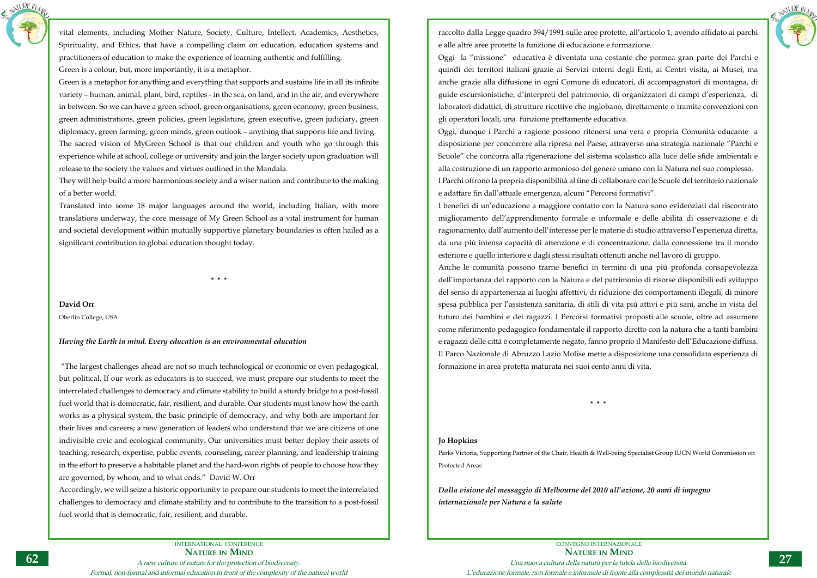INTERNATIONAL CONFERENCE **Nature in Mind** A new culture of nature for the protection of biodiversity. Formal, non-formal and informal education in front of the complexity of the natural world



vital elements, including Mother Nature, Society, Culture, Intellect, Academics, Aesthetics, Spirituality, and Ethics, that have a compelling claim on education, education systems and practitioners of education to make the experience of learning authentic and fulfilling. Green is a colour, but, more importantly, it is a metaphor.

Green is a metaphor for anything and everything that supports and sustains life in all its infinite variety – human, animal, plant, bird, reptiles - in the sea, on land, and in the air, and everywhere in between. So we can have a green school, green organisations, green economy, green business, green administrations, green policies, green legislature, green executive, green judiciary, green diplomacy, green farming, green minds, green outlook – anything that supports life and living. The sacred vision of MyGreen School is that our children and youth who go through this experience while at school, college or university and join the larger society upon graduation will release to the society the values and virtues outlined in the Mandala.

They will help build a more harmonious society and a wiser nation and contribute to the making of a better world.

Translated into some 18 major languages around the world, including Italian, with more translations underway, the core message of My Green School as a vital instrument for human and societal development within mutually supportive planetary boundaries is often hailed as a significant contribution to global education thought today.

**\* \* \***

**David Orr**

Oberlin College, USA

## *Having the Earth in mind. Every education is an environmental education*

 "The largest challenges ahead are not so much technological or economic or even pedagogical, but political. If our work as educators is to succeed, we must prepare our students to meet the interrelated challenges to democracy and climate stability to build a sturdy bridge to a post-fossil fuel world that is democratic, fair, resilient, and durable. Our students must know how the earth works as a physical system, the basic principle of democracy, and why both are important for their lives and careers; a new generation of leaders who understand that we are citizens of one indivisible civic and ecological community. Our universities must better deploy their assets of teaching, research, expertise, public events, counseling, career planning, and leadership training in the effort to preserve a habitable planet and the hard-won rights of people to choose how they are governed, by whom, and to what ends." David W. Orr

Accordingly, we will seize a historic opportunity to prepare our students to meet the interrelated challenges to democracy and climate stability and to contribute to the transition to a post-fossil fuel world that is democratic, fair, resilient, and durable.

raccolto dalla Legge quadro 394/1991 sulle aree protette, all'articolo 1, avendo affidato ai parchi e alle altre aree protette la funzione di educazione e formazione. Oggi la "missione" educativa è diventata una costante che permea gran parte dei Parchi e quindi dei territori italiani grazie ai Servizi interni degli Enti, ai Centri visita, ai Musei, ma anche grazie alla diffusione in ogni Comune di educatori, di accompagnatori di montagna, di guide escursionistiche, d'interpreti del patrimonio, di organizzatori di campi d'esperienza, di laboratori didattici, di strutture ricettive che inglobano, direttamente o tramite convenzioni con gli operatori locali, una funzione prettamente educativa. Oggi, dunque i Parchi a ragione possono ritenersi una vera e propria Comunità educante a disposizione per concorrere alla ripresa nel Paese, attraverso una strategia nazionale "Parchi e Scuole" che concorra alla rigenerazione del sistema scolastico alla luce delle sfide ambientali e alla costruzione di un rapporto armonioso del genere umano con la Natura nel suo complesso. I Parchi offrono la propria disponibilità al fine di collaborare con le Scuole del territorio nazionale e adattare fin dall'attuale emergenza, alcuni "Percorsi formativi". I benefici di un'educazione a maggiore contatto con la Natura sono evidenziati dal riscontrato miglioramento dell'apprendimento formale e informale e delle abilità di osservazione e di ragionamento, dall'aumento dell'interesse per le materie di studio attraverso l'esperienza diretta, da una più intensa capacità di attenzione e di concentrazione, dalla connessione tra il mondo esteriore e quello interiore e dagli stessi risultati ottenuti anche nel lavoro di gruppo. Anche le comunità possono trarne benefici in termini di una più profonda consapevolezza dell'importanza del rapporto con la Natura e del patrimonio di risorse disponibili edi sviluppo del senso di appartenenza ai luoghi affettivi, di riduzione dei comportamenti illegali, di minore spesa pubblica per l'assistenza sanitaria, di stili di vita più attivi e più sani, anche in vista del futuro dei bambini e dei ragazzi. I Percorsi formativi proposti alle scuole, oltre ad assumere come riferimento pedagogico fondamentale il rapporto diretto con la natura che a tanti bambini e ragazzi delle città è completamente negato, fanno proprio il Manifesto dell'Educazione diffusa. Il Parco Nazionale di Abruzzo Lazio Molise mette a disposizione una consolidata esperienza di formazione in area protetta maturata nei suoi cento anni di vita.

**\* \* \***

## **Jo Hopkins**

Parks Victoria, Supporting Partner of the Chair, Health & Well-being Specialist Group IUCN World Commission on Protected Areas

*Dalla visione del messaggio di Melbourne del 2010 all'azione, 20 anni di impegno internazionale per Natura e la salute*

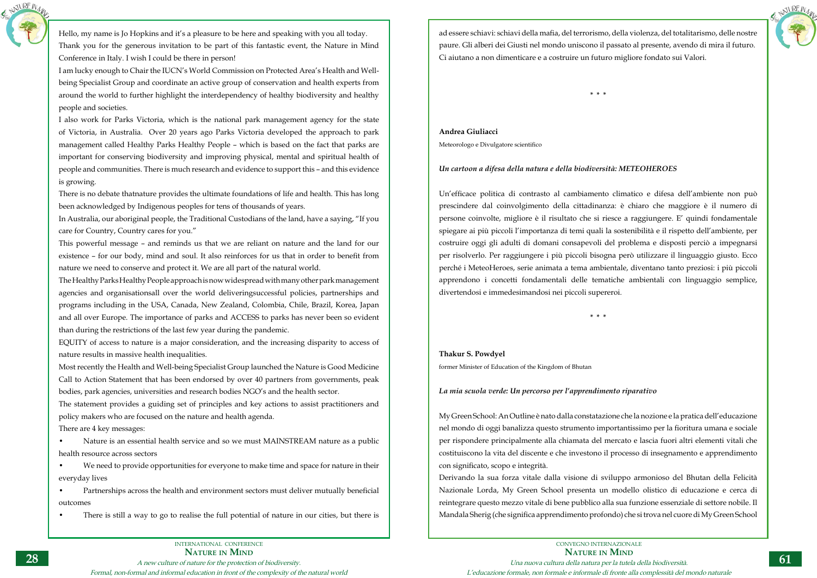INTERNATIONAL CONFERENCE **Nature in Mind**

A new culture of nature for the protection of biodiversity.

Formal, non-formal and informal education in front of the complexity of the natural world



Hello, my name is Jo Hopkins and it's a pleasure to be here and speaking with you all today. Thank you for the generous invitation to be part of this fantastic event, the Nature in Mind Conference in Italy. I wish I could be there in person!

I am lucky enough to Chair the IUCN's World Commission on Protected Area's Health and Wellbeing Specialist Group and coordinate an active group of conservation and health experts from around the world to further highlight the interdependency of healthy biodiversity and healthy people and societies.

I also work for Parks Victoria, which is the national park management agency for the state of Victoria, in Australia. Over 20 years ago Parks Victoria developed the approach to park management called Healthy Parks Healthy People – which is based on the fact that parks are important for conserving biodiversity and improving physical, mental and spiritual health of people and communities. There is much research and evidence to support this – and this evidence is growing.

There is no debate thatnature provides the ultimate foundations of life and health. This has long been acknowledged by Indigenous peoples for tens of thousands of years.

In Australia, our aboriginal people, the Traditional Custodians of the land, have a saying, "If you care for Country, Country cares for you."

This powerful message – and reminds us that we are reliant on nature and the land for our existence – for our body, mind and soul. It also reinforces for us that in order to benefit from nature we need to conserve and protect it. We are all part of the natural world.

The Healthy Parks Healthy People approach is now widespread with many other park management agencies and organisationsall over the world deliveringsuccessful policies, partnerships and programs including in the USA, Canada, New Zealand, Colombia, Chile, Brazil, Korea, Japan and all over Europe. The importance of parks and ACCESS to parks has never been so evident than during the restrictions of the last few year during the pandemic.

EQUITY of access to nature is a major consideration, and the increasing disparity to access of nature results in massive health inequalities.

Most recently the Health and Well-being Specialist Group launched the Nature is Good Medicine Call to Action Statement that has been endorsed by over 40 partners from governments, peak bodies, park agencies, universities and research bodies NGO's and the health sector.

The statement provides a guiding set of principles and key actions to assist practitioners and policy makers who are focused on the nature and health agenda.

There are 4 key messages:

• Nature is an essential health service and so we must MAINSTREAM nature as a public health resource across sectors

• We need to provide opportunities for everyone to make time and space for nature in their everyday lives

• Partnerships across the health and environment sectors must deliver mutually beneficial outcomes

There is still a way to go to realise the full potential of nature in our cities, but there is



ad essere schiavi: schiavi della mafia, del terrorismo, della violenza, del totalitarismo, delle nostre

paure. Gli alberi dei Giusti nel mondo uniscono il passato al presente, avendo di mira il futuro. Ci aiutano a non dimenticare e a costruire un futuro migliore fondato sui Valori.

**\* \* \***

**Andrea Giuliacci** Meteorologo e Divulgatore scientifico

## *Un cartoon a difesa della natura e della biodiversità: METEOHEROES*

Un'efficace politica di contrasto al cambiamento climatico e difesa dell'ambiente non può prescindere dal coinvolgimento della cittadinanza: è chiaro che maggiore è il numero di persone coinvolte, migliore è il risultato che si riesce a raggiungere. E' quindi fondamentale spiegare ai più piccoli l'importanza di temi quali la sostenibilità e il rispetto dell'ambiente, per costruire oggi gli adulti di domani consapevoli del problema e disposti perciò a impegnarsi per risolverlo. Per raggiungere i più piccoli bisogna però utilizzare il linguaggio giusto. Ecco perché i MeteoHeroes, serie animata a tema ambientale, diventano tanto preziosi: i più piccoli apprendono i concetti fondamentali delle tematiche ambientali con linguaggio semplice, divertendosi e immedesimandosi nei piccoli supereroi.

**\* \* \***

## **Thakur S. Powdyel**

former Minister of Education of the Kingdom of Bhutan

*La mia scuola verde: Un percorso per l'apprendimento riparativo*

My Green School: An Outline è nato dalla constatazione che la nozione e la pratica dell'educazione nel mondo di oggi banalizza questo strumento importantissimo per la fioritura umana e sociale per rispondere principalmente alla chiamata del mercato e lascia fuori altri elementi vitali che costituiscono la vita del discente e che investono il processo di insegnamento e apprendimento con significato, scopo e integrità.

Derivando la sua forza vitale dalla visione di sviluppo armonioso del Bhutan della Felicità Nazionale Lorda, My Green School presenta un modello olistico di educazione e cerca di reintegrare questo mezzo vitale di bene pubblico alla sua funzione essenziale di settore nobile. Il Mandala Sherig (che significa apprendimento profondo) che si trova nel cuore di My Green School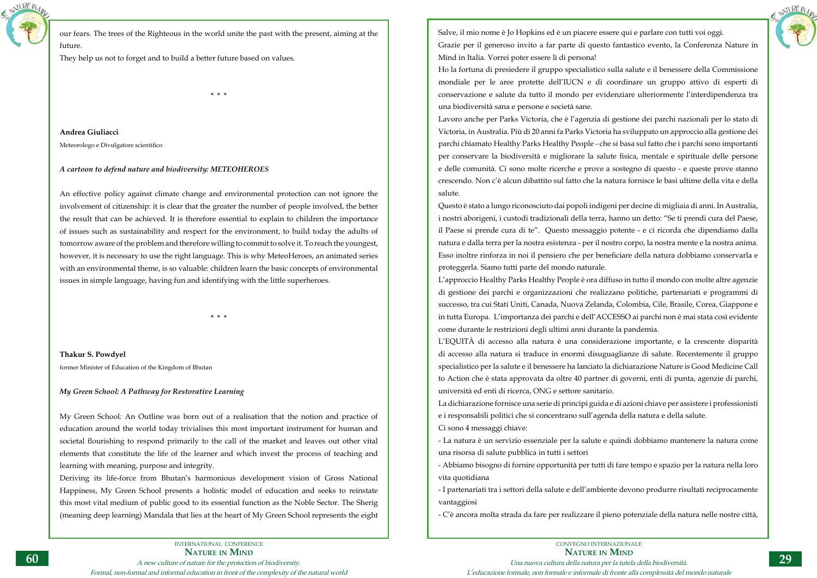

our fears. The trees of the Righteous in the world unite the past with the present, aiming at the future.

They help us not to forget and to build a better future based on values.

**\* \* \***

**Andrea Giuliacci**

Meteorologo e Divulgatore scientifico

## *A cartoon to defend nature and biodiversity: METEOHEROES*

An effective policy against climate change and environmental protection can not ignore the involvement of citizenship: it is clear that the greater the number of people involved, the better the result that can be achieved. It is therefore essential to explain to children the importance of issues such as sustainability and respect for the environment, to build today the adults of tomorrow aware of the problem and therefore willing to commit to solve it. To reach the youngest, however, it is necessary to use the right language. This is why MeteoHeroes, an animated series with an environmental theme, is so valuable: children learn the basic concepts of environmental issues in simple language, having fun and identifying with the little superheroes.

**\* \* \***

**Thakur S. Powdyel** former Minister of Education of the Kingdom of Bhutan

## *My Green School: A Pathway for Restorative Learning*

My Green School: An Outline was born out of a realisation that the notion and practice of education around the world today trivialises this most important instrument for human and societal flourishing to respond primarily to the call of the market and leaves out other vital elements that constitute the life of the learner and which invest the process of teaching and learning with meaning, purpose and integrity.

Deriving its life-force from Bhutan's harmonious development vision of Gross National Happiness, My Green School presents a holistic model of education and seeks to reinstate this most vital medium of public good to its essential function as the Noble Sector. The Sherig (meaning deep learning) Mandala that lies at the heart of My Green School represents the eight



Salve, il mio nome è Jo Hopkins ed è un piacere essere qui e parlare con tutti voi oggi. Grazie per il generoso invito a far parte di questo fantastico evento, la Conferenza Nature in Mind in Italia. Vorrei poter essere lì di persona! Ho la fortuna di presiedere il gruppo specialistico sulla salute e il benessere della Commissione mondiale per le aree protette dell'IUCN e di coordinare un gruppo attivo di esperti di conservazione e salute da tutto il mondo per evidenziare ulteriormente l'interdipendenza tra una biodiversità sana e persone e società sane.

Lavoro anche per Parks Victoria, che è l'agenzia di gestione dei parchi nazionali per lo stato di Victoria, in Australia. Più di 20 anni fa Parks Victoria ha sviluppato un approccio alla gestione dei parchi chiamato Healthy Parks Healthy People - che si basa sul fatto che i parchi sono importanti per conservare la biodiversità e migliorare la salute fisica, mentale e spirituale delle persone e delle comunità. Ci sono molte ricerche e prove a sostegno di questo - e queste prove stanno crescendo. Non c'è alcun dibattito sul fatto che la natura fornisce le basi ultime della vita e della salute.

Questo è stato a lungo riconosciuto dai popoli indigeni per decine di migliaia di anni. In Australia, i nostri aborigeni, i custodi tradizionali della terra, hanno un detto: "Se ti prendi cura del Paese, il Paese si prende cura di te". Questo messaggio potente - e ci ricorda che dipendiamo dalla natura e dalla terra per la nostra esistenza - per il nostro corpo, la nostra mente e la nostra anima. Esso inoltre rinforza in noi il pensiero che per beneficiare della natura dobbiamo conservarla e proteggerla. Siamo tutti parte del mondo naturale.

L'approccio Healthy Parks Healthy People è ora diffuso in tutto il mondo con molte altre agenzie di gestione dei parchi e organizzazioni che realizzano politiche, partenariati e programmi di successo, tra cui Stati Uniti, Canada, Nuova Zelanda, Colombia, Cile, Brasile, Corea, Giappone e in tutta Europa. L'importanza dei parchi e dell'ACCESSO ai parchi non è mai stata così evidente come durante le restrizioni degli ultimi anni durante la pandemia. L'EQUITÀ di accesso alla natura è una considerazione importante, e la crescente disparità di accesso alla natura si traduce in enormi disuguaglianze di salute. Recentemente il gruppo specialistico per la salute e il benessere ha lanciato la dichiarazione Nature is Good Medicine Call to Action che è stata approvata da oltre 40 partner di governi, enti di punta, agenzie di parchi, università ed enti di ricerca, ONG e settore sanitario. La dichiarazione fornisce una serie di principi guida e di azioni chiave per assistere i professionisti e i responsabili politici che si concentrano sull'agenda della natura e della salute. Ci sono 4 messaggi chiave:

- La natura è un servizio essenziale per la salute e quindi dobbiamo mantenere la natura come una risorsa di salute pubblica in tutti i settori

- Abbiamo bisogno di fornire opportunità per tutti di fare tempo e spazio per la natura nella loro vita quotidiana

- I partenariati tra i settori della salute e dell'ambiente devono produrre risultati reciprocamente vantaggiosi

- C'è ancora molta strada da fare per realizzare il pieno potenziale della natura nelle nostre città,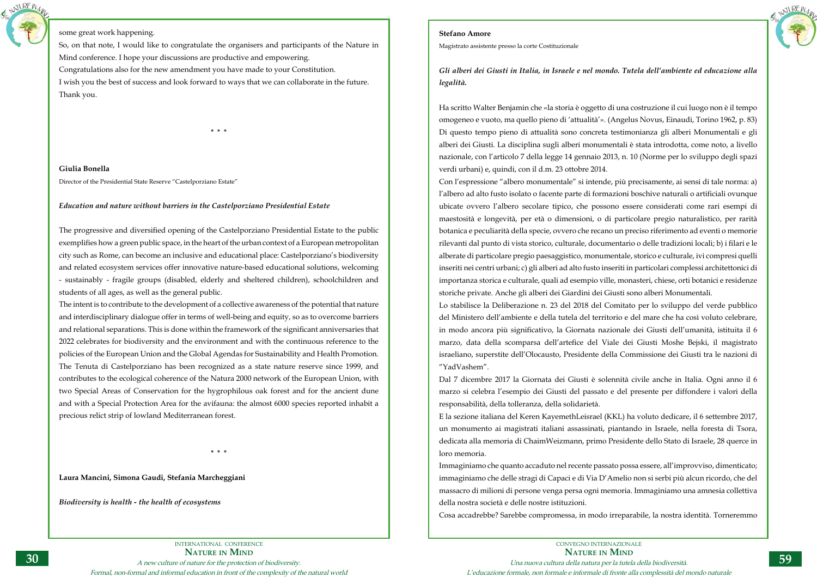INTERNATIONAL CONFERENCE **Nature in Mind** A new culture of nature for the protection of biodiversity. Formal, non-formal and informal education in front of the complexity of the natural world



## some great work happening.

So, on that note, I would like to congratulate the organisers and participants of the Nature in Mind conference. I hope your discussions are productive and empowering. Congratulations also for the new amendment you have made to your Constitution. I wish you the best of success and look forward to ways that we can collaborate in the future. Thank you.

**\* \* \***

**Giulia Bonella** Director of the Presidential State Reserve "Castelporziano Estate"

## *Education and nature without barriers in the Castelporziano Presidential Estate*

The progressive and diversified opening of the Castelporziano Presidential Estate to the public exemplifies how a green public space, in the heart of the urban context of a European metropolitan city such as Rome, can become an inclusive and educational place: Castelporziano's biodiversity and related ecosystem services offer innovative nature-based educational solutions, welcoming - sustainably - fragile groups (disabled, elderly and sheltered children), schoolchildren and students of all ages, as well as the general public.

The intent is to contribute to the development of a collective awareness of the potential that nature and interdisciplinary dialogue offer in terms of well-being and equity, so as to overcome barriers and relational separations. This is done within the framework of the significant anniversaries that 2022 celebrates for biodiversity and the environment and with the continuous reference to the policies of the European Union and the Global Agendas for Sustainability and Health Promotion. The Tenuta di Castelporziano has been recognized as a state nature reserve since 1999, and contributes to the ecological coherence of the Natura 2000 network of the European Union, with two Special Areas of Conservation for the hygrophilous oak forest and for the ancient dune and with a Special Protection Area for the avifauna: the almost 6000 species reported inhabit a precious relict strip of lowland Mediterranean forest.

**\* \* \***

**Laura Mancini, Simona Gaudi, Stefania Marcheggiani**

*Biodiversity is health - the health of ecosystems*



## **Stefano Amore**

Magistrato assistente presso la corte Costituzionale

*Gli alberi dei Giusti in Italia, in Israele e nel mondo. Tutela dell'ambiente ed educazione alla legalità.* 

Ha scritto Walter Benjamin che «la storia è oggetto di una costruzione il cui luogo non è il tempo omogeneo e vuoto, ma quello pieno di 'attualità'». (Angelus Novus, Einaudi, Torino 1962, p. 83) Di questo tempo pieno di attualità sono concreta testimonianza gli alberi Monumentali e gli alberi dei Giusti. La disciplina sugli alberi monumentali è stata introdotta, come noto, a livello nazionale, con l'articolo 7 della legge 14 gennaio 2013, n. 10 (Norme per lo sviluppo degli spazi verdi urbani) e, quindi, con il d.m. 23 ottobre 2014. Con l'espressione "albero monumentale" si intende, più precisamente, ai sensi di tale norma: a) l'albero ad alto fusto isolato o facente parte di formazioni boschive naturali o artificiali ovunque ubicate ovvero l'albero secolare tipico, che possono essere considerati come rari esempi di maestosità e longevità, per età o dimensioni, o di particolare pregio naturalistico, per rarità botanica e peculiarità della specie, ovvero che recano un preciso riferimento ad eventi o memorie rilevanti dal punto di vista storico, culturale, documentario o delle tradizioni locali; b) i filari e le alberate di particolare pregio paesaggistico, monumentale, storico e culturale, ivi compresi quelli inseriti nei centri urbani; c) gli alberi ad alto fusto inseriti in particolari complessi architettonici di importanza storica e culturale, quali ad esempio ville, monasteri, chiese, orti botanici e residenze storiche private. Anche gli alberi dei Giardini dei Giusti sono alberi Monumentali. Lo stabilisce la Deliberazione n. 23 del 2018 del Comitato per lo sviluppo del verde pubblico del Ministero dell'ambiente e della tutela del territorio e del mare che ha così voluto celebrare, in modo ancora più significativo, la Giornata nazionale dei Giusti dell'umanità, istituita il 6 marzo, data della scomparsa dell'artefice del Viale dei Giusti Moshe Bejski, il magistrato israeliano, superstite dell'Olocausto, Presidente della Commissione dei Giusti tra le nazioni di "YadVashem".

Dal 7 dicembre 2017 la Giornata dei Giusti è solennità civile anche in Italia. Ogni anno il 6 marzo si celebra l'esempio dei Giusti del passato e del presente per diffondere i valori della responsabilità, della tolleranza, della solidarietà.

E la sezione italiana del Keren KayemethLeisrael (KKL) ha voluto dedicare, il 6 settembre 2017, un monumento ai magistrati italiani assassinati, piantando in Israele, nella foresta di Tsora, dedicata alla memoria di ChaimWeizmann, primo Presidente dello Stato di Israele, 28 querce in loro memoria.

Immaginiamo che quanto accaduto nel recente passato possa essere, all'improvviso, dimenticato; immaginiamo che delle stragi di Capaci e di Via D'Amelio non si serbi più alcun ricordo, che del massacro di milioni di persone venga persa ogni memoria. Immaginiamo una amnesia collettiva della nostra società e delle nostre istituzioni.

Cosa accadrebbe? Sarebbe compromessa, in modo irreparabile, la nostra identità. Torneremmo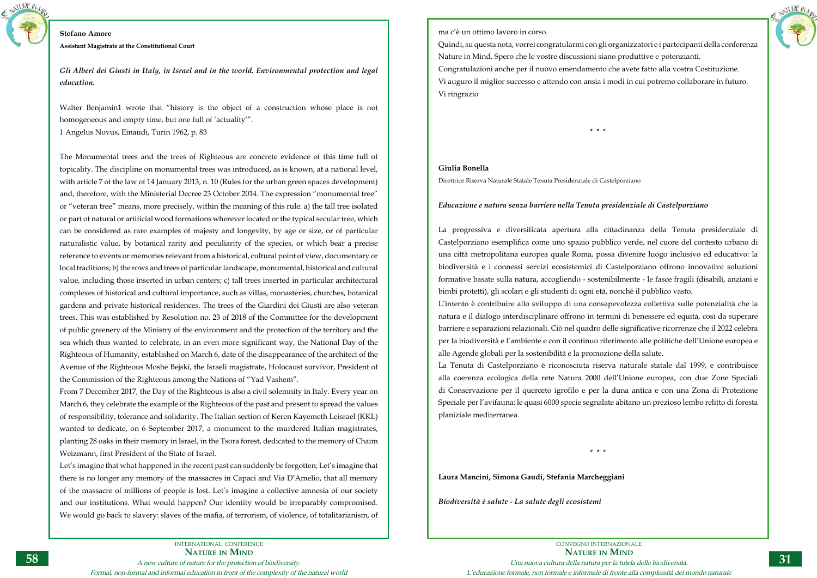

### **Stefano Amore**

**Assistant Magistrate at the Constitutional Court**

*Gli Alberi dei Giusti in Italy, in Israel and in the world. Environmental protection and legal education.*

Walter Benjamin1 wrote that "history is the object of a construction whose place is not homogeneous and empty time, but one full of 'actuality'".

1 Angelus Novus, Einaudi, Turin 1962, p. 83

The Monumental trees and the trees of Righteous are concrete evidence of this time full of topicality. The discipline on monumental trees was introduced, as is known, at a national level, with article 7 of the law of 14 January 2013, n. 10 (Rules for the urban green spaces development) and, therefore, with the Ministerial Decree 23 October 2014. The expression "monumental tree" or "veteran tree" means, more precisely, within the meaning of this rule: a) the tall tree isolated or part of natural or artificial wood formations wherever located or the typical secular tree, which can be considered as rare examples of majesty and longevity, by age or size, or of particular naturalistic value, by botanical rarity and peculiarity of the species, or which bear a precise reference to events or memories relevant from a historical, cultural point of view, documentary or local traditions; b) the rows and trees of particular landscape, monumental, historical and cultural value, including those inserted in urban centers; c) tall trees inserted in particular architectural complexes of historical and cultural importance, such as villas, monasteries, churches, botanical gardens and private historical residences. The trees of the Giardini dei Giusti are also veteran trees. This was established by Resolution no. 23 of 2018 of the Committee for the development of public greenery of the Ministry of the environment and the protection of the territory and the sea which thus wanted to celebrate, in an even more significant way, the National Day of the Righteous of Humanity, established on March 6, date of the disappearance of the architect of the Avenue of the Righteous Moshe Bejski, the Israeli magistrate, Holocaust survivor, President of the Commission of the Righteous among the Nations of "Yad Vashem".

From 7 December 2017, the Day of the Righteous is also a civil solemnity in Italy. Every year on March 6, they celebrate the example of the Righteous of the past and present to spread the values of responsibility, tolerance and solidarity. The Italian section of Keren Kayemeth Leisrael (KKL) wanted to dedicate, on 6 September 2017, a monument to the murdered Italian magistrates, planting 28 oaks in their memory in Israel, in the Tsora forest, dedicated to the memory of Chaim Weizmann, first President of the State of Israel.

Let's imagine that what happened in the recent past can suddenly be forgotten; Let's imagine that there is no longer any memory of the massacres in Capaci and Via D'Amelio, that all memory of the massacre of millions of people is lost. Let's imagine a collective amnesia of our society and our institutions. What would happen? Our identity would be irreparably compromised. We would go back to slavery: slaves of the mafia, of terrorism, of violence, of totalitarianism, of



ma c'è un ottimo lavoro in corso.

Quindi, su questa nota, vorrei congratularmi con gli organizzatori e i partecipanti della conferenza Nature in Mind. Spero che le vostre discussioni siano produttive e potenzianti. Congratulazioni anche per il nuovo emendamento che avete fatto alla vostra Costituzione. Vi auguro il miglior successo e attendo con ansia i modi in cui potremo collaborare in futuro. Vi ringrazio

**\* \* \***

## **Giulia Bonella**

Direttrice Riserva Naturale Statale Tenuta Presidenziale di Castelporziano

## *Educazione e natura senza barriere nella Tenuta presidenziale di Castelporziano*

La progressiva e diversificata apertura alla cittadinanza della Tenuta presidenziale di Castelporziano esemplifica come uno spazio pubblico verde, nel cuore del contesto urbano di una città metropolitana europea quale Roma, possa divenire luogo inclusivo ed educativo: la biodiversità e i connessi servizi ecosistemici di Castelporziano offrono innovative soluzioni formative basate sulla natura, accogliendo - sostenibilmente - le fasce fragili (disabili, anziani e bimbi protetti), gli scolari e gli studenti di ogni età, nonché il pubblico vasto. L'intento è contribuire allo sviluppo di una consapevolezza collettiva sulle potenzialità che la natura e il dialogo interdisciplinare offrono in termini di benessere ed equità, così da superare barriere e separazioni relazionali. Ciò nel quadro delle significative ricorrenze che il 2022 celebra per la biodiversità e l'ambiente e con il continuo riferimento alle politiche dell'Unione europea e alle Agende globali per la sostenibilità e la promozione della salute. La Tenuta di Castelporziano è riconosciuta riserva naturale statale dal 1999, e contribuisce alla coerenza ecologica della rete Natura 2000 dell'Unione europea, con due Zone Speciali di Conservazione per il querceto igrofilo e per la duna antica e con una Zona di Protezione Speciale per l'avifauna: le quasi 6000 specie segnalate abitano un prezioso lembo relitto di foresta planiziale mediterranea.

**\* \* \***

**Laura Mancini, Simona Gaudi, Stefania Marcheggiani**

*Biodiversità è salute - La salute degli ecosistemi*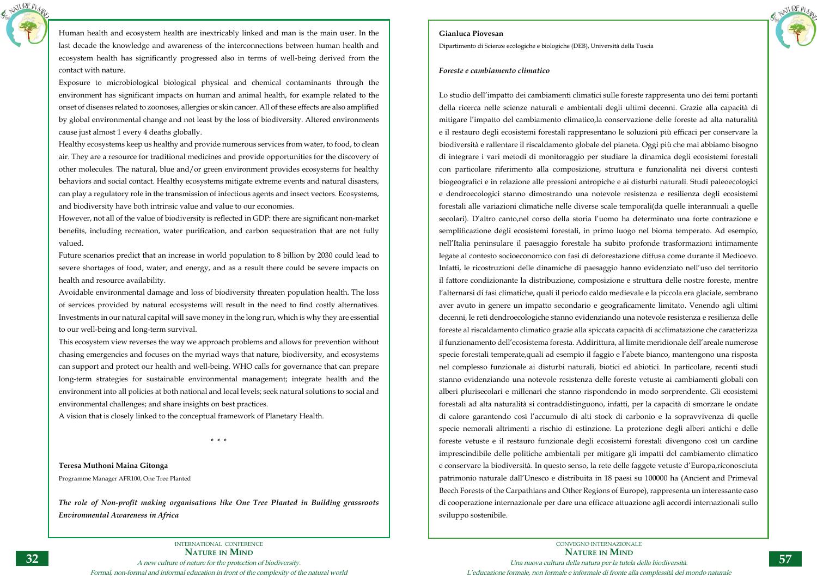

Human health and ecosystem health are inextricably linked and man is the main user. In the last decade the knowledge and awareness of the interconnections between human health and ecosystem health has significantly progressed also in terms of well-being derived from the contact with nature.

Exposure to microbiological biological physical and chemical contaminants through the environment has significant impacts on human and animal health, for example related to the onset of diseases related to zoonoses, allergies or skin cancer. All of these effects are also amplified by global environmental change and not least by the loss of biodiversity. Altered environments cause just almost 1 every 4 deaths globally.

Healthy ecosystems keep us healthy and provide numerous services from water, to food, to clean air. They are a resource for traditional medicines and provide opportunities for the discovery of other molecules. The natural, blue and/or green environment provides ecosystems for healthy behaviors and social contact. Healthy ecosystems mitigate extreme events and natural disasters, can play a regulatory role in the transmission of infectious agents and insect vectors. Ecosystems, and biodiversity have both intrinsic value and value to our economies.

However, not all of the value of biodiversity is reflected in GDP: there are significant non-market benefits, including recreation, water purification, and carbon sequestration that are not fully valued.

Future scenarios predict that an increase in world population to 8 billion by 2030 could lead to severe shortages of food, water, and energy, and as a result there could be severe impacts on health and resource availability.

Avoidable environmental damage and loss of biodiversity threaten population health. The loss of services provided by natural ecosystems will result in the need to find costly alternatives. Investments in our natural capital will save money in the long run, which is why they are essential to our well-being and long-term survival.

This ecosystem view reverses the way we approach problems and allows for prevention without chasing emergencies and focuses on the myriad ways that nature, biodiversity, and ecosystems can support and protect our health and well-being. WHO calls for governance that can prepare long-term strategies for sustainable environmental management; integrate health and the environment into all policies at both national and local levels; seek natural solutions to social and environmental challenges; and share insights on best practices.

A vision that is closely linked to the conceptual framework of Planetary Health.

**\* \* \***

**Teresa Muthoni Maina Gitonga** Programme Manager AFR100, One Tree Planted

*The role of Non-profit making organisations like One Tree Planted in Building grassroots Environmental Awareness in Africa*



CONVEGNO INTERNAZIONALE **Nature in Mind** Una nuova cultura della natura per la tutela della biodiversità. L'educazione formale, non formale e informale di fronte alla complessità del mondo naturale

## **Gianluca Piovesan**

Dipartimento di Scienze ecologiche e biologiche (DEB), Università della Tuscia

## *Foreste e cambiamento climatico*

Lo studio dell'impatto dei cambiamenti climatici sulle foreste rappresenta uno dei temi portanti della ricerca nelle scienze naturali e ambientali degli ultimi decenni. Grazie alla capacità di mitigare l'impatto del cambiamento climatico,la conservazione delle foreste ad alta naturalità e il restauro degli ecosistemi forestali rappresentano le soluzioni più efficaci per conservare la biodiversità e rallentare il riscaldamento globale del pianeta. Oggi più che mai abbiamo bisogno di integrare i vari metodi di monitoraggio per studiare la dinamica degli ecosistemi forestali con particolare riferimento alla composizione, struttura e funzionalità nei diversi contesti biogeografici e in relazione alle pressioni antropiche e ai disturbi naturali. Studi paleoecologici e dendroecologici stanno dimostrando una notevole resistenza e resilienza degli ecosistemi forestali alle variazioni climatiche nelle diverse scale temporali(da quelle interannuali a quelle secolari). D'altro canto,nel corso della storia l'uomo ha determinato una forte contrazione e semplificazione degli ecosistemi forestali, in primo luogo nel bioma temperato. Ad esempio, nell'Italia peninsulare il paesaggio forestale ha subito profonde trasformazioni intimamente legate al contesto socioeconomico con fasi di deforestazione diffusa come durante il Medioevo. Infatti, le ricostruzioni delle dinamiche di paesaggio hanno evidenziato nell'uso del territorio il fattore condizionante la distribuzione, composizione e struttura delle nostre foreste, mentre l'alternarsi di fasi climatiche, quali il periodo caldo medievale e la piccola era glaciale, sembrano aver avuto in genere un impatto secondario e geograficamente limitato. Venendo agli ultimi decenni, le reti dendroecologiche stanno evidenziando una notevole resistenza e resilienza delle foreste al riscaldamento climatico grazie alla spiccata capacità di acclimatazione che caratterizza il funzionamento dell'ecosistema foresta. Addirittura, al limite meridionale dell'areale numerose specie forestali temperate,quali ad esempio il faggio e l'abete bianco, mantengono una risposta nel complesso funzionale ai disturbi naturali, biotici ed abiotici. In particolare, recenti studi stanno evidenziando una notevole resistenza delle foreste vetuste ai cambiamenti globali con alberi plurisecolari e millenari che stanno rispondendo in modo sorprendente. Gli ecosistemi forestali ad alta naturalità si contraddistinguono, infatti, per la capacità di smorzare le ondate di calore garantendo così l'accumulo di alti stock di carbonio e la sopravvivenza di quelle specie nemorali altrimenti a rischio di estinzione. La protezione degli alberi antichi e delle foreste vetuste e il restauro funzionale degli ecosistemi forestali divengono così un cardine imprescindibile delle politiche ambientali per mitigare gli impatti del cambiamento climatico e conservare la biodiversità. In questo senso, la rete delle faggete vetuste d'Europa,riconosciuta patrimonio naturale dall'Unesco e distribuita in 18 paesi su 100000 ha (Ancient and Primeval Beech Forests of the Carpathians and Other Regions of Europe), rappresenta un interessante caso di cooperazione internazionale per dare una efficace attuazione agli accordi internazionali sullo sviluppo sostenibile.

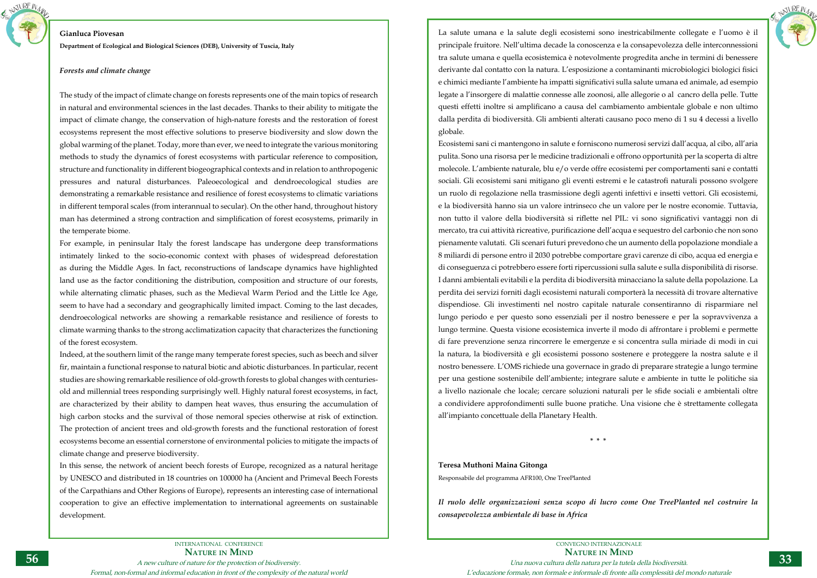

## **Gianluca Piovesan**

**Department of Ecological and Biological Sciences (DEB), University of Tuscia, Italy** 

## *Forests and climate change*

The study of the impact of climate change on forests represents one of the main topics of research in natural and environmental sciences in the last decades. Thanks to their ability to mitigate the impact of climate change, the conservation of high-nature forests and the restoration of forest ecosystems represent the most effective solutions to preserve biodiversity and slow down the global warming of the planet. Today, more than ever, we need to integrate the various monitoring methods to study the dynamics of forest ecosystems with particular reference to composition, structure and functionality in different biogeographical contexts and in relation to anthropogenic pressures and natural disturbances. Paleoecological and dendroecological studies are demonstrating a remarkable resistance and resilience of forest ecosystems to climatic variations in different temporal scales (from interannual to secular). On the other hand, throughout history man has determined a strong contraction and simplification of forest ecosystems, primarily in the temperate biome.

For example, in peninsular Italy the forest landscape has undergone deep transformations intimately linked to the socio-economic context with phases of widespread deforestation as during the Middle Ages. In fact, reconstructions of landscape dynamics have highlighted land use as the factor conditioning the distribution, composition and structure of our forests, while alternating climatic phases, such as the Medieval Warm Period and the Little Ice Age, seem to have had a secondary and geographically limited impact. Coming to the last decades, dendroecological networks are showing a remarkable resistance and resilience of forests to climate warming thanks to the strong acclimatization capacity that characterizes the functioning of the forest ecosystem.

Indeed, at the southern limit of the range many temperate forest species, such as beech and silver fir, maintain a functional response to natural biotic and abiotic disturbances. In particular, recent studies are showing remarkable resilience of old-growth forests to global changes with centuriesold and millennial trees responding surprisingly well. Highly natural forest ecosystems, in fact, are characterized by their ability to dampen heat waves, thus ensuring the accumulation of high carbon stocks and the survival of those nemoral species otherwise at risk of extinction. The protection of ancient trees and old-growth forests and the functional restoration of forest ecosystems become an essential cornerstone of environmental policies to mitigate the impacts of climate change and preserve biodiversity.

In this sense, the network of ancient beech forests of Europe, recognized as a natural heritage by UNESCO and distributed in 18 countries on 100000 ha (Ancient and Primeval Beech Forests of the Carpathians and Other Regions of Europe), represents an interesting case of international cooperation to give an effective implementation to international agreements on sustainable development.



La salute umana e la salute degli ecosistemi sono inestricabilmente collegate e l'uomo è il principale fruitore. Nell'ultima decade la conoscenza e la consapevolezza delle interconnessioni tra salute umana e quella ecosistemica è notevolmente progredita anche in termini di benessere derivante dal contatto con la natura. L'esposizione a contaminanti microbiologici biologici fisici e chimici mediante l'ambiente ha impatti significativi sulla salute umana ed animale, ad esempio legate a l'insorgere di malattie connesse alle zoonosi, alle allegorie o al cancro della pelle. Tutte questi effetti inoltre si amplificano a causa del cambiamento ambientale globale e non ultimo dalla perdita di biodiversità. Gli ambienti alterati causano poco meno di 1 su 4 decessi a livello globale.

Ecosistemi sani ci mantengono in salute e forniscono numerosi servizi dall'acqua, al cibo, all'aria pulita. Sono una risorsa per le medicine tradizionali e offrono opportunità per la scoperta di altre molecole. L'ambiente naturale, blu e/o verde offre ecosistemi per comportamenti sani e contatti sociali. Gli ecosistemi sani mitigano gli eventi estremi e le catastrofi naturali possono svolgere un ruolo di regolazione nella trasmissione degli agenti infettivi e insetti vettori. Gli ecosistemi, e la biodiversità hanno sia un valore intrinseco che un valore per le nostre economie. Tuttavia, non tutto il valore della biodiversità si riflette nel PIL: vi sono significativi vantaggi non di mercato, tra cui attività ricreative, purificazione dell'acqua e sequestro del carbonio che non sono pienamente valutati. Gli scenari futuri prevedono che un aumento della popolazione mondiale a 8 miliardi di persone entro il 2030 potrebbe comportare gravi carenze di cibo, acqua ed energia e di conseguenza ci potrebbero essere forti ripercussioni sulla salute e sulla disponibilità di risorse. I danni ambientali evitabili e la perdita di biodiversità minacciano la salute della popolazione. La perdita dei servizi forniti dagli ecosistemi naturali comporterà la necessità di trovare alternative dispendiose. Gli investimenti nel nostro capitale naturale consentiranno di risparmiare nel lungo periodo e per questo sono essenziali per il nostro benessere e per la sopravvivenza a lungo termine. Questa visione ecosistemica inverte il modo di affrontare i problemi e permette di fare prevenzione senza rincorrere le emergenze e si concentra sulla miriade di modi in cui la natura, la biodiversità e gli ecosistemi possono sostenere e proteggere la nostra salute e il nostro benessere. L'OMS richiede una governace in grado di preparare strategie a lungo termine per una gestione sostenibile dell'ambiente; integrare salute e ambiente in tutte le politiche sia a livello nazionale che locale; cercare soluzioni naturali per le sfide sociali e ambientali oltre a condividere approfondimenti sulle buone pratiche. Una visione che è strettamente collegata all'impianto concettuale della Planetary Health.

**\* \* \***

## **Teresa Muthoni Maina Gitonga**

Responsabile del programma AFR100, One TreePlanted

*Il ruolo delle organizzazioni senza scopo di lucro come One TreePlanted nel costruire la consapevolezza ambientale di base in Africa*

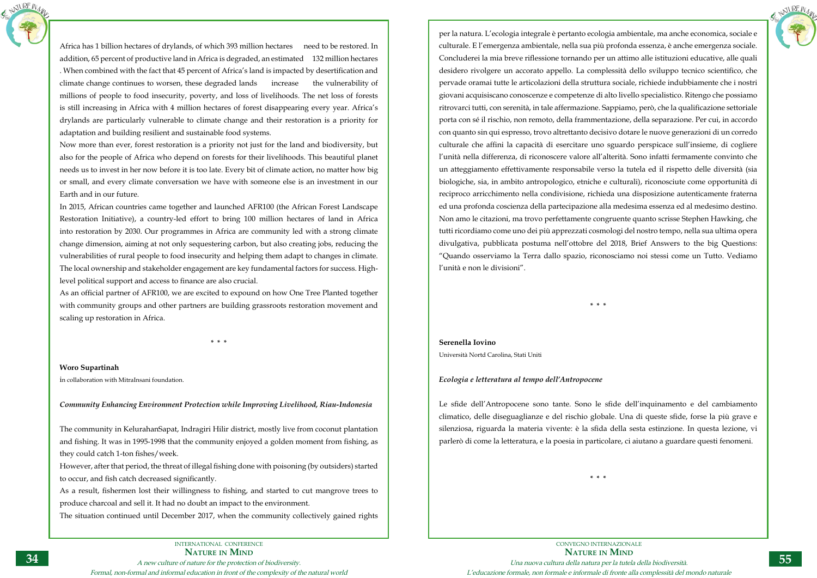

Africa has 1 billion hectares of drylands, of which 393 million hectares need to be restored. In addition, 65 percent of productive land in Africa is degraded, an estimated 132 million hectares . When combined with the fact that 45 percent of Africa's land is impacted by desertification and climate change continues to worsen, these degraded lands increase the vulnerability of millions of people to food insecurity, poverty, and loss of livelihoods. The net loss of forests is still increasing in Africa with 4 million hectares of forest disappearing every year. Africa's drylands are particularly vulnerable to climate change and their restoration is a priority for adaptation and building resilient and sustainable food systems.

Now more than ever, forest restoration is a priority not just for the land and biodiversity, but also for the people of Africa who depend on forests for their livelihoods. This beautiful planet needs us to invest in her now before it is too late. Every bit of climate action, no matter how big or small, and every climate conversation we have with someone else is an investment in our Earth and in our future.

In 2015, African countries came together and launched AFR100 (the African Forest Landscape Restoration Initiative), a country-led effort to bring 100 million hectares of land in Africa into restoration by 2030. Our programmes in Africa are community led with a strong climate change dimension, aiming at not only sequestering carbon, but also creating jobs, reducing the vulnerabilities of rural people to food insecurity and helping them adapt to changes in climate. The local ownership and stakeholder engagement are key fundamental factors for success. Highlevel political support and access to finance are also crucial.

As an official partner of AFR100, we are excited to expound on how One Tree Planted together with community groups and other partners are building grassroots restoration movement and scaling up restoration in Africa.

**\* \* \***

**Woro Supartinah**

in collaboration with MitraInsani foundation.

*Community Enhancing Environment Protection while Improving Livelihood, Riau-Indonesia*

The community in KelurahanSapat, Indragiri Hilir district, mostly live from coconut plantation and fishing. It was in 1995-1998 that the community enjoyed a golden moment from fishing, as they could catch 1-ton fishes/week.

However, after that period, the threat of illegal fishing done with poisoning (by outsiders) started to occur, and fish catch decreased significantly.

As a result, fishermen lost their willingness to fishing, and started to cut mangrove trees to produce charcoal and sell it. It had no doubt an impact to the environment.

The situation continued until December 2017, when the community collectively gained rights



per la natura. L'ecologia integrale è pertanto ecologia ambientale, ma anche economica, sociale e culturale. E l'emergenza ambientale, nella sua più profonda essenza, è anche emergenza sociale. Concluderei la mia breve riflessione tornando per un attimo alle istituzioni educative, alle quali desidero rivolgere un accorato appello. La complessità dello sviluppo tecnico scientifico, che pervade oramai tutte le articolazioni della struttura sociale, richiede indubbiamente che i nostri giovani acquisiscano conoscenze e competenze di alto livello specialistico. Ritengo che possiamo ritrovarci tutti, con serenità, in tale affermazione. Sappiamo, però, che la qualificazione settoriale porta con sé il rischio, non remoto, della frammentazione, della separazione. Per cui, in accordo con quanto sin qui espresso, trovo altrettanto decisivo dotare le nuove generazioni di un corredo culturale che affini la capacità di esercitare uno sguardo perspicace sull'insieme, di cogliere l'unità nella differenza, di riconoscere valore all'alterità. Sono infatti fermamente convinto che un atteggiamento effettivamente responsabile verso la tutela ed il rispetto delle diversità (sia biologiche, sia, in ambito antropologico, etniche e culturali), riconosciute come opportunità di reciproco arricchimento nella condivisione, richieda una disposizione autenticamente fraterna ed una profonda coscienza della partecipazione alla medesima essenza ed al medesimo destino. Non amo le citazioni, ma trovo perfettamente congruente quanto scrisse Stephen Hawking, che tutti ricordiamo come uno dei più apprezzati cosmologi del nostro tempo, nella sua ultima opera divulgativa, pubblicata postuma nell'ottobre del 2018, Brief Answers to the big Questions: "Quando osserviamo la Terra dallo spazio, riconosciamo noi stessi come un Tutto. Vediamo l'unità e non le divisioni".

**\* \* \***

## **Serenella Iovino**

Università Nortd Carolina, Stati Uniti

## *Ecologia e letteratura al tempo dell'Antropocene*

Le sfide dell'Antropocene sono tante. Sono le sfide dell'inquinamento e del cambiamento climatico, delle diseguaglianze e del rischio globale. Una di queste sfide, forse la più grave e silenziosa, riguarda la materia vivente: è la sfida della sesta estinzione. In questa lezione, vi parlerò di come la letteratura, e la poesia in particolare, ci aiutano a guardare questi fenomeni.

**\* \* \***

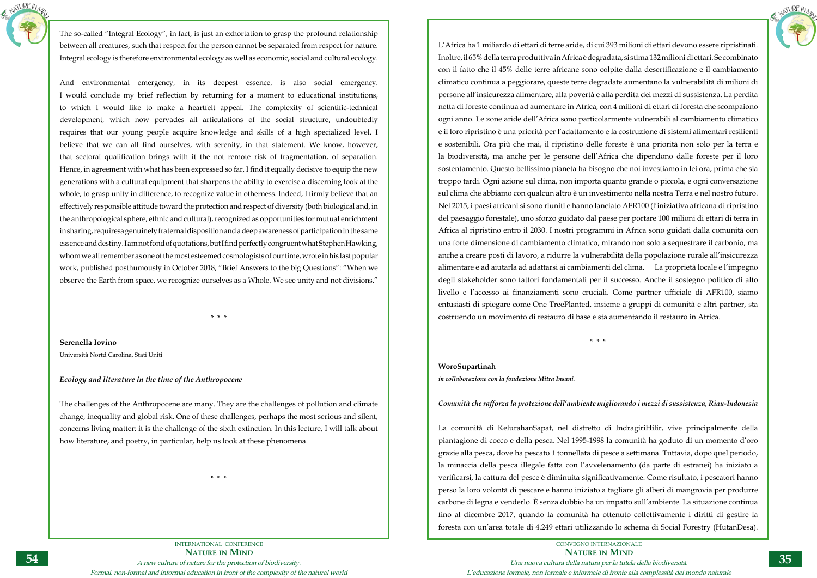INTERNATIONAL CONFERENCE **Nature in Mind** A new culture of nature for the protection of biodiversity. Formal, non-formal and informal education in front of the complexity of the natural world



The so-called "Integral Ecology", in fact, is just an exhortation to grasp the profound relationship between all creatures, such that respect for the person cannot be separated from respect for nature. Integral ecology is therefore environmental ecology as well as economic, social and cultural ecology.

And environmental emergency, in its deepest essence, is also social emergency. I would conclude my brief reflection by returning for a moment to educational institutions, to which I would like to make a heartfelt appeal. The complexity of scientific-technical development, which now pervades all articulations of the social structure, undoubtedly requires that our young people acquire knowledge and skills of a high specialized level. I believe that we can all find ourselves, with serenity, in that statement. We know, however, that sectoral qualification brings with it the not remote risk of fragmentation, of separation. Hence, in agreement with what has been expressed so far, I find it equally decisive to equip the new generations with a cultural equipment that sharpens the ability to exercise a discerning look at the whole, to grasp unity in difference, to recognize value in otherness. Indeed, I firmly believe that an effectively responsible attitude toward the protection and respect of diversity (both biological and, in the anthropological sphere, ethnic and cultural), recognized as opportunities for mutual enrichment in sharing, requiresa genuinely fraternal disposition and a deep awareness of participation in the same essence and destiny. I am not fond of quotations, but I find perfectly congruent what Stephen Hawking, whom we all remember as one of the most esteemed cosmologists of our time, wrote in his last popular work, published posthumously in October 2018, "Brief Answers to the big Questions": "When we observe the Earth from space, we recognize ourselves as a Whole. We see unity and not divisions."

**\* \* \***

**Serenella Iovino**

Università Nortd Carolina, Stati Uniti

## *Ecology and literature in the time of the Anthropocene*

The challenges of the Anthropocene are many. They are the challenges of pollution and climate change, inequality and global risk. One of these challenges, perhaps the most serious and silent, concerns living matter: it is the challenge of the sixth extinction. In this lecture, I will talk about how literature, and poetry, in particular, help us look at these phenomena.

**\* \* \***



L'Africa ha 1 miliardo di ettari di terre aride, di cui 393 milioni di ettari devono essere ripristinati. Inoltre, il 65% della terra produttiva in Africa è degradata, si stima 132 milioni di ettari. Se combinato con il fatto che il 45% delle terre africane sono colpite dalla desertificazione e il cambiamento climatico continua a peggiorare, queste terre degradate aumentano la vulnerabilità di milioni di persone all'insicurezza alimentare, alla povertà e alla perdita dei mezzi di sussistenza. La perdita netta di foreste continua ad aumentare in Africa, con 4 milioni di ettari di foresta che scompaiono ogni anno. Le zone aride dell'Africa sono particolarmente vulnerabili al cambiamento climatico e il loro ripristino è una priorità per l'adattamento e la costruzione di sistemi alimentari resilienti e sostenibili. Ora più che mai, il ripristino delle foreste è una priorità non solo per la terra e la biodiversità, ma anche per le persone dell'Africa che dipendono dalle foreste per il loro sostentamento. Questo bellissimo pianeta ha bisogno che noi investiamo in lei ora, prima che sia troppo tardi. Ogni azione sul clima, non importa quanto grande o piccola, e ogni conversazione sul clima che abbiamo con qualcun altro è un investimento nella nostra Terra e nel nostro futuro. Nel 2015, i paesi africani si sono riuniti e hanno lanciato AFR100 (l'iniziativa africana di ripristino del paesaggio forestale), uno sforzo guidato dal paese per portare 100 milioni di ettari di terra in Africa al ripristino entro il 2030. I nostri programmi in Africa sono guidati dalla comunità con una forte dimensione di cambiamento climatico, mirando non solo a sequestrare il carbonio, ma anche a creare posti di lavoro, a ridurre la vulnerabilità della popolazione rurale all'insicurezza alimentare e ad aiutarla ad adattarsi ai cambiamenti del clima. La proprietà locale e l'impegno degli stakeholder sono fattori fondamentali per il successo. Anche il sostegno politico di alto livello e l'accesso ai finanziamenti sono cruciali. Come partner ufficiale di AFR100, siamo entusiasti di spiegare come One TreePlanted, insieme a gruppi di comunità e altri partner, sta costruendo un movimento di restauro di base e sta aumentando il restauro in Africa.

**\* \* \***

## **WoroSupartinah**

*in collaborazione con la fondazione Mitra Insani.* 

## *Comunità che rafforza la protezione dell'ambiente migliorando i mezzi di sussistenza, Riau-Indonesia*

La comunità di KelurahanSapat, nel distretto di IndragiriHilir, vive principalmente della piantagione di cocco e della pesca. Nel 1995-1998 la comunità ha goduto di un momento d'oro grazie alla pesca, dove ha pescato 1 tonnellata di pesce a settimana. Tuttavia, dopo quel periodo, la minaccia della pesca illegale fatta con l'avvelenamento (da parte di estranei) ha iniziato a verificarsi, la cattura del pesce è diminuita significativamente. Come risultato, i pescatori hanno perso la loro volontà di pescare e hanno iniziato a tagliare gli alberi di mangrovia per produrre carbone di legna e venderlo. È senza dubbio ha un impatto sull'ambiente. La situazione continua fino al dicembre 2017, quando la comunità ha ottenuto collettivamente i diritti di gestire la foresta con un'area totale di 4.249 ettari utilizzando lo schema di Social Forestry (HutanDesa).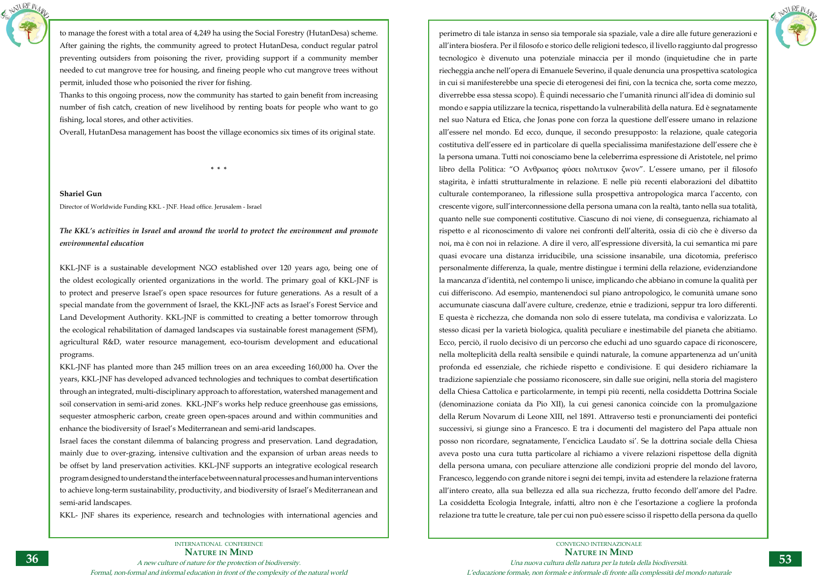

to manage the forest with a total area of 4,249 ha using the Social Forestry (HutanDesa) scheme. After gaining the rights, the community agreed to protect HutanDesa, conduct regular patrol preventing outsiders from poisoning the river, providing support if a community member needed to cut mangrove tree for housing, and fineing people who cut mangrove trees without permit, inluded those who poisonied the river for fishing.

Thanks to this ongoing process, now the community has started to gain benefit from increasing number of fish catch, creation of new livelihood by renting boats for people who want to go fishing, local stores, and other activities.

Overall, HutanDesa management has boost the village economics six times of its original state.

**\* \* \***

**Shariel Gun** Director of Worldwide Funding KKL - JNF. Head office. Jerusalem - Israel

## *The KKL's activities in Israel and around the world to protect the environment and promote environmental education*

KKL-JNF is a sustainable development NGO established over 120 years ago, being one of the oldest ecologically oriented organizations in the world. The primary goal of KKL-JNF is to protect and preserve Israel's open space resources for future generations. As a result of a special mandate from the government of Israel, the KKL-JNF acts as Israel's Forest Service and Land Development Authority. KKL-JNF is committed to creating a better tomorrow through the ecological rehabilitation of damaged landscapes via sustainable forest management (SFM), agricultural R&D, water resource management, eco-tourism development and educational programs.

KKL-JNF has planted more than 245 million trees on an area exceeding 160,000 ha. Over the years, KKL-JNF has developed advanced technologies and techniques to combat desertification through an integrated, multi-disciplinary approach to afforestation, watershed management and soil conservation in semi-arid zones. KKL-JNF's works help reduce greenhouse gas emissions, sequester atmospheric carbon, create green open-spaces around and within communities and enhance the biodiversity of Israel's Mediterranean and semi-arid landscapes.

Israel faces the constant dilemma of balancing progress and preservation. Land degradation, mainly due to over-grazing, intensive cultivation and the expansion of urban areas needs to be offset by land preservation activities. KKL-JNF supports an integrative ecological research program designed to understand the interface between natural processes and human interventions to achieve long-term sustainability, productivity, and biodiversity of Israel's Mediterranean and semi-arid landscapes.

KKL- JNF shares its experience, research and technologies with international agencies and



perimetro di tale istanza in senso sia temporale sia spaziale, vale a dire alle future generazioni e all'intera biosfera. Per il filosofo e storico delle religioni tedesco, il livello raggiunto dal progresso tecnologico è divenuto una potenziale minaccia per il mondo (inquietudine che in parte riecheggia anche nell'opera di Emanuele Severino, il quale denuncia una prospettiva scatologica in cui si manifesterebbe una specie di eterogenesi dei fini, con la tecnica che, sorta come mezzo, diverrebbe essa stessa scopo). È quindi necessario che l'umanità rinunci all'idea di dominio sul mondo e sappia utilizzare la tecnica, rispettando la vulnerabilità della natura. Ed è segnatamente nel suo Natura ed Etica, che Jonas pone con forza la questione dell'essere umano in relazione all'essere nel mondo. Ed ecco, dunque, il secondo presupposto: la relazione, quale categoria costitutiva dell'essere ed in particolare di quella specialissima manifestazione dell'essere che è la persona umana. Tutti noi conosciamo bene la celeberrima espressione di Aristotele, nel primo libro della Politica: "O Aνθρωπος φύσει πολιτικoν ζwον". L'essere umano, per il filosofo stagirita, è infatti strutturalmente in relazione. E nelle più recenti elaborazioni del dibattito culturale contemporaneo, la riflessione sulla prospettiva antropologica marca l'accento, con crescente vigore, sull'interconnessione della persona umana con la realtà, tanto nella sua totalità, quanto nelle sue componenti costitutive. Ciascuno di noi viene, di conseguenza, richiamato al rispetto e al riconoscimento di valore nei confronti dell'alterità, ossia di ciò che è diverso da noi, ma è con noi in relazione. A dire il vero, all'espressione diversità, la cui semantica mi pare quasi evocare una distanza irriducibile, una scissione insanabile, una dicotomia, preferisco personalmente differenza, la quale, mentre distingue i termini della relazione, evidenziandone la mancanza d'identità, nel contempo li unisce, implicando che abbiano in comune la qualità per cui differiscono. Ad esempio, mantenendoci sul piano antropologico, le comunità umane sono accumunate ciascuna dall'avere culture, credenze, etnie e tradizioni, seppur tra loro differenti. E questa è ricchezza, che domanda non solo di essere tutelata, ma condivisa e valorizzata. Lo stesso dicasi per la varietà biologica, qualità peculiare e inestimabile del pianeta che abitiamo. Ecco, perciò, il ruolo decisivo di un percorso che educhi ad uno sguardo capace di riconoscere, nella molteplicità della realtà sensibile e quindi naturale, la comune appartenenza ad un'unità profonda ed essenziale, che richiede rispetto e condivisione. E qui desidero richiamare la tradizione sapienziale che possiamo riconoscere, sin dalle sue origini, nella storia del magistero della Chiesa Cattolica e particolarmente, in tempi più recenti, nella cosiddetta Dottrina Sociale (denominazione coniata da Pio XII), la cui genesi canonica coincide con la promulgazione della Rerum Novarum di Leone XIII, nel 1891. Attraverso testi e pronunciamenti dei pontefici successivi, si giunge sino a Francesco. E tra i documenti del magistero del Papa attuale non posso non ricordare, segnatamente, l'enciclica Laudato si'. Se la dottrina sociale della Chiesa aveva posto una cura tutta particolare al richiamo a vivere relazioni rispettose della dignità della persona umana, con peculiare attenzione alle condizioni proprie del mondo del lavoro, Francesco, leggendo con grande nitore i segni dei tempi, invita ad estendere la relazione fraterna all'intero creato, alla sua bellezza ed alla sua ricchezza, frutto fecondo dell'amore del Padre. La cosiddetta Ecologia Integrale, infatti, altro non è che l'esortazione a cogliere la profonda relazione tra tutte le creature, tale per cui non può essere scisso il rispetto della persona da quello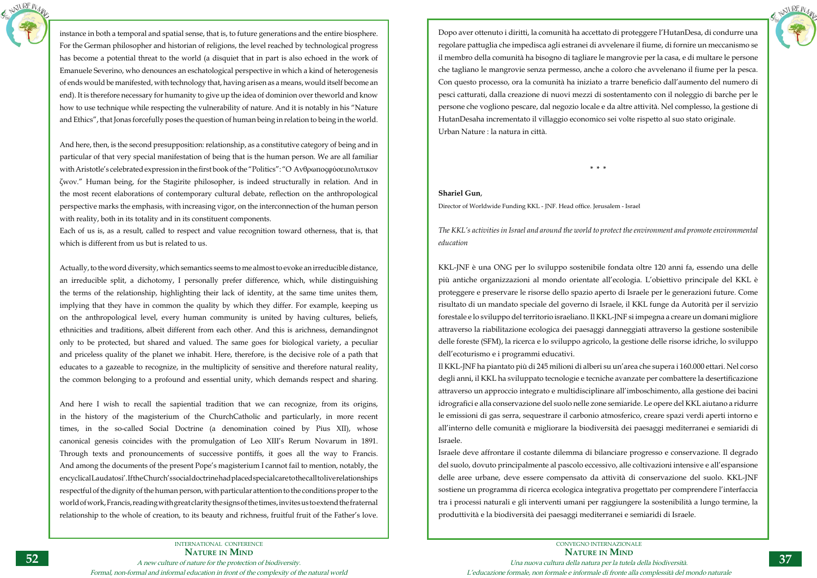INTERNATIONAL CONFERENCE **Nature in Mind** A new culture of nature for the protection of biodiversity. Formal, non-formal and informal education in front of the complexity of the natural world



instance in both a temporal and spatial sense, that is, to future generations and the entire biosphere. For the German philosopher and historian of religions, the level reached by technological progress has become a potential threat to the world (a disquiet that in part is also echoed in the work of Emanuele Severino, who denounces an eschatological perspective in which a kind of heterogenesis of ends would be manifested, with technology that, having arisen as a means, would itself become an end). It is therefore necessary for humanity to give up the idea of dominion over theworld and know how to use technique while respecting the vulnerability of nature. And it is notably in his "Nature and Ethics", that Jonas forcefully poses the question of human being in relation to being in the world.

And here, then, is the second presupposition: relationship, as a constitutive category of being and in particular of that very special manifestation of being that is the human person. We are all familiar with Aristotle's celebrated expression in the first book of the "Politics": "O Aνθρωποςφύσειπολιτικoν ζwον." Human being, for the Stagirite philosopher, is indeed structurally in relation. And in the most recent elaborations of contemporary cultural debate, reflection on the anthropological perspective marks the emphasis, with increasing vigor, on the interconnection of the human person with reality, both in its totality and in its constituent components.

Each of us is, as a result, called to respect and value recognition toward otherness, that is, that which is different from us but is related to us.

Actually, to the word diversity, which semantics seems to me almost to evoke an irreducible distance, an irreducible split, a dichotomy, I personally prefer difference, which, while distinguishing the terms of the relationship, highlighting their lack of identity, at the same time unites them, implying that they have in common the quality by which they differ. For example, keeping us on the anthropological level, every human community is united by having cultures, beliefs, ethnicities and traditions, albeit different from each other. And this is arichness, demandingnot only to be protected, but shared and valued. The same goes for biological variety, a peculiar and priceless quality of the planet we inhabit. Here, therefore, is the decisive role of a path that educates to a gazeable to recognize, in the multiplicity of sensitive and therefore natural reality, the common belonging to a profound and essential unity, which demands respect and sharing.

And here I wish to recall the sapiential tradition that we can recognize, from its origins, in the history of the magisterium of the ChurchCatholic and particularly, in more recent times, in the so-called Social Doctrine (a denomination coined by Pius XII), whose canonical genesis coincides with the promulgation of Leo XIII's Rerum Novarum in 1891. Through texts and pronouncements of successive pontiffs, it goes all the way to Francis. And among the documents of the present Pope's magisterium I cannot fail to mention, notably, the encyclical Laudatosi'. If the Church's social doctrine had placed special care to the call to live relationships respectful of the dignity of the human person, with particular attention to the conditions proper to the world of work, Francis, reading with great clarity the signs of the times, invites us to extend the fraternal relationship to the whole of creation, to its beauty and richness, fruitful fruit of the Father's love.



Dopo aver ottenuto i diritti, la comunità ha accettato di proteggere l'HutanDesa, di condurre una regolare pattuglia che impedisca agli estranei di avvelenare il fiume, di fornire un meccanismo se il membro della comunità ha bisogno di tagliare le mangrovie per la casa, e di multare le persone che tagliano le mangrovie senza permesso, anche a coloro che avvelenano il fiume per la pesca. Con questo processo, ora la comunità ha iniziato a trarre beneficio dall'aumento del numero di pesci catturati, dalla creazione di nuovi mezzi di sostentamento con il noleggio di barche per le persone che vogliono pescare, dal negozio locale e da altre attività. Nel complesso, la gestione di HutanDesaha incrementato il villaggio economico sei volte rispetto al suo stato originale. Urban Nature : la natura in città.

**\* \* \***

## **Shariel Gun**,

Director of Worldwide Funding KKL - JNF. Head office. Jerusalem - Israel

*The KKL's activities in Israel and around the world to protect the environment and promote environmental education*

KKL-JNF è una ONG per lo sviluppo sostenibile fondata oltre 120 anni fa, essendo una delle più antiche organizzazioni al mondo orientate all'ecologia. L'obiettivo principale del KKL è proteggere e preservare le risorse dello spazio aperto di Israele per le generazioni future. Come risultato di un mandato speciale del governo di Israele, il KKL funge da Autorità per il servizio forestale e lo sviluppo del territorio israeliano. Il KKL-JNF si impegna a creare un domani migliore attraverso la riabilitazione ecologica dei paesaggi danneggiati attraverso la gestione sostenibile delle foreste (SFM), la ricerca e lo sviluppo agricolo, la gestione delle risorse idriche, lo sviluppo dell'ecoturismo e i programmi educativi.

Il KKL-JNF ha piantato più di 245 milioni di alberi su un'area che supera i 160.000 ettari. Nel corso degli anni, il KKL ha sviluppato tecnologie e tecniche avanzate per combattere la desertificazione attraverso un approccio integrato e multidisciplinare all'imboschimento, alla gestione dei bacini idrografici e alla conservazione del suolo nelle zone semiaride. Le opere del KKL aiutano a ridurre le emissioni di gas serra, sequestrare il carbonio atmosferico, creare spazi verdi aperti intorno e all'interno delle comunità e migliorare la biodiversità dei paesaggi mediterranei e semiaridi di Israele.

Israele deve affrontare il costante dilemma di bilanciare progresso e conservazione. Il degrado del suolo, dovuto principalmente al pascolo eccessivo, alle coltivazioni intensive e all'espansione delle aree urbane, deve essere compensato da attività di conservazione del suolo. KKL-JNF sostiene un programma di ricerca ecologica integrativa progettato per comprendere l'interfaccia tra i processi naturali e gli interventi umani per raggiungere la sostenibilità a lungo termine, la produttività e la biodiversità dei paesaggi mediterranei e semiaridi di Israele.

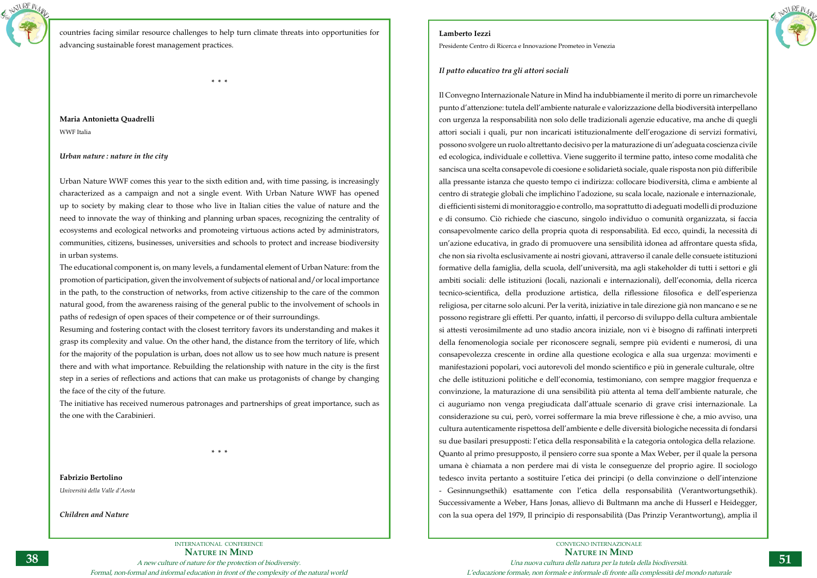

countries facing similar resource challenges to help turn climate threats into opportunities for advancing sustainable forest management practices.

**\* \* \***

## **Maria Antonietta Quadrelli** WWF Italia

## *Urban nature : nature in the city*

Urban Nature WWF comes this year to the sixth edition and, with time passing, is increasingly characterized as a campaign and not a single event. With Urban Nature WWF has opened up to society by making clear to those who live in Italian cities the value of nature and the need to innovate the way of thinking and planning urban spaces, recognizing the centrality of ecosystems and ecological networks and promoteing virtuous actions acted by administrators, communities, citizens, businesses, universities and schools to protect and increase biodiversity in urban systems.

The educational component is, on many levels, a fundamental element of Urban Nature: from the promotion of participation, given the involvement of subjects of national and/or local importance in the path, to the construction of networks, from active citizenship to the care of the common natural good, from the awareness raising of the general public to the involvement of schools in paths of redesign of open spaces of their competence or of their surroundings.

Resuming and fostering contact with the closest territory favors its understanding and makes it grasp its complexity and value. On the other hand, the distance from the territory of life, which for the majority of the population is urban, does not allow us to see how much nature is present there and with what importance. Rebuilding the relationship with nature in the city is the first step in a series of reflections and actions that can make us protagonists of change by changing the face of the city of the future.

The initiative has received numerous patronages and partnerships of great importance, such as the one with the Carabinieri.

**\* \* \***

**Fabrizio Bertolino** *Università della Valle d'Aosta*

*Children and Nature*



CONVEGNO INTERNAZIONALE **Nature in Mind** Una nuova cultura della natura per la tutela della biodiversità. L'educazione formale, non formale e informale di fronte alla complessità del mondo naturale

## **Lamberto Iezzi**

Presidente Centro di Ricerca e Innovazione Prometeo in Venezia

## *Il patto educativo tra gli attori sociali*

Il Convegno Internazionale Nature in Mind ha indubbiamente il merito di porre un rimarchevole punto d'attenzione: tutela dell'ambiente naturale e valorizzazione della biodiversità interpellano con urgenza la responsabilità non solo delle tradizionali agenzie educative, ma anche di quegli attori sociali i quali, pur non incaricati istituzionalmente dell'erogazione di servizi formativi, possono svolgere un ruolo altrettanto decisivo per la maturazione di un'adeguata coscienza civile ed ecologica, individuale e collettiva. Viene suggerito il termine patto, inteso come modalità che sancisca una scelta consapevole di coesione e solidarietà sociale, quale risposta non più differibile alla pressante istanza che questo tempo ci indirizza: collocare biodiversità, clima e ambiente al centro di strategie globali che implichino l'adozione, su scala locale, nazionale e internazionale, di efficienti sistemi di monitoraggio e controllo, ma soprattutto di adeguati modelli di produzione e di consumo. Ciò richiede che ciascuno, singolo individuo o comunità organizzata, si faccia consapevolmente carico della propria quota di responsabilità. Ed ecco, quindi, la necessità di un'azione educativa, in grado di promuovere una sensibilità idonea ad affrontare questa sfida, che non sia rivolta esclusivamente ai nostri giovani, attraverso il canale delle consuete istituzioni formative della famiglia, della scuola, dell'università, ma agli stakeholder di tutti i settori e gli ambiti sociali: delle istituzioni (locali, nazionali e internazionali), dell'economia, della ricerca tecnico-scientifica, della produzione artistica, della riflessione filosofica e dell'esperienza religiosa, per citarne solo alcuni. Per la verità, iniziative in tale direzione già non mancano e se ne possono registrare gli effetti. Per quanto, infatti, il percorso di sviluppo della cultura ambientale si attesti verosimilmente ad uno stadio ancora iniziale, non vi è bisogno di raffinati interpreti della fenomenologia sociale per riconoscere segnali, sempre più evidenti e numerosi, di una consapevolezza crescente in ordine alla questione ecologica e alla sua urgenza: movimenti e manifestazioni popolari, voci autorevoli del mondo scientifico e più in generale culturale, oltre che delle istituzioni politiche e dell'economia, testimoniano, con sempre maggior frequenza e convinzione, la maturazione di una sensibilità più attenta al tema dell'ambiente naturale, che ci auguriamo non venga pregiudicata dall'attuale scenario di grave crisi internazionale. La considerazione su cui, però, vorrei soffermare la mia breve riflessione è che, a mio avviso, una cultura autenticamente rispettosa dell'ambiente e delle diversità biologiche necessita di fondarsi su due basilari presupposti: l'etica della responsabilità e la categoria ontologica della relazione. Quanto al primo presupposto, il pensiero corre sua sponte a Max Weber, per il quale la persona umana è chiamata a non perdere mai di vista le conseguenze del proprio agire. Il sociologo tedesco invita pertanto a sostituire l'etica dei principi (o della convinzione o dell'intenzione - Gesinnungsethik) esattamente con l'etica della responsabilità (Verantwortungsethik). Successivamente a Weber, Hans Jonas, allievo di Bultmann ma anche di Husserl e Heidegger, con la sua opera del 1979, Il principio di responsabilità (Das Prinzip Verantwortung), amplia il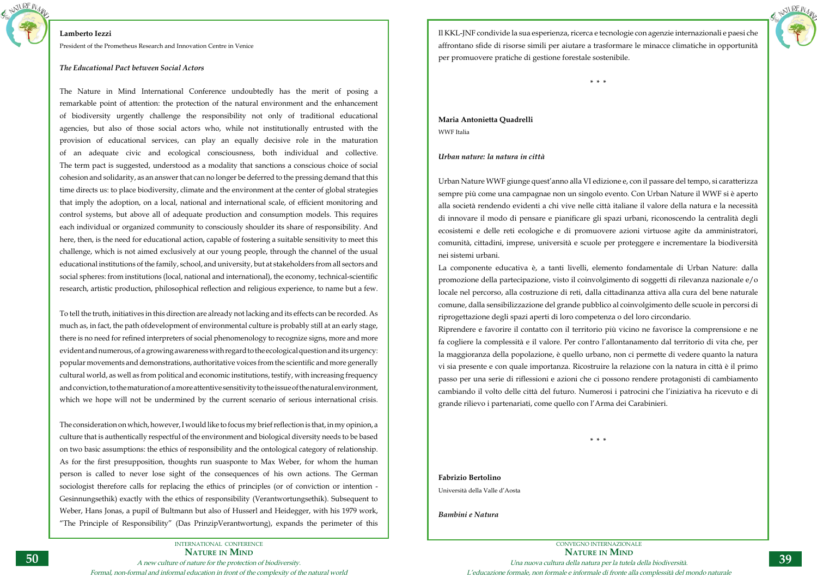

## **Lamberto Iezzi**

President of the Prometheus Research and Innovation Centre in Venice

## *The Educational Pact between Social Actors*

The Nature in Mind International Conference undoubtedly has the merit of posing a remarkable point of attention: the protection of the natural environment and the enhancement of biodiversity urgently challenge the responsibility not only of traditional educational agencies, but also of those social actors who, while not institutionally entrusted with the provision of educational services, can play an equally decisive role in the maturation of an adequate civic and ecological consciousness, both individual and collective. The term pact is suggested, understood as a modality that sanctions a conscious choice of social cohesion and solidarity, as an answer that can no longer be deferred to the pressing demand that this time directs us: to place biodiversity, climate and the environment at the center of global strategies that imply the adoption, on a local, national and international scale, of efficient monitoring and control systems, but above all of adequate production and consumption models. This requires each individual or organized community to consciously shoulder its share of responsibility. And here, then, is the need for educational action, capable of fostering a suitable sensitivity to meet this challenge, which is not aimed exclusively at our young people, through the channel of the usual educational institutions of the family, school, and university, but at stakeholders from all sectors and social spheres: from institutions (local, national and international), the economy, technical-scientific research, artistic production, philosophical reflection and religious experience, to name but a few.

To tell the truth, initiatives in this direction are already not lacking and its effects can be recorded. As much as, in fact, the path ofdevelopment of environmental culture is probably still at an early stage, there is no need for refined interpreters of social phenomenology to recognize signs, more and more evident and numerous, of a growing awareness with regard to the ecological question and its urgency: popular movements and demonstrations, authoritative voices from the scientific and more generally cultural world, as well as from political and economic institutions, testify, with increasing frequency and conviction, to the maturation of a more attentive sensitivity to the issue of the natural environment, which we hope will not be undermined by the current scenario of serious international crisis.

The consideration on which, however, I would like to focus my brief reflection is that, in my opinion, a culture that is authentically respectful of the environment and biological diversity needs to be based on two basic assumptions: the ethics of responsibility and the ontological category of relationship. As for the first presupposition, thoughts run suasponte to Max Weber, for whom the human person is called to never lose sight of the consequences of his own actions. The German sociologist therefore calls for replacing the ethics of principles (or of conviction or intention - Gesinnungsethik) exactly with the ethics of responsibility (Verantwortungsethik). Subsequent to Weber, Hans Jonas, a pupil of Bultmann but also of Husserl and Heidegger, with his 1979 work, "The Principle of Responsibility" (Das PrinzipVerantwortung), expands the perimeter of this



Il KKL-JNF condivide la sua esperienza, ricerca e tecnologie con agenzie internazionali e paesi che affrontano sfide di risorse simili per aiutare a trasformare le minacce climatiche in opportunità per promuovere pratiche di gestione forestale sostenibile.

**\* \* \***

## **Maria Antonietta Quadrelli** WWF Italia

## *Urban nature: la natura in città*

Urban Nature WWF giunge quest'anno alla VI edizione e, con il passare del tempo, si caratterizza sempre più come una campagnae non un singolo evento. Con Urban Nature il WWF si è aperto alla società rendendo evidenti a chi vive nelle città italiane il valore della natura e la necessità di innovare il modo di pensare e pianificare gli spazi urbani, riconoscendo la centralità degli ecosistemi e delle reti ecologiche e di promuovere azioni virtuose agite da amministratori, comunità, cittadini, imprese, università e scuole per proteggere e incrementare la biodiversità nei sistemi urbani.

La componente educativa è, a tanti livelli, elemento fondamentale di Urban Nature: dalla promozione della partecipazione, visto il coinvolgimento di soggetti di rilevanza nazionale e/o locale nel percorso, alla costruzione di reti, dalla cittadinanza attiva alla cura del bene naturale comune, dalla sensibilizzazione del grande pubblico al coinvolgimento delle scuole in percorsi di riprogettazione degli spazi aperti di loro competenza o del loro circondario. Riprendere e favorire il contatto con il territorio più vicino ne favorisce la comprensione e ne fa cogliere la complessità e il valore. Per contro l'allontanamento dal territorio di vita che, per la maggioranza della popolazione, è quello urbano, non ci permette di vedere quanto la natura vi sia presente e con quale importanza. Ricostruire la relazione con la natura in città è il primo passo per una serie di riflessioni e azioni che ci possono rendere protagonisti di cambiamento cambiando il volto delle città del futuro. Numerosi i patrocini che l'iniziativa ha ricevuto e di grande rilievo i partenariati, come quello con l'Arma dei Carabinieri.

**\* \* \***

**Fabrizio Bertolino** Università della Valle d'Aosta

*Bambini e Natura*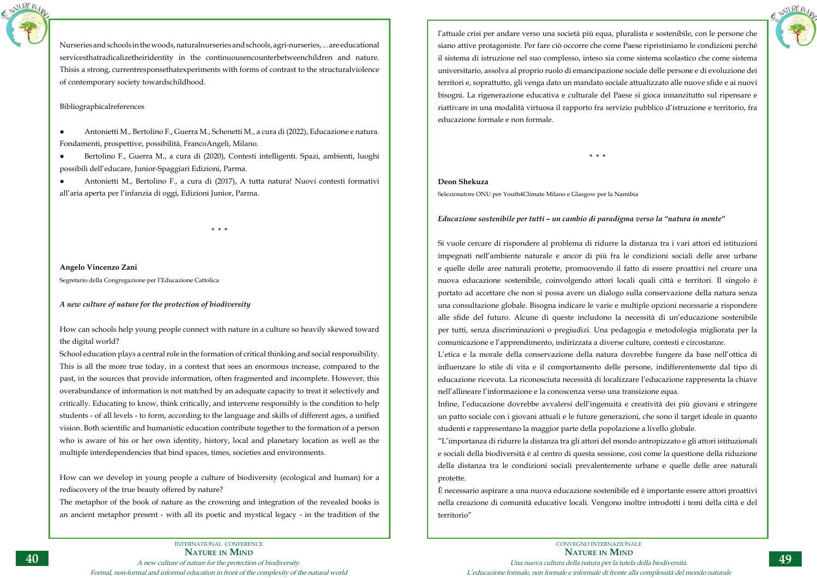Antonietti M., Bertolino F., Guerra M., Schenetti M., a cura di (2022), Educazione e natura. Fondamenti, prospettive, possibilità, FrancoAngeli, Milano.



Nurseries and schools in the woods, naturalnurseries and schools, agri-nurseries, ... are educational servicesthatradicalizetheiridentity in the continuousencounterbetweenchildren and nature. Thisis a strong, currentresponsethatexperiments with forms of contrast to the structuralviolence of contemporary society towardschildhood.

Bertolino F., Guerra M., a cura di (2020), Contesti intelligenti. Spazi, ambienti, luoghi possibili dell'educare, Junior-Spaggiari Edizioni, Parma.

Bibliographicalreferences

● Antonietti M., Bertolino F., a cura di (2017), A tutta natura! Nuovi contesti formativi all'aria aperta per l'infanzia di oggi, Edizioni Junior, Parma.

**\* \* \***

**Angelo Vincenzo Zani** Segretario della Congregazione per l'Educazione Cattolica

## *A new culture of nature for the protection of biodiversity*

How can schools help young people connect with nature in a culture so heavily skewed toward the digital world?

School education plays a central role in the formation of critical thinking and social responsibility. This is all the more true today, in a context that sees an enormous increase, compared to the past, in the sources that provide information, often fragmented and incomplete. However, this overabundance of information is not matched by an adequate capacity to treat it selectively and critically. Educating to know, think critically, and intervene responsibly is the condition to help students - of all levels - to form, according to the language and skills of different ages, a unified vision. Both scientific and humanistic education contribute together to the formation of a person who is aware of his or her own identity, history, local and planetary location as well as the multiple interdependencies that bind spaces, times, societies and environments.

How can we develop in young people a culture of biodiversity (ecological and human) for a rediscovery of the true beauty offered by nature?

The metaphor of the book of nature as the crowning and integration of the revealed books is an ancient metaphor present - with all its poetic and mystical legacy - in the tradition of the



l'attuale crisi per andare verso una società più equa, pluralista e sostenibile, con le persone che siano attive protagoniste. Per fare ciò occorre che come Paese ripristiniamo le condizioni perché il sistema di istruzione nel suo complesso, inteso sia come sistema scolastico che come sistema universitario, assolva al proprio ruolo di emancipazione sociale delle persone e di evoluzione dei territori e, soprattutto, gli venga dato un mandato sociale attualizzato alle nuove sfide e ai nuovi bisogni. La rigenerazione educativa e culturale del Paese si gioca innanzitutto sul ripensare e riattivare in una modalità virtuosa il rapporto fra servizio pubblico d'istruzione e territorio, fra educazione formale e non formale.

**\* \* \***

## **Deon Shekuza**

Selezionatore ONU per Youth4Climate Milano e Glasgow per la Namibia

*Educazione sostenibile per tutti – un cambio di paradigma verso la "natura in mente"*

Si vuole cercare di rispondere al problema di ridurre la distanza tra i vari attori ed istituzioni impegnati nell'ambiente naturale e ancor di più fra le condizioni sociali delle aree urbane e quelle delle aree naturali protette, promuovendo il fatto di essere proattivi nel creare una nuova educazione sostenibile, coinvolgendo attori locali quali città e territori. Il singolo è portato ad accettare che non si possa avere un dialogo sulla conservazione della natura senza una consultazione globale. Bisogna indicare le varie e multiple opzioni necessarie a rispondere alle sfide del futuro. Alcune di queste includono la necessità di un'educazione sostenibile per tutti, senza discriminazioni o pregiudizi. Una pedagogia e metodologia migliorata per la comunicazione e l'apprendimento, indirizzata a diverse culture, contesti e circostanze. L'etica e la morale della conservazione della natura dovrebbe fungere da base nell'ottica di influenzare lo stile di vita e il comportamento delle persone, indifferentemente dal tipo di educazione ricevuta. La riconosciuta necessità di localizzare l'educazione rappresenta la chiave nell'allineare l'informazione e la conoscenza verso una transizione equa. Infine, l'educazione dovrebbe avvalersi dell'ingenuità e creatività dei più giovani e stringere un patto sociale con i giovani attuali e le future generazioni, che sono il target ideale in quanto studenti e rappresentano la maggior parte della popolazione a livello globale. "L'importanza di ridurre la distanza tra gli attori del mondo antropizzato e gli attori istituzionali e sociali della biodiversità è al centro di questa sessione, così come la questione della riduzione della distanza tra le condizioni sociali prevalentemente urbane e quelle delle aree naturali protette.

È necessario aspirare a una nuova educazione sostenibile ed è importante essere attori proattivi nella creazione di comunità educative locali. Vengono inoltre introdotti i temi della città e del territorio"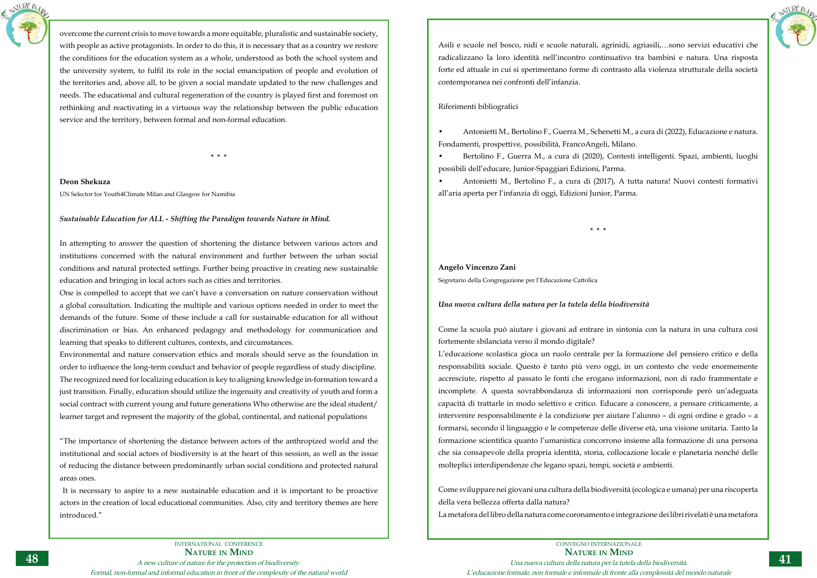

overcome the current crisis to move towards a more equitable, pluralistic and sustainable society, with people as active protagonists. In order to do this, it is necessary that as a country we restore the conditions for the education system as a whole, understood as both the school system and the university system, to fulfil its role in the social emancipation of people and evolution of the territories and, above all, to be given a social mandate updated to the new challenges and needs. The educational and cultural regeneration of the country is played first and foremost on rethinking and reactivating in a virtuous way the relationship between the public education service and the territory, between formal and non-formal education.

**\* \* \***

**Deon Shekuza** UN Selector for Youth4Climate Milan and Glasgow for Namibia

## *Sustainable Education for ALL - Shifting the Paradigm towards Nature in Mind.*

In attempting to answer the question of shortening the distance between various actors and institutions concerned with the natural environment and further between the urban social conditions and natural protected settings. Further being proactive in creating new sustainable education and bringing in local actors such as cities and territories.

One is compelled to accept that we can't have a conversation on nature conservation without a global consultation. Indicating the multiple and various options needed in order to meet the demands of the future. Some of these include a call for sustainable education for all without discrimination or bias. An enhanced pedagogy and methodology for communication and learning that speaks to different cultures, contexts, and circumstances.

Environmental and nature conservation ethics and morals should serve as the foundation in order to influence the long-term conduct and behavior of people regardless of study discipline. The recognized need for localizing education is key to aligning knowledge in-formation toward a just transition. Finally, education should utilize the ingenuity and creativity of youth and form a social contract with current young and future generations Who otherwise are the ideal student/ learner target and represent the majority of the global, continental, and national populations

"The importance of shortening the distance between actors of the anthropized world and the institutional and social actors of biodiversity is at the heart of this session, as well as the issue of reducing the distance between predominantly urban social conditions and protected natural areas ones.

 It is necessary to aspire to a new sustainable education and it is important to be proactive actors in the creation of local educational communities. Also, city and territory themes are here introduced."



Asili e scuole nel bosco, nidi e scuole naturali, agrinidi, agriasili,…sono servizi educativi che radicalizzano la loro identità nell'incontro continuativo tra bambini e natura. Una risposta forte ed attuale in cui si sperimentano forme di contrasto alla violenza strutturale della società contemporanea nei confronti dell'infanzia.

## Riferimenti bibliografici

• Antonietti M., Bertolino F., Guerra M., Schenetti M., a cura di (2022), Educazione e natura. Fondamenti, prospettive, possibilità, FrancoAngeli, Milano. • Bertolino F., Guerra M., a cura di (2020), Contesti intelligenti. Spazi, ambienti, luoghi possibili dell'educare, Junior-Spaggiari Edizioni, Parma. • Antonietti M., Bertolino F., a cura di (2017), A tutta natura! Nuovi contesti formativi all'aria aperta per l'infanzia di oggi, Edizioni Junior, Parma.

**\* \* \***

## **Angelo Vincenzo Zani**

Segretario della Congregazione per l'Educazione Cattolica

## *Una nuova cultura della natura per la tutela della biodiversità*

Come la scuola può aiutare i giovani ad entrare in sintonia con la natura in una cultura così fortemente sbilanciata verso il mondo digitale? L'educazione scolastica gioca un ruolo centrale per la formazione del pensiero critico e della responsabilità sociale. Questo è tanto più vero oggi, in un contesto che vede enormemente accresciute, rispetto al passato le fonti che erogano informazioni, non di rado frammentate e incomplete. A questa sovrabbondanza di informazioni non corrisponde però un'adeguata capacità di trattarle in modo selettivo e critico. Educare a conoscere, a pensare criticamente, a intervenire responsabilmente è la condizione per aiutare l'alunno – di ogni ordine e grado – a formarsi, secondo il linguaggio e le competenze delle diverse età, una visione unitaria. Tanto la formazione scientifica quanto l'umanistica concorrono insieme alla formazione di una persona che sia consapevole della propria identità, storia, collocazione locale e planetaria nonché delle molteplici interdipendenze che legano spazi, tempi, società e ambienti.

Come sviluppare nei giovani una cultura della biodiversità (ecologica e umana) per una riscoperta della vera bellezza offerta dalla natura? La metafora del libro della natura come coronamento e integrazione dei libri rivelati è una metafora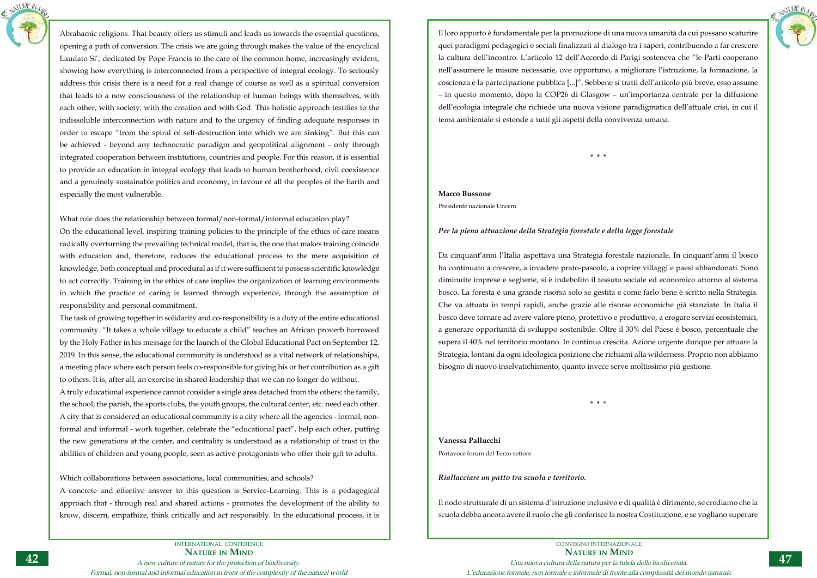

Abrahamic religions. That beauty offers us stimuli and leads us towards the essential questions, opening a path of conversion. The crisis we are going through makes the value of the encyclical Laudato Si', dedicated by Pope Francis to the care of the common home, increasingly evident, showing how everything is interconnected from a perspective of integral ecology. To seriously address this crisis there is a need for a real change of course as well as a spiritual conversion that leads to a new consciousness of the relationship of human beings with themselves, with each other, with society, with the creation and with God. This holistic approach testifies to the indissoluble interconnection with nature and to the urgency of finding adequate responses in order to escape "from the spiral of self-destruction into which we are sinking". But this can be achieved - beyond any technocratic paradigm and geopolitical alignment - only through integrated cooperation between institutions, countries and people. For this reason, it is essential to provide an education in integral ecology that leads to human brotherhood, civil coexistence and a genuinely sustainable politics and economy, in favour of all the peoples of the Earth and especially the most vulnerable.

What role does the relationship between formal/non-formal/informal education play? On the educational level, inspiring training policies to the principle of the ethics of care means radically overturning the prevailing technical model, that is, the one that makes training coincide with education and, therefore, reduces the educational process to the mere acquisition of knowledge, both conceptual and procedural as if it were sufficient to possess scientific knowledge to act correctly. Training in the ethics of care implies the organization of learning environments in which the practice of caring is learned through experience, through the assumption of responsibility and personal commitment.

The task of growing together in solidarity and co-responsibility is a duty of the entire educational community. "It takes a whole village to educate a child" teaches an African proverb borrowed by the Holy Father in his message for the launch of the Global Educational Pact on September 12, 2019. In this sense, the educational community is understood as a vital network of relationships, a meeting place where each person feels co-responsible for giving his or her contribution as a gift to others. It is, after all, an exercise in shared leadership that we can no longer do without.

A truly educational experience cannot consider a single area detached from the others: the family, the school, the parish, the sports clubs, the youth groups, the cultural center, etc. need each other. A city that is considered an educational community is a city where all the agencies - formal, nonformal and informal - work together, celebrate the "educational pact", help each other, putting the new generations at the center, and centrality is understood as a relationship of trust in the abilities of children and young people, seen as active protagonists who offer their gift to adults.

Which collaborations between associations, local communities, and schools?

A concrete and effective answer to this question is Service-Learning. This is a pedagogical approach that - through real and shared actions - promotes the development of the ability to know, discern, empathize, think critically and act responsibly. In the educational process, it is



Il loro apporto è fondamentale per la promozione di una nuova umanità da cui possano scaturire quei paradigmi pedagogici e sociali finalizzati al dialogo tra i saperi, contribuendo a far crescere la cultura dell'incontro. L'articolo 12 dell'Accordo di Parigi sosteneva che "le Parti cooperano nell'assumere le misure necessarie, ove opportuno, a migliorare l'istruzione, la formazione, la coscienza e la partecipazione pubblica [...]". Sebbene si tratti dell'articolo più breve, esso assume – in questo momento, dopo la COP26 di Glasgow – un'importanza centrale per la diffusione dell'ecologia integrale che richiede una nuova visione paradigmatica dell'attuale crisi, in cui il tema ambientale si estende a tutti gli aspetti della convivenza umana.

**\* \* \***

**Marco Bussone** Presidente nazionale Uncem

## *Per la piena attuazione della Strategia forestale e della legge forestale*

Da cinquant'anni l'Italia aspettava una Strategia forestale nazionale. In cinquant'anni il bosco ha continuato a crescere, a invadere prato-pascolo, a coprire villaggi e paesi abbandonati. Sono diminuite imprese e segherie, si è indebolito il tessuto sociale ed economico attorno al sistema bosco. La foresta è una grande risorsa solo se gestita e come farlo bene è scritto nella Strategia. Che va attuata in tempi rapidi, anche grazie alle risorse economiche già stanziate. In Italia il bosco deve tornare ad avere valore pieno, protettivo e produttivo, a erogare servizi ecosistemici, a generare opportunità di sviluppo sostenibile. Oltre il 30% del Paese è bosco, percentuale che supera il 40% nel territorio montano. In continua crescita. Azione urgente dunque per attuare la Strategia, lontani da ogni ideologica posizione che richiami alla wilderness. Proprio non abbiamo bisogno di nuovo inselvatichimento, quanto invece serve moltissimo più gestione.

**\* \* \***

## **Vanessa Pallucchi**

Portavoce forum del Terzo settore

*Riallacciare un patto tra scuola e territorio.*

Il nodo strutturale di un sistema d'istruzione inclusivo e di qualità è dirimente, se crediamo che la scuola debba ancora avere il ruolo che gli conferisce la nostra Costituzione, e se vogliano superare

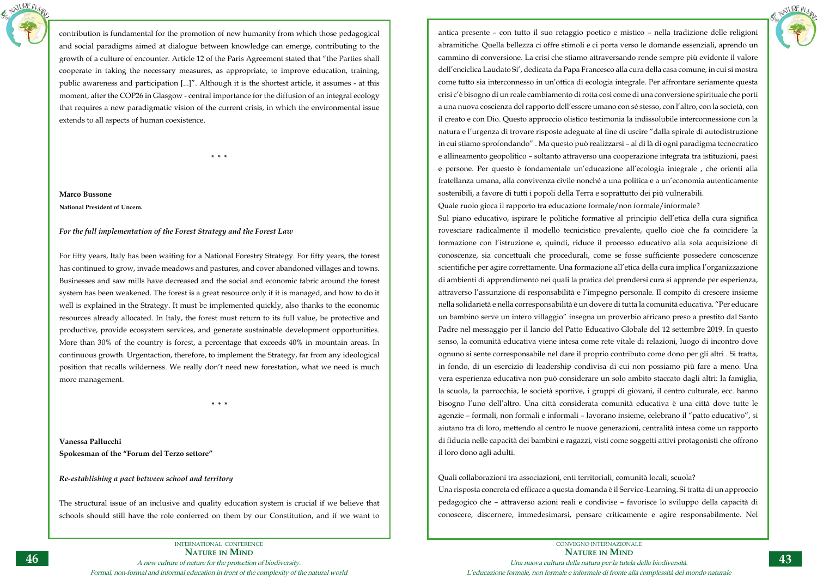

contribution is fundamental for the promotion of new humanity from which those pedagogical and social paradigms aimed at dialogue between knowledge can emerge, contributing to the growth of a culture of encounter. Article 12 of the Paris Agreement stated that "the Parties shall cooperate in taking the necessary measures, as appropriate, to improve education, training, public awareness and participation [...]". Although it is the shortest article, it assumes - at this moment, after the COP26 in Glasgow - central importance for the diffusion of an integral ecology that requires a new paradigmatic vision of the current crisis, in which the environmental issue extends to all aspects of human coexistence.

**\* \* \***

**Marco Bussone National President of Uncem.**

## *For the full implementation of the Forest Strategy and the Forest Law*

For fifty years, Italy has been waiting for a National Forestry Strategy. For fifty years, the forest has continued to grow, invade meadows and pastures, and cover abandoned villages and towns. Businesses and saw mills have decreased and the social and economic fabric around the forest system has been weakened. The forest is a great resource only if it is managed, and how to do it well is explained in the Strategy. It must be implemented quickly, also thanks to the economic resources already allocated. In Italy, the forest must return to its full value, be protective and productive, provide ecosystem services, and generate sustainable development opportunities. More than 30% of the country is forest, a percentage that exceeds 40% in mountain areas. In continuous growth. Urgentaction, therefore, to implement the Strategy, far from any ideological position that recalls wilderness. We really don't need new forestation, what we need is much more management.

**\* \* \***

**Vanessa Pallucchi Spokesman of the "Forum del Terzo settore"**

*Re-establishing a pact between school and territory*

The structural issue of an inclusive and quality education system is crucial if we believe that schools should still have the role conferred on them by our Constitution, and if we want to



antica presente – con tutto il suo retaggio poetico e mistico – nella tradizione delle religioni abramitiche. Quella bellezza ci offre stimoli e ci porta verso le domande essenziali, aprendo un cammino di conversione. La crisi che stiamo attraversando rende sempre più evidente il valore dell'enciclica Laudato Si', dedicata da Papa Francesco alla cura della casa comune, in cui si mostra come tutto sia interconnesso in un'ottica di ecologia integrale. Per affrontare seriamente questa crisi c'è bisogno di un reale cambiamento di rotta così come di una conversione spirituale che porti a una nuova coscienza del rapporto dell'essere umano con sé stesso, con l'altro, con la società, con il creato e con Dio. Questo approccio olistico testimonia la indissolubile interconnessione con la natura e l'urgenza di trovare risposte adeguate al fine di uscire "dalla spirale di autodistruzione in cui stiamo sprofondando" . Ma questo può realizzarsi – al di là di ogni paradigma tecnocratico e allineamento geopolitico – soltanto attraverso una cooperazione integrata tra istituzioni, paesi e persone. Per questo è fondamentale un'educazione all'ecologia integrale , che orienti alla fratellanza umana, alla convivenza civile nonché a una politica e a un'economia autenticamente sostenibili, a favore di tutti i popoli della Terra e soprattutto dei più vulnerabili. Quale ruolo gioca il rapporto tra educazione formale/non formale/informale? Sul piano educativo, ispirare le politiche formative al principio dell'etica della cura significa rovesciare radicalmente il modello tecnicistico prevalente, quello cioè che fa coincidere la formazione con l'istruzione e, quindi, riduce il processo educativo alla sola acquisizione di conoscenze, sia concettuali che procedurali, come se fosse sufficiente possedere conoscenze scientifiche per agire correttamente. Una formazione all'etica della cura implica l'organizzazione di ambienti di apprendimento nei quali la pratica del prendersi cura si apprende per esperienza, attraverso l'assunzione di responsabilità e l'impegno personale. Il compito di crescere insieme nella solidarietà e nella corresponsabilità è un dovere di tutta la comunità educativa. "Per educare un bambino serve un intero villaggio" insegna un proverbio africano preso a prestito dal Santo Padre nel messaggio per il lancio del Patto Educativo Globale del 12 settembre 2019. In questo senso, la comunità educativa viene intesa come rete vitale di relazioni, luogo di incontro dove ognuno si sente corresponsabile nel dare il proprio contributo come dono per gli altri . Si tratta, in fondo, di un esercizio di leadership condivisa di cui non possiamo più fare a meno. Una vera esperienza educativa non può considerare un solo ambito staccato dagli altri: la famiglia, la scuola, la parrocchia, le società sportive, i gruppi di giovani, il centro culturale, ecc. hanno bisogno l'uno dell'altro. Una città considerata comunità educativa è una città dove tutte le agenzie – formali, non formali e informali – lavorano insieme, celebrano il "patto educativo", si aiutano tra di loro, mettendo al centro le nuove generazioni, centralità intesa come un rapporto di fiducia nelle capacità dei bambini e ragazzi, visti come soggetti attivi protagonisti che offrono il loro dono agli adulti.

Quali collaborazioni tra associazioni, enti territoriali, comunità locali, scuola? Una risposta concreta ed efficace a questa domanda è il Service-Learning. Si tratta di un approccio pedagogico che – attraverso azioni reali e condivise – favorisce lo sviluppo della capacità di conoscere, discernere, immedesimarsi, pensare criticamente e agire responsabilmente. Nel